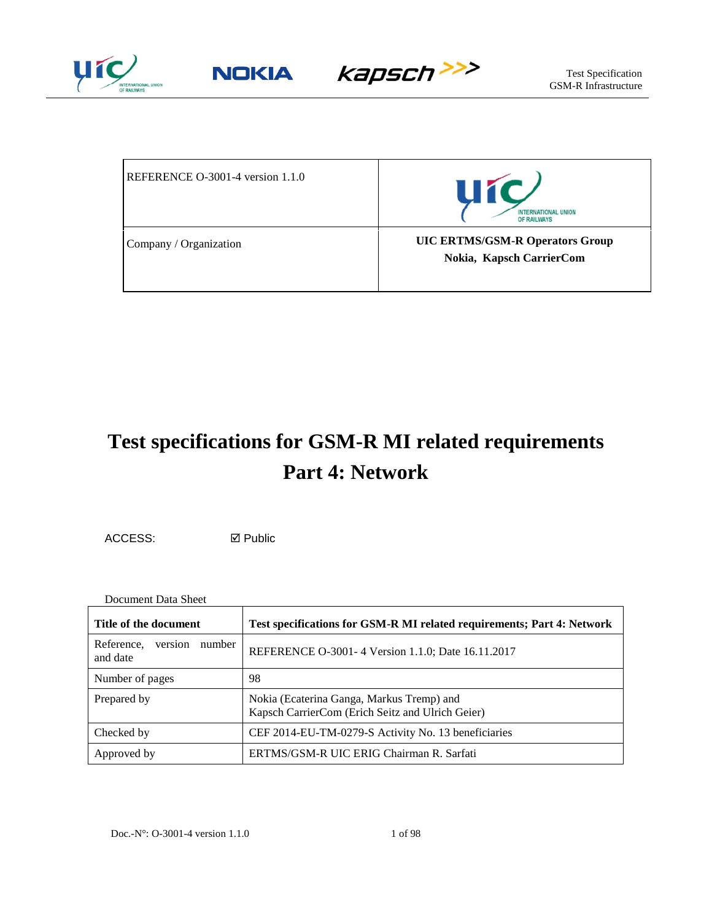



| REFERENCE O-3001-4 version 1.1.0 | U7<br><b>INTERNATIONAL UNION</b><br>OF RAILWAYS                    |
|----------------------------------|--------------------------------------------------------------------|
| Company / Organization           | <b>UIC ERTMS/GSM-R Operators Group</b><br>Nokia, Kapsch CarrierCom |

# **Test specifications for GSM-R MI related requirements Part 4: Network**

ACCESS: **Ø** Public

**NOKIA** 

| Document Data Sheet                         |                                                                                               |
|---------------------------------------------|-----------------------------------------------------------------------------------------------|
| Title of the document                       | Test specifications for GSM-R MI related requirements; Part 4: Network                        |
| Reference,<br>number<br>version<br>and date | REFERENCE O-3001-4 Version 1.1.0; Date 16.11.2017                                             |
| Number of pages                             | 98                                                                                            |
| Prepared by                                 | Nokia (Ecaterina Ganga, Markus Tremp) and<br>Kapsch CarrierCom (Erich Seitz and Ulrich Geier) |
| Checked by                                  | CEF 2014-EU-TM-0279-S Activity No. 13 beneficiaries                                           |
| Approved by                                 | ERTMS/GSM-R UIC ERIG Chairman R. Sarfati                                                      |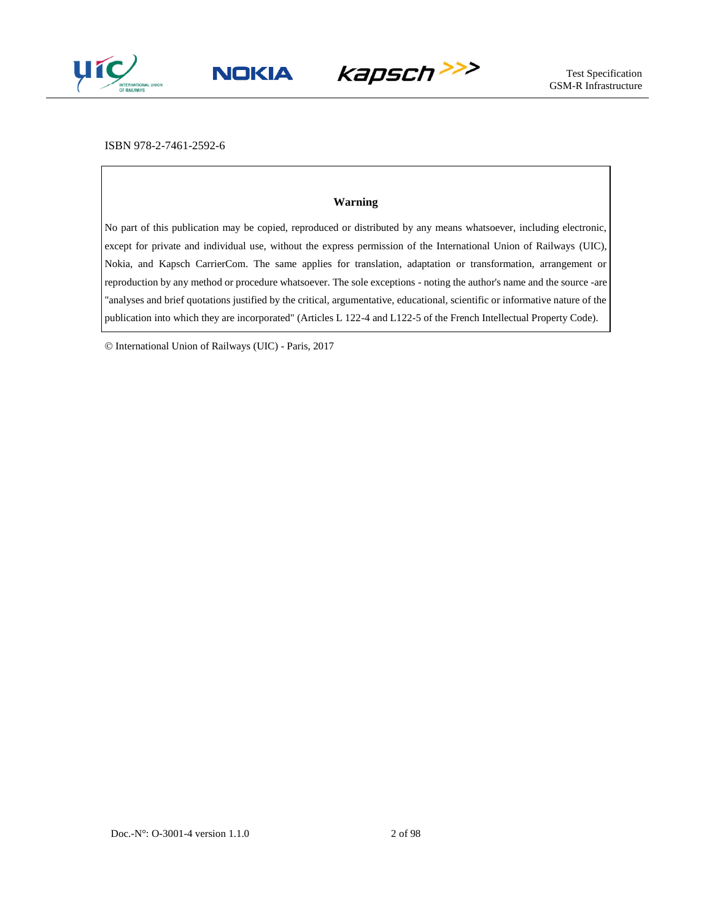



ISBN 978-2-7461-2592-6

#### **Warning**

No part of this publication may be copied, reproduced or distributed by any means whatsoever, including electronic, except for private and individual use, without the express permission of the International Union of Railways (UIC), Nokia, and Kapsch CarrierCom. The same applies for translation, adaptation or transformation, arrangement or reproduction by any method or procedure whatsoever. The sole exceptions - noting the author's name and the source -are "analyses and brief quotations justified by the critical, argumentative, educational, scientific or informative nature of the publication into which they are incorporated" (Articles L 122-4 and L122-5 of the French Intellectual Property Code).

International Union of Railways (UIC) - Paris, 2017

**NOKIA**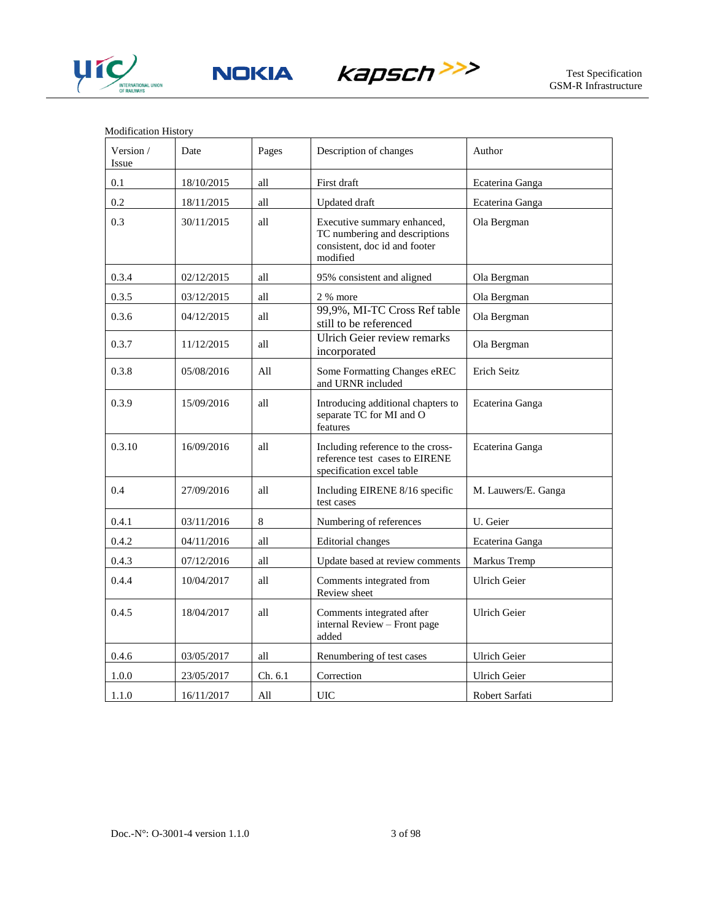





| Version /<br>Issue | Date       | Pages   | Description of changes                                                                                    | Author              |
|--------------------|------------|---------|-----------------------------------------------------------------------------------------------------------|---------------------|
| 0.1                | 18/10/2015 | all     | First draft                                                                                               | Ecaterina Ganga     |
| 0.2                | 18/11/2015 | all     | <b>Updated</b> draft                                                                                      | Ecaterina Ganga     |
| 0.3                | 30/11/2015 | all     | Executive summary enhanced,<br>TC numbering and descriptions<br>consistent, doc id and footer<br>modified | Ola Bergman         |
| 0.3.4              | 02/12/2015 | all     | 95% consistent and aligned                                                                                | Ola Bergman         |
| 0.3.5              | 03/12/2015 | all     | 2 % more                                                                                                  | Ola Bergman         |
| 0.3.6              | 04/12/2015 | all     | 99,9%, MI-TC Cross Ref table<br>still to be referenced                                                    | Ola Bergman         |
| 0.3.7              | 11/12/2015 | all     | <b>Ulrich Geier review remarks</b><br>incorporated                                                        | Ola Bergman         |
| 0.3.8              | 05/08/2016 | All     | Some Formatting Changes eREC<br>and URNR included                                                         | Erich Seitz         |
| 0.3.9              | 15/09/2016 | all     | Introducing additional chapters to<br>separate TC for MI and O<br>features                                | Ecaterina Ganga     |
| 0.3.10             | 16/09/2016 | all     | Including reference to the cross-<br>reference test cases to EIRENE<br>specification excel table          | Ecaterina Ganga     |
| 0.4                | 27/09/2016 | all     | Including EIRENE 8/16 specific<br>test cases                                                              | M. Lauwers/E. Ganga |
| 0.4.1              | 03/11/2016 | 8       | Numbering of references                                                                                   | U. Geier            |
| 0.4.2              | 04/11/2016 | all     | Editorial changes                                                                                         | Ecaterina Ganga     |
| 0.4.3              | 07/12/2016 | all     | Update based at review comments                                                                           | Markus Tremp        |
| 0.4.4              | 10/04/2017 | all     | Comments integrated from<br>Review sheet                                                                  | <b>Ulrich Geier</b> |
| 0.4.5              | 18/04/2017 | all     | Comments integrated after<br>internal Review - Front page<br>added                                        | <b>Ulrich Geier</b> |
| 0.4.6              | 03/05/2017 | all     | Renumbering of test cases                                                                                 | <b>Ulrich Geier</b> |
| 1.0.0              | 23/05/2017 | Ch. 6.1 | Correction                                                                                                | <b>Ulrich Geier</b> |
| 1.1.0              | 16/11/2017 | All     | <b>UIC</b>                                                                                                | Robert Sarfati      |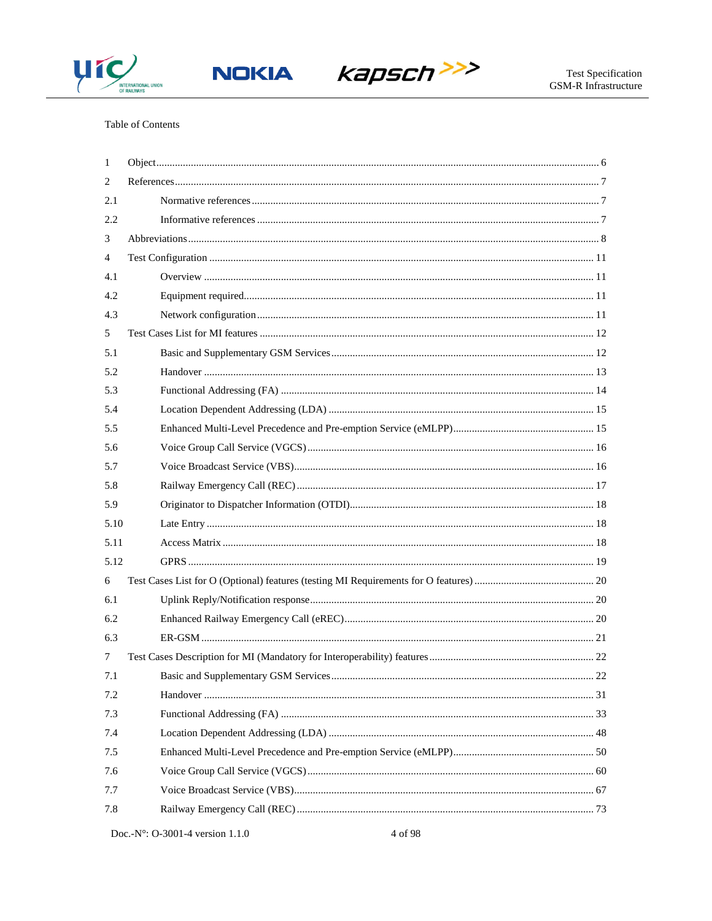

**NOKIA** 



#### Table of Contents

| 1    |  |    |  |
|------|--|----|--|
| 2    |  |    |  |
| 2.1  |  |    |  |
| 2.2  |  |    |  |
| 3    |  |    |  |
| 4    |  |    |  |
| 4.1  |  |    |  |
| 4.2  |  |    |  |
| 4.3  |  |    |  |
| 5    |  |    |  |
| 5.1  |  |    |  |
| 5.2  |  |    |  |
| 5.3  |  |    |  |
| 5.4  |  |    |  |
| 5.5  |  |    |  |
| 5.6  |  |    |  |
| 5.7  |  |    |  |
| 5.8  |  |    |  |
| 5.9  |  |    |  |
| 5.10 |  |    |  |
| 5.11 |  |    |  |
| 5.12 |  |    |  |
| 6    |  |    |  |
| 6.1  |  |    |  |
| 6.2  |  |    |  |
| 6.3  |  |    |  |
| 7    |  |    |  |
| 7.1  |  | 22 |  |
| 7.2  |  |    |  |
| 7.3  |  |    |  |
| 7.4  |  |    |  |
| 7.5  |  |    |  |
| 7.6  |  |    |  |
| 7.7  |  |    |  |
| 7.8  |  |    |  |
|      |  |    |  |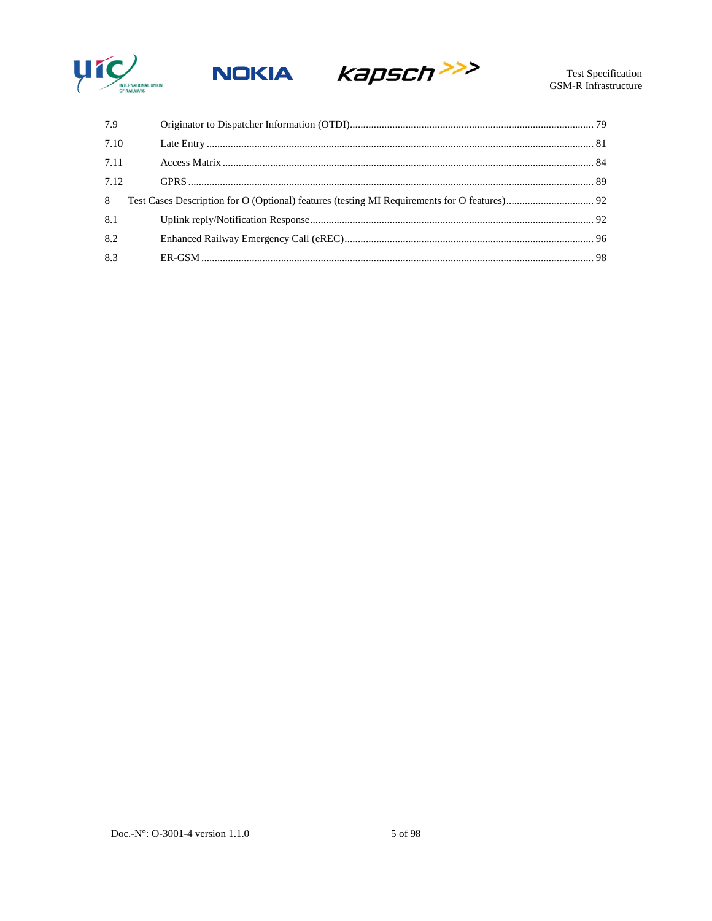





| 7.9  |  |
|------|--|
| 7.10 |  |
| 7.11 |  |
| 7.12 |  |
|      |  |
| 8    |  |
| 8.1  |  |
| 8.2  |  |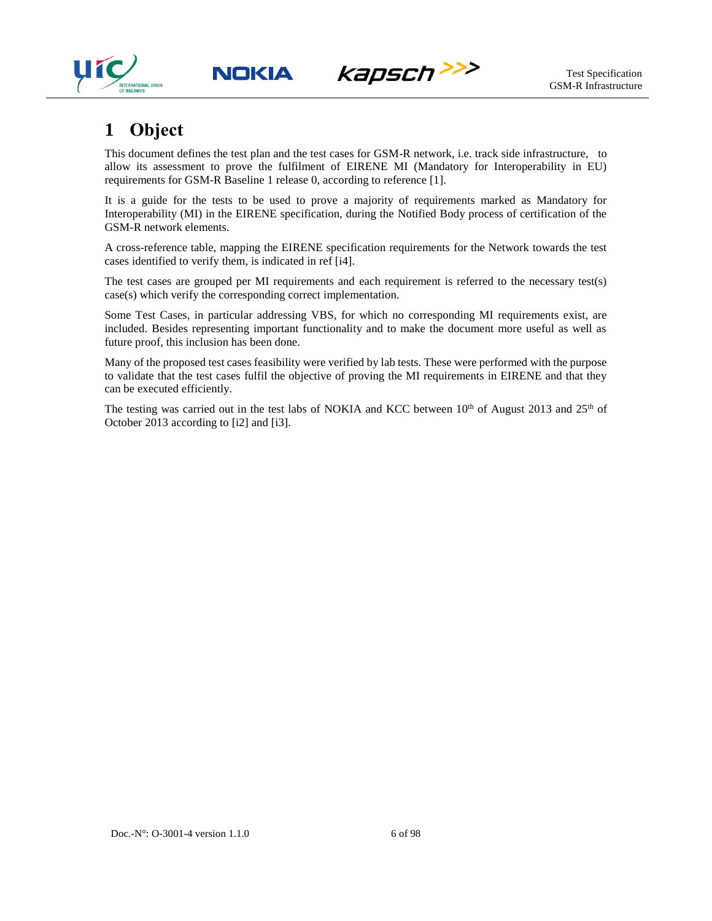



## <span id="page-5-0"></span>**1 Object**

**NOKIA** 

This document defines the test plan and the test cases for GSM-R network, i.e. track side infrastructure, to allow its assessment to prove the fulfilment of EIRENE MI (Mandatory for Interoperability in EU) requirements for GSM-R Baseline 1 release 0, according to reference [1].

It is a guide for the tests to be used to prove a majority of requirements marked as Mandatory for Interoperability (MI) in the EIRENE specification, during the Notified Body process of certification of the GSM-R network elements.

A cross-reference table, mapping the EIRENE specification requirements for the Network towards the test cases identified to verify them, is indicated in ref [i4].

The test cases are grouped per MI requirements and each requirement is referred to the necessary test(s) case(s) which verify the corresponding correct implementation.

Some Test Cases, in particular addressing VBS, for which no corresponding MI requirements exist, are included. Besides representing important functionality and to make the document more useful as well as future proof, this inclusion has been done.

Many of the proposed test cases feasibility were verified by lab tests. These were performed with the purpose to validate that the test cases fulfil the objective of proving the MI requirements in EIRENE and that they can be executed efficiently.

The testing was carried out in the test labs of NOKIA and KCC between 10<sup>th</sup> of August 2013 and 25<sup>th</sup> of October 2013 according to [i2] and [i3].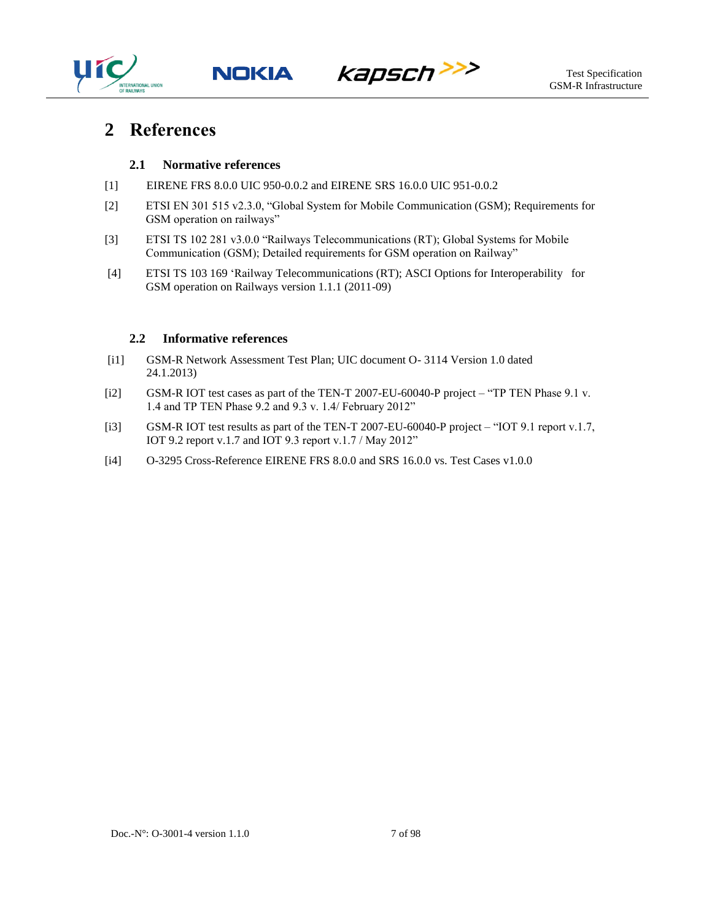



## <span id="page-6-1"></span><span id="page-6-0"></span>**2 References**

### **2.1 Normative references**

**NOKIA** 

- [1] EIRENE FRS 8.0.0 UIC 950-0.0.2 and EIRENE SRS 16.0.0 UIC 951-0.0.2
- [2] ETSI EN 301 515 v2.3.0, "Global System for Mobile Communication (GSM); Requirements for GSM operation on railways"
- [3] ETSI TS 102 281 v3.0.0 "Railways Telecommunications (RT); Global Systems for Mobile Communication (GSM); Detailed requirements for GSM operation on Railway"
- [4] ETSI TS 103 169 'Railway Telecommunications (RT); ASCI Options for Interoperability for GSM operation on Railways version 1.1.1 (2011-09)

## <span id="page-6-2"></span>**2.2 Informative references**

- [i1] GSM-R Network Assessment Test Plan; UIC document O- 3114 Version 1.0 dated 24.1.2013)
- [i2] GSM-R IOT test cases as part of the TEN-T 2007-EU-60040-P project "TP TEN Phase 9.1 v. 1.4 and TP TEN Phase 9.2 and 9.3 v. 1.4/ February 2012"
- [i3] GSM-R IOT test results as part of the TEN-T 2007-EU-60040-P project "IOT 9.1 report v.1.7, IOT 9.2 report v.1.7 and IOT 9.3 report v.1.7 / May 2012"
- [i4] O-3295 Cross-Reference EIRENE FRS 8.0.0 and SRS 16.0.0 vs. Test Cases v1.0.0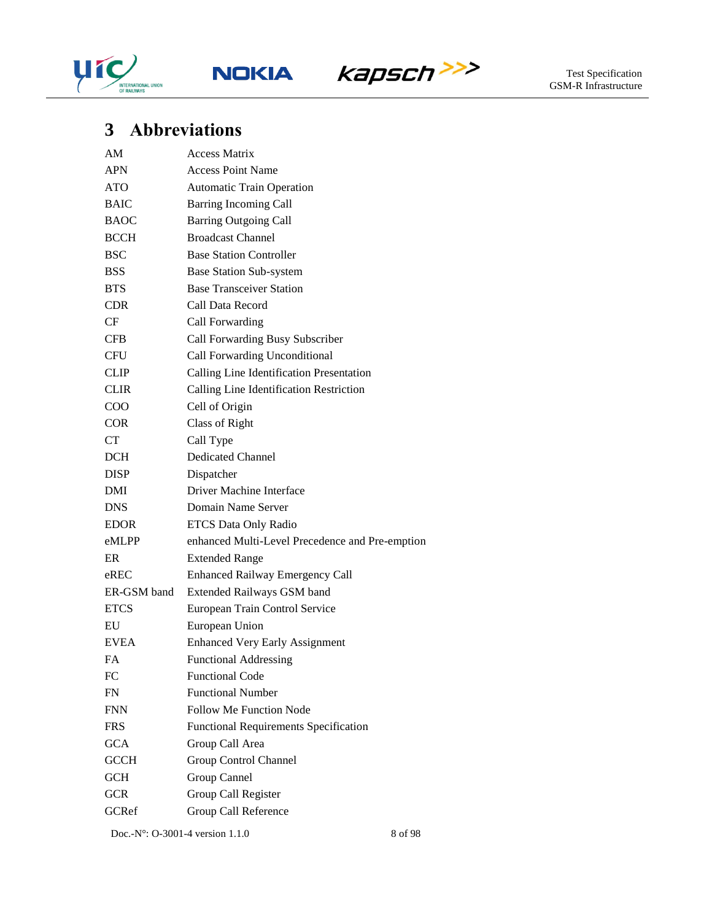





## <span id="page-7-0"></span>**3 Abbreviations**

| AM          | <b>Access Matrix</b>                            |
|-------------|-------------------------------------------------|
| <b>APN</b>  | <b>Access Point Name</b>                        |
| <b>ATO</b>  | <b>Automatic Train Operation</b>                |
| <b>BAIC</b> | Barring Incoming Call                           |
| <b>BAOC</b> | <b>Barring Outgoing Call</b>                    |
| <b>BCCH</b> | <b>Broadcast Channel</b>                        |
| <b>BSC</b>  | <b>Base Station Controller</b>                  |
| <b>BSS</b>  | <b>Base Station Sub-system</b>                  |
| <b>BTS</b>  | <b>Base Transceiver Station</b>                 |
| <b>CDR</b>  | Call Data Record                                |
| СF          | Call Forwarding                                 |
| <b>CFB</b>  | Call Forwarding Busy Subscriber                 |
| CFU         | Call Forwarding Unconditional                   |
| <b>CLIP</b> | Calling Line Identification Presentation        |
| <b>CLIR</b> | Calling Line Identification Restriction         |
| COO         | Cell of Origin                                  |
| <b>COR</b>  | Class of Right                                  |
| <b>CT</b>   | Call Type                                       |
| DCH         | <b>Dedicated Channel</b>                        |
| DISP        | Dispatcher                                      |
| DMI         | Driver Machine Interface                        |
| DNS         | Domain Name Server                              |
| <b>EDOR</b> | ETCS Data Only Radio                            |
| eMLPP       | enhanced Multi-Level Precedence and Pre-emption |
| ER.         | <b>Extended Range</b>                           |
| eREC        | <b>Enhanced Railway Emergency Call</b>          |
| ER-GSM band | Extended Railways GSM band                      |
| <b>ETCS</b> | European Train Control Service                  |
| EU          | European Union                                  |
| <b>EVEA</b> | <b>Enhanced Very Early Assignment</b>           |
| <b>FA</b>   | <b>Functional Addressing</b>                    |
| FC          | <b>Functional Code</b>                          |
| <b>FN</b>   | <b>Functional Number</b>                        |
| <b>FNN</b>  | <b>Follow Me Function Node</b>                  |
| <b>FRS</b>  | <b>Functional Requirements Specification</b>    |
| <b>GCA</b>  | Group Call Area                                 |
| <b>GCCH</b> | Group Control Channel                           |
| <b>GCH</b>  | Group Cannel                                    |
| <b>GCR</b>  | Group Call Register                             |
| GCRef       | Group Call Reference                            |

Doc.-N°: O-3001-4 version 1.1.0 8 of 98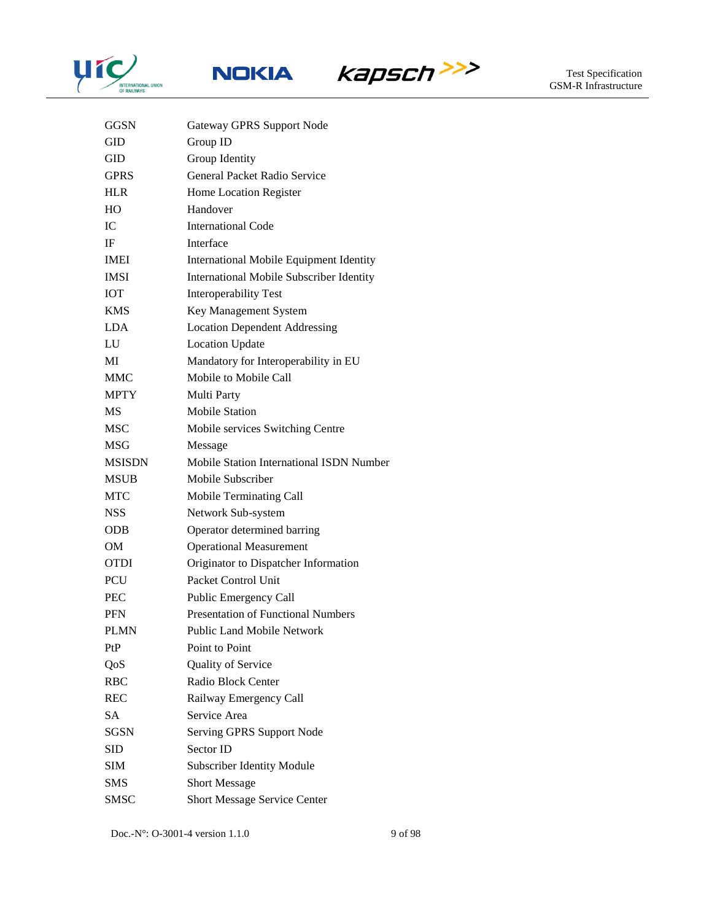





| <b>GGSN</b>   | <b>Gateway GPRS Support Node</b>          |
|---------------|-------------------------------------------|
| GID           | Group ID                                  |
| GID           | Group Identity                            |
| <b>GPRS</b>   | General Packet Radio Service              |
| <b>HLR</b>    | Home Location Register                    |
| HO            | Handover                                  |
| IС            | <b>International Code</b>                 |
| IF            | Interface                                 |
| <b>IMEI</b>   | International Mobile Equipment Identity   |
| <b>IMSI</b>   | International Mobile Subscriber Identity  |
| <b>IOT</b>    | Interoperability Test                     |
| <b>KMS</b>    | Key Management System                     |
| <b>LDA</b>    | <b>Location Dependent Addressing</b>      |
| LU            | <b>Location Update</b>                    |
| MI            | Mandatory for Interoperability in EU      |
| <b>MMC</b>    | Mobile to Mobile Call                     |
| <b>MPTY</b>   | Multi Party                               |
| MS            | <b>Mobile Station</b>                     |
| MSC           | Mobile services Switching Centre          |
| <b>MSG</b>    | Message                                   |
| <b>MSISDN</b> | Mobile Station International ISDN Number  |
| <b>MSUB</b>   | Mobile Subscriber                         |
| <b>MTC</b>    | Mobile Terminating Call                   |
| <b>NSS</b>    | Network Sub-system                        |
| <b>ODB</b>    | Operator determined barring               |
| OМ            | <b>Operational Measurement</b>            |
| <b>OTDI</b>   | Originator to Dispatcher Information      |
| PCU           | Packet Control Unit                       |
| <b>PEC</b>    | Public Emergency Call                     |
| <b>PFN</b>    | <b>Presentation of Functional Numbers</b> |
| <b>PLMN</b>   | <b>Public Land Mobile Network</b>         |
| PtP           | Point to Point                            |
| QoS           | Quality of Service                        |
| <b>RBC</b>    | Radio Block Center                        |
| <b>REC</b>    | Railway Emergency Call                    |
| <b>SA</b>     | Service Area                              |
| <b>SGSN</b>   | Serving GPRS Support Node                 |
| SID           | Sector ID                                 |
| <b>SIM</b>    | <b>Subscriber Identity Module</b>         |
| <b>SMS</b>    | <b>Short Message</b>                      |
| <b>SMSC</b>   | <b>Short Message Service Center</b>       |

Doc.-N°: O-3001-4 version 1.1.0 9 of 98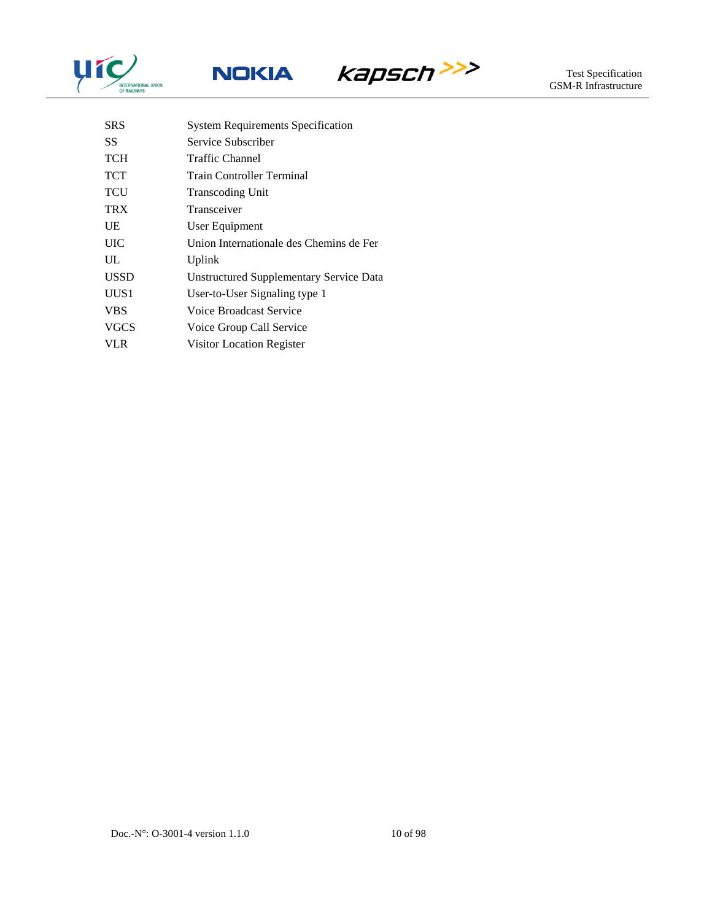





| SRS         | <b>System Requirements Specification</b>       |
|-------------|------------------------------------------------|
| SS          | Service Subscriber                             |
| <b>TCH</b>  | Traffic Channel                                |
| TCT         | Train Controller Terminal                      |
| TCU         | <b>Transcoding Unit</b>                        |
| <b>TRX</b>  | Transceiver                                    |
| UE          | User Equipment                                 |
| UІС         | Union Internationale des Chemins de Fer        |
| UL          | Uplink                                         |
| <b>USSD</b> | <b>Unstructured Supplementary Service Data</b> |
| UUS1        | User-to-User Signaling type 1                  |
| <b>VBS</b>  | Voice Broadcast Service                        |
| <b>VGCS</b> | Voice Group Call Service                       |
| VLR         | Visitor Location Register                      |
|             |                                                |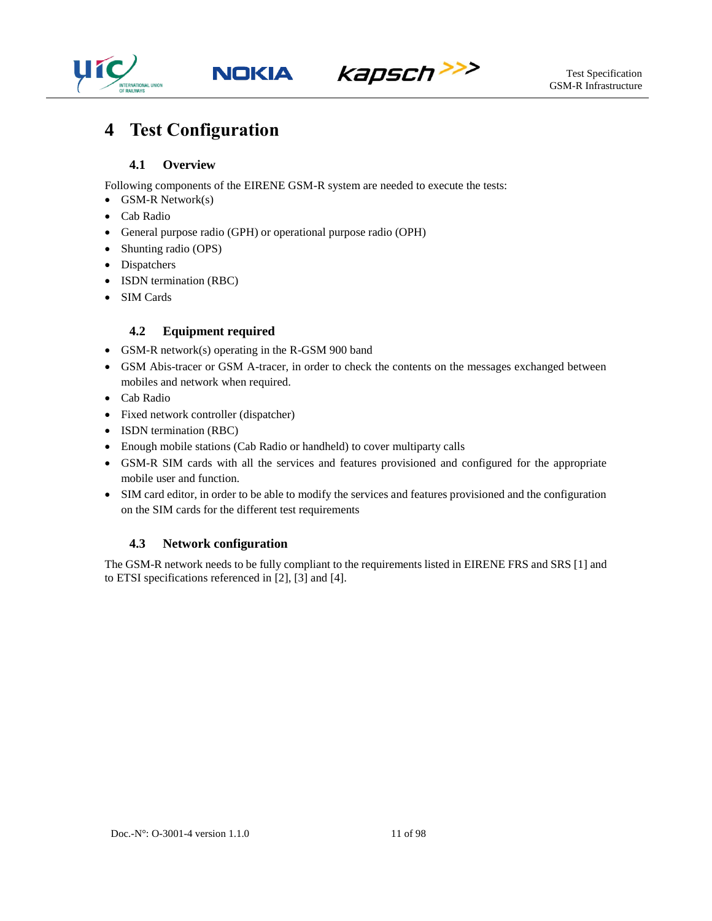



## <span id="page-10-1"></span><span id="page-10-0"></span>**4 Test Configuration**

## **4.1 Overview**

Following components of the EIRENE GSM-R system are needed to execute the tests:

- $\bullet$  GSM-R Network(s)
- Cab Radio
- General purpose radio (GPH) or operational purpose radio (OPH)

**NOKIA** 

- Shunting radio (OPS)
- Dispatchers
- ISDN termination (RBC)
- <span id="page-10-2"></span>• SIM Cards

## **4.2 Equipment required**

- GSM-R network(s) operating in the R-GSM 900 band
- GSM Abis-tracer or GSM A-tracer, in order to check the contents on the messages exchanged between mobiles and network when required.
- Cab Radio
- Fixed network controller (dispatcher)
- ISDN termination (RBC)
- Enough mobile stations (Cab Radio or handheld) to cover multiparty calls
- GSM-R SIM cards with all the services and features provisioned and configured for the appropriate mobile user and function.
- <span id="page-10-3"></span> SIM card editor, in order to be able to modify the services and features provisioned and the configuration on the SIM cards for the different test requirements

## **4.3 Network configuration**

The GSM-R network needs to be fully compliant to the requirements listed in EIRENE FRS and SRS [1] and to ETSI specifications referenced in [2], [3] and [4].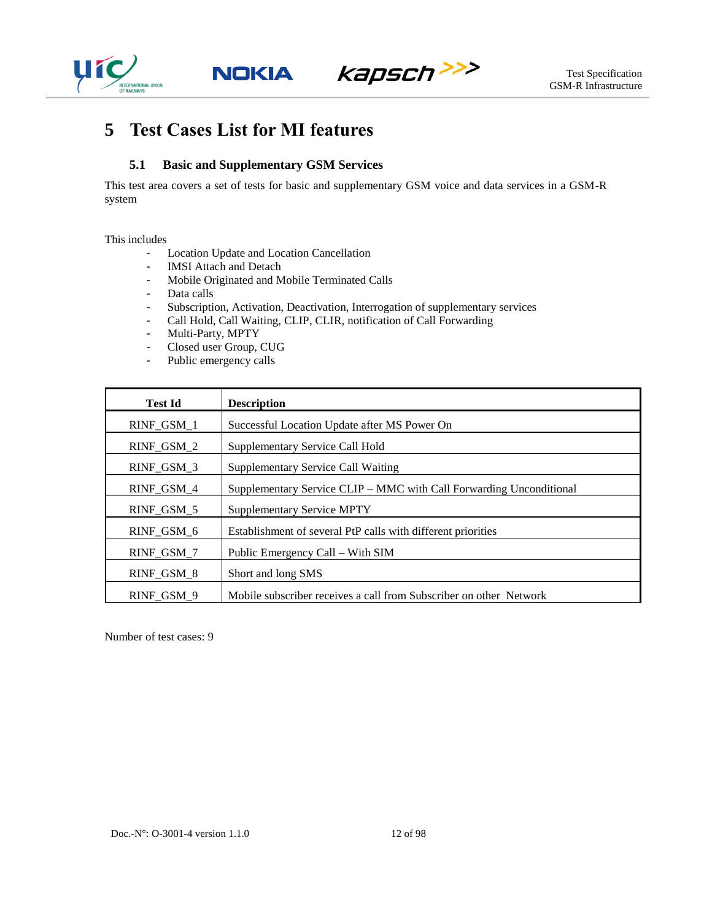



## <span id="page-11-1"></span><span id="page-11-0"></span>**5 Test Cases List for MI features**

## **5.1 Basic and Supplementary GSM Services**

**NOKIA** 

This test area covers a set of tests for basic and supplementary GSM voice and data services in a GSM-R system

#### This includes

- Location Update and Location Cancellation
- IMSI Attach and Detach
- Mobile Originated and Mobile Terminated Calls
- Data calls
- Subscription, Activation, Deactivation, Interrogation of supplementary services
- Call Hold, Call Waiting, CLIP, CLIR, notification of Call Forwarding
- Multi-Party, MPTY
- Closed user Group, CUG
- Public emergency calls

| <b>Test Id</b> | <b>Description</b>                                                  |
|----------------|---------------------------------------------------------------------|
| RINF_GSM_1     | Successful Location Update after MS Power On                        |
| RINF_GSM_2     | Supplementary Service Call Hold                                     |
| RINF GSM 3     | Supplementary Service Call Waiting                                  |
| RINF GSM 4     | Supplementary Service CLIP – MMC with Call Forwarding Unconditional |
| RINF GSM 5     | <b>Supplementary Service MPTY</b>                                   |
| RINF GSM 6     | Establishment of several PtP calls with different priorities        |
| RINF_GSM_7     | Public Emergency Call – With SIM                                    |
| RINF GSM 8     | Short and long SMS                                                  |
| RINF_GSM_9     | Mobile subscriber receives a call from Subscriber on other Network  |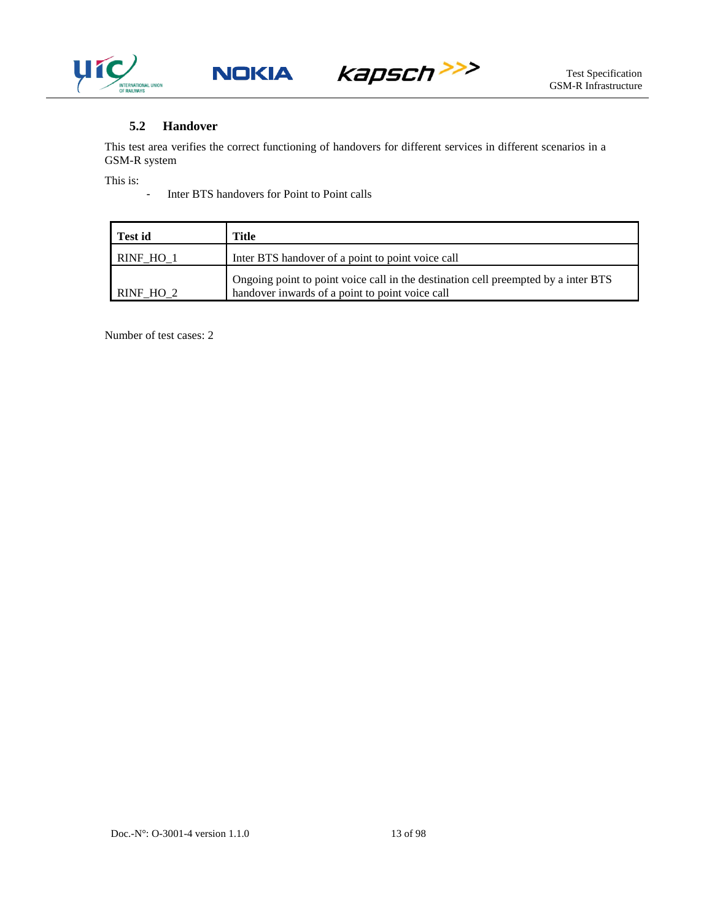



## **5.2 Handover**

<span id="page-12-0"></span>This test area verifies the correct functioning of handovers for different services in different scenarios in a GSM-R system

This is:

- Inter BTS handovers for Point to Point calls

**NOKIA** 

| <b>Test id</b> | Title                                                                                                                                 |
|----------------|---------------------------------------------------------------------------------------------------------------------------------------|
| RINF HO 1      | Inter BTS handover of a point to point voice call                                                                                     |
| RINF HO 2      | Ongoing point to point voice call in the destination cell preempted by a inter BTS<br>handover inwards of a point to point voice call |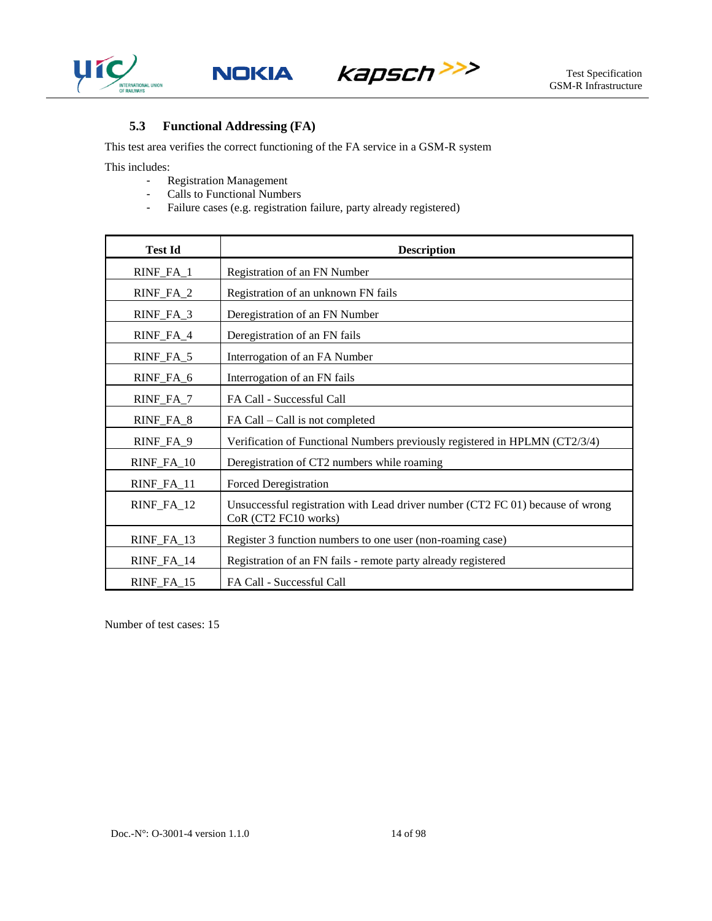



## **5.3 Functional Addressing (FA)**

**NOKIA** 

<span id="page-13-0"></span>This test area verifies the correct functioning of the FA service in a GSM-R system

This includes:

- Registration Management
- Calls to Functional Numbers<br>- Failure cases (e.g. registration
- Failure cases (e.g. registration failure, party already registered)

| <b>Test Id</b> | <b>Description</b>                                                                                     |
|----------------|--------------------------------------------------------------------------------------------------------|
| RINF_FA_1      | Registration of an FN Number                                                                           |
| RINF_FA_2      | Registration of an unknown FN fails                                                                    |
| RINF_FA_3      | Deregistration of an FN Number                                                                         |
| RINF_FA_4      | Deregistration of an FN fails                                                                          |
| RINF_FA_5      | Interrogation of an FA Number                                                                          |
| RINF_FA_6      | Interrogation of an FN fails                                                                           |
| RINF_FA_7      | FA Call - Successful Call                                                                              |
| RINF_FA_8      | FA Call – Call is not completed                                                                        |
| RINF_FA_9      | Verification of Functional Numbers previously registered in HPLMN (CT2/3/4)                            |
| RINF_FA_10     | Deregistration of CT2 numbers while roaming                                                            |
| RINF_FA_11     | Forced Deregistration                                                                                  |
| RINF_FA_12     | Unsuccessful registration with Lead driver number (CT2 FC 01) because of wrong<br>CoR (CT2 FC10 works) |
| RINF_FA_13     | Register 3 function numbers to one user (non-roaming case)                                             |
| RINF_FA_14     | Registration of an FN fails - remote party already registered                                          |
| RINF_FA_15     | FA Call - Successful Call                                                                              |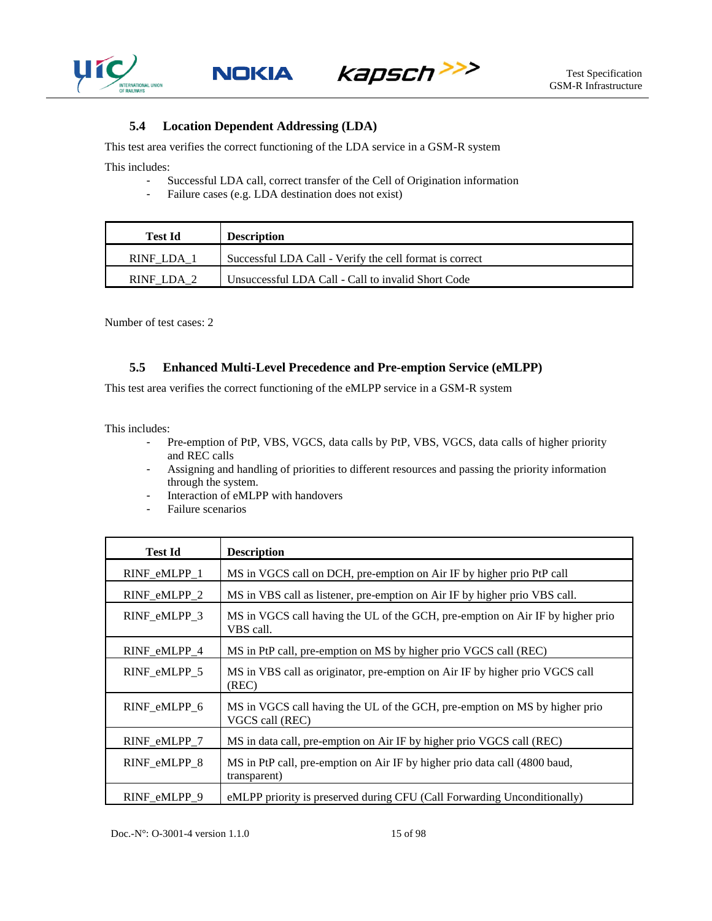



## **5.4 Location Dependent Addressing (LDA)**

**NOKIA** 

<span id="page-14-0"></span>This test area verifies the correct functioning of the LDA service in a GSM-R system

This includes:

- Successful LDA call, correct transfer of the Cell of Origination information
- Failure cases (e.g. LDA destination does not exist)

| <b>Test Id</b> | <b>Description</b>                                      |
|----------------|---------------------------------------------------------|
| RINF LDA       | Successful LDA Call - Verify the cell format is correct |
| RINF LDA 2     | Unsuccessful LDA Call - Call to invalid Short Code      |

<span id="page-14-1"></span>Number of test cases: 2

## **5.5 Enhanced Multi-Level Precedence and Pre-emption Service (eMLPP)**

This test area verifies the correct functioning of the eMLPP service in a GSM-R system

This includes:

- Pre-emption of PtP, VBS, VGCS, data calls by PtP, VBS, VGCS, data calls of higher priority and REC calls
- Assigning and handling of priorities to different resources and passing the priority information through the system.
- Interaction of eMLPP with handovers
- Failure scenarios

| <b>Test Id</b> | <b>Description</b>                                                                            |  |
|----------------|-----------------------------------------------------------------------------------------------|--|
| RINF_eMLPP_1   | MS in VGCS call on DCH, pre-emption on Air IF by higher prio PtP call                         |  |
| RINF_eMLPP_2   | MS in VBS call as listener, pre-emption on Air IF by higher prio VBS call.                    |  |
| RINF eMLPP 3   | MS in VGCS call having the UL of the GCH, pre-emption on Air IF by higher prio<br>VBS call.   |  |
| RINF eMLPP 4   | MS in PtP call, pre-emption on MS by higher prio VGCS call (REC)                              |  |
| RINF eMLPP 5   | MS in VBS call as originator, pre-emption on Air IF by higher prio VGCS call<br>(REC)         |  |
| RINF_eMLPP_6   | MS in VGCS call having the UL of the GCH, pre-emption on MS by higher prio<br>VGCS call (REC) |  |
| RINF eMLPP 7   | MS in data call, pre-emption on Air IF by higher prio VGCS call (REC)                         |  |
| RINF eMLPP 8   | MS in PtP call, pre-emption on Air IF by higher prio data call (4800 baud,<br>transparent)    |  |
| RINF eMLPP 9   | eMLPP priority is preserved during CFU (Call Forwarding Unconditionally)                      |  |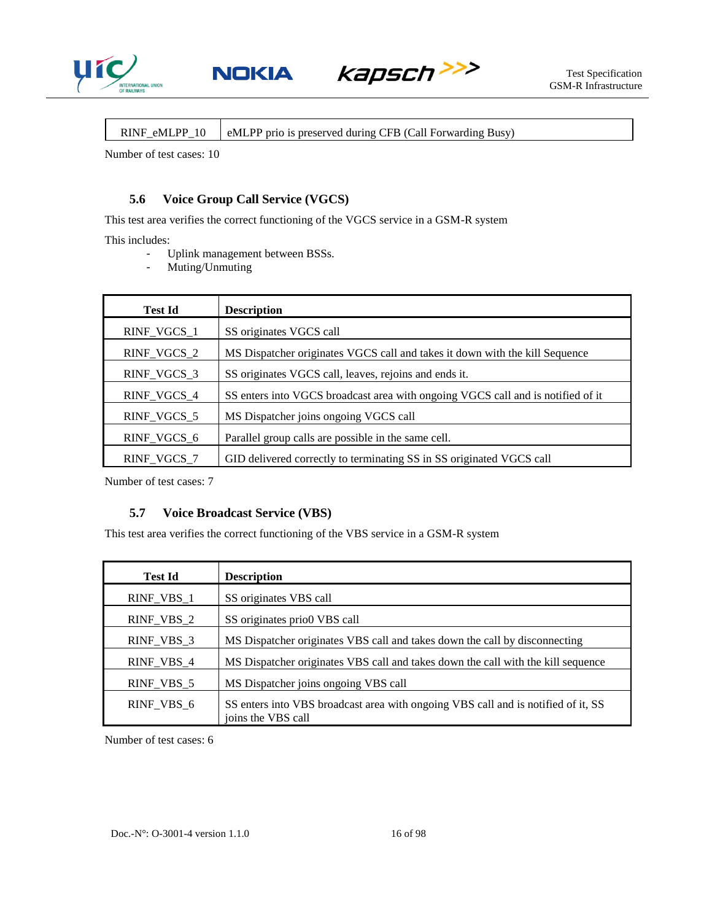



RINF\_eMLPP\_10 eMLPP prio is preserved during CFB (Call Forwarding Busy)

<span id="page-15-0"></span>Number of test cases: 10

## **5.6 Voice Group Call Service (VGCS)**

**NOKIA** 

This test area verifies the correct functioning of the VGCS service in a GSM-R system

#### This includes:

- Uplink management between BSSs.
- Muting/Unmuting

| <b>Test Id</b> | <b>Description</b>                                                              |  |
|----------------|---------------------------------------------------------------------------------|--|
| RINF_VGCS_1    | SS originates VGCS call                                                         |  |
| RINF_VGCS_2    | MS Dispatcher originates VGCS call and takes it down with the kill Sequence     |  |
| RINF_VGCS_3    | SS originates VGCS call, leaves, rejoins and ends it.                           |  |
| RINF_VGCS_4    | SS enters into VGCS broadcast area with ongoing VGCS call and is notified of it |  |
| RINF_VGCS_5    | MS Dispatcher joins ongoing VGCS call                                           |  |
| RINF_VGCS_6    | Parallel group calls are possible in the same cell.                             |  |
| RINF_VGCS_7    | GID delivered correctly to terminating SS in SS originated VGCS call            |  |

<span id="page-15-1"></span>Number of test cases: 7

## **5.7 Voice Broadcast Service (VBS)**

This test area verifies the correct functioning of the VBS service in a GSM-R system

| <b>Test Id</b> | <b>Description</b>                                                                                      |  |
|----------------|---------------------------------------------------------------------------------------------------------|--|
| RINF_VBS_1     | SS originates VBS call                                                                                  |  |
| RINF_VBS_2     | SS originates prio0 VBS call                                                                            |  |
| RINF_VBS_3     | MS Dispatcher originates VBS call and takes down the call by disconnecting                              |  |
| RINF_VBS_4     | MS Dispatcher originates VBS call and takes down the call with the kill sequence                        |  |
| RINF_VBS_5     | MS Dispatcher joins ongoing VBS call                                                                    |  |
| RINF VBS 6     | SS enters into VBS broadcast area with ongoing VBS call and is notified of it, SS<br>joins the VBS call |  |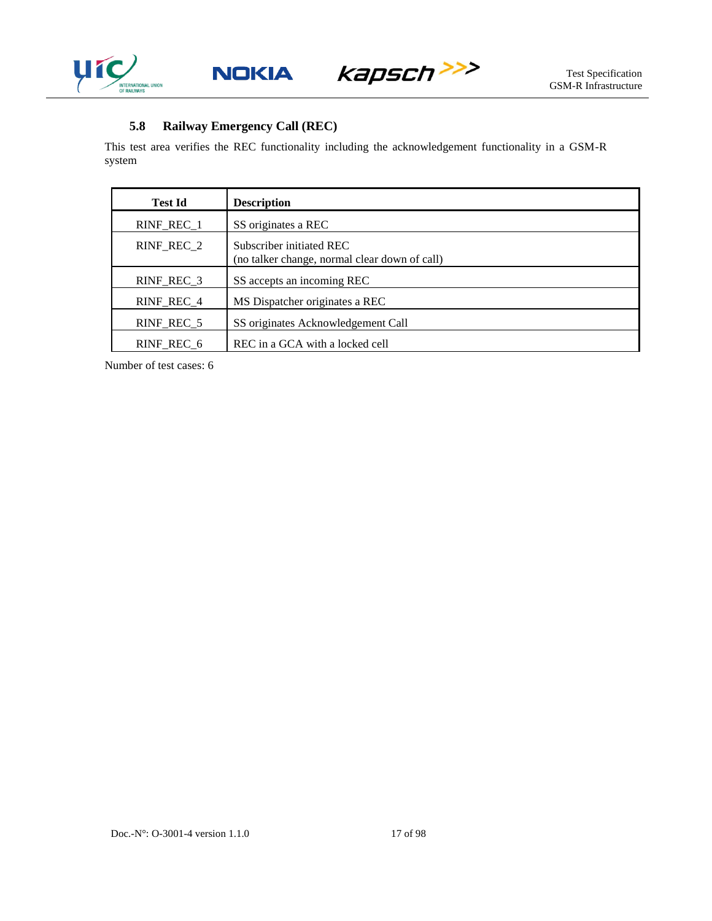



## **5.8 Railway Emergency Call (REC)**

**NOKIA** 

<span id="page-16-0"></span>This test area verifies the REC functionality including the acknowledgement functionality in a GSM-R system

| <b>Test Id</b> | <b>Description</b>                                                        |  |
|----------------|---------------------------------------------------------------------------|--|
| RINF REC 1     | SS originates a REC                                                       |  |
| RINF REC 2     | Subscriber initiated REC<br>(no talker change, normal clear down of call) |  |
| RINF_REC_3     | SS accepts an incoming REC                                                |  |
| RINF_REC_4     | MS Dispatcher originates a REC<br>SS originates Acknowledgement Call      |  |
| RINF_REC_5     |                                                                           |  |
| RINF REC 6     | REC in a GCA with a locked cell                                           |  |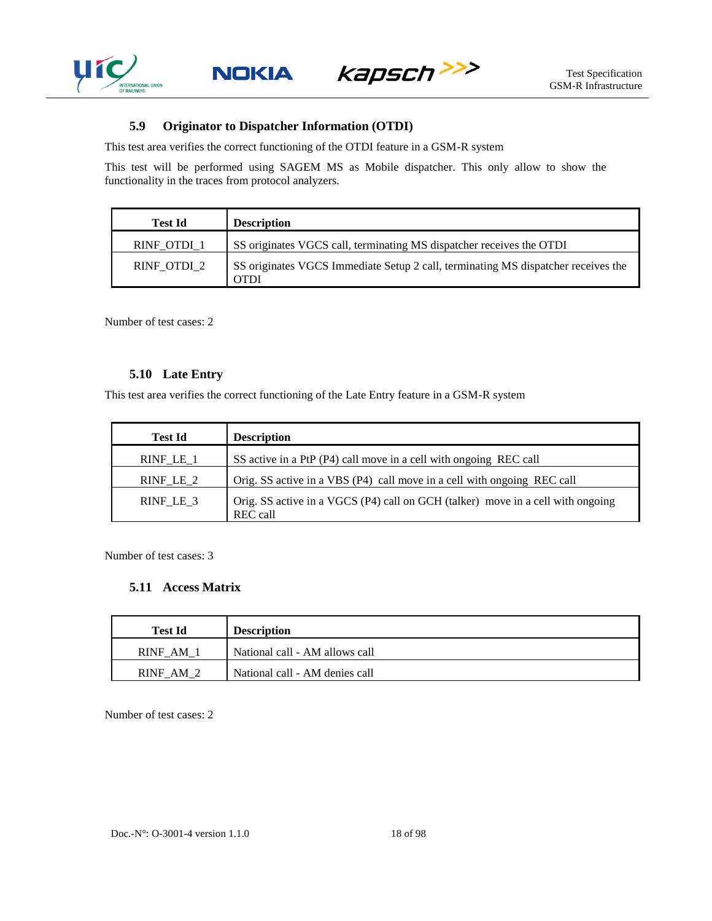



## **5.9 Originator to Dispatcher Information (OTDI)**

**NOKIA** 

<span id="page-17-0"></span>This test area verifies the correct functioning of the OTDI feature in a GSM-R system

This test will be performed using SAGEM MS as Mobile dispatcher. This only allow to show the functionality in the traces from protocol analyzers.

| <b>Test Id</b> | <b>Description</b>                                                                        |
|----------------|-------------------------------------------------------------------------------------------|
| RINF OTDI 1    | SS originates VGCS call, terminating MS dispatcher receives the OTDI                      |
| RINF_OTDI_2    | SS originates VGCS Immediate Setup 2 call, terminating MS dispatcher receives the<br>OTDI |

<span id="page-17-1"></span>Number of test cases: 2

## **5.10 Late Entry**

This test area verifies the correct functioning of the Late Entry feature in a GSM-R system

| <b>Test Id</b> | <b>Description</b>                                                                                 |  |
|----------------|----------------------------------------------------------------------------------------------------|--|
| RINF LE 1      | SS active in a PtP (P4) call move in a cell with ongoing REC call                                  |  |
| RINF LE 2      | Orig. SS active in a VBS (P4) call move in a cell with ongoing REC call                            |  |
| RINF LE 3      | Orig. SS active in a VGCS (P4) call on GCH (talker) move in a cell with ongoing<br><b>REC</b> call |  |

<span id="page-17-2"></span>Number of test cases: 3

#### **5.11 Access Matrix**

| <b>Test Id</b> | <b>Description</b>             |
|----------------|--------------------------------|
| RINF AM 1      | National call - AM allows call |
| RINF AM 2      | National call - AM denies call |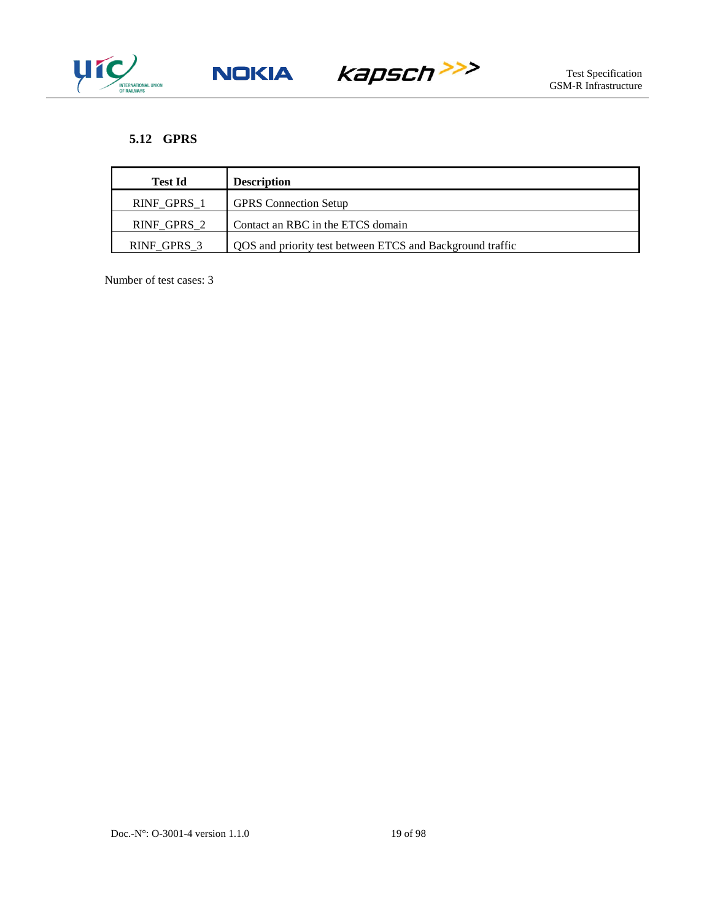





## <span id="page-18-0"></span>**5.12 GPRS**

| <b>Test Id</b> | <b>Description</b>                                        |  |
|----------------|-----------------------------------------------------------|--|
| RINF GPRS 1    | <b>GPRS</b> Connection Setup                              |  |
| RINF GPRS 2    | Contact an RBC in the ETCS domain                         |  |
| RINF GPRS 3    | QOS and priority test between ETCS and Background traffic |  |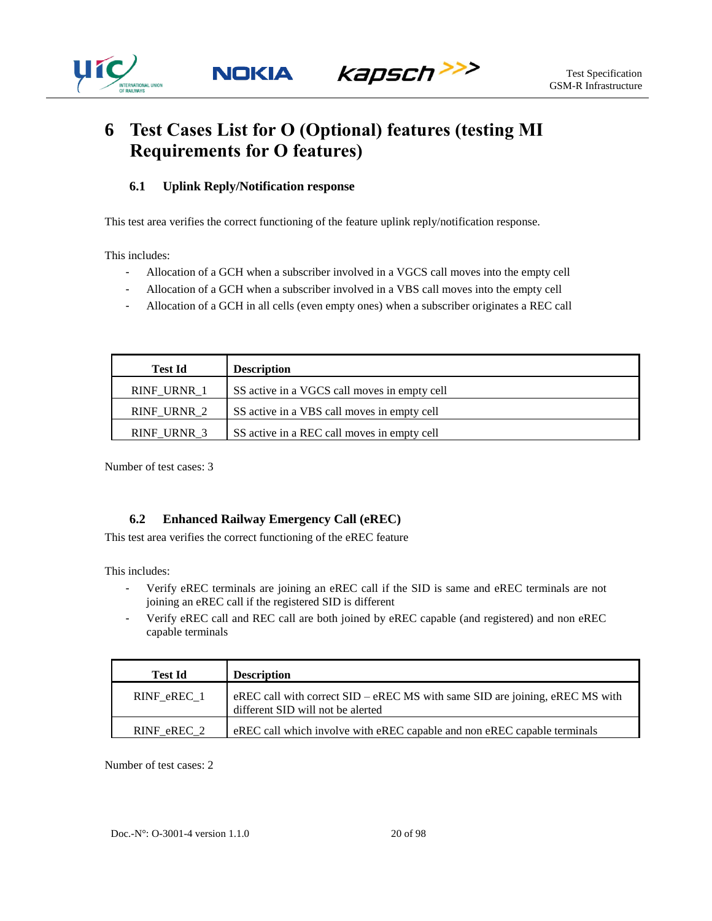



## <span id="page-19-0"></span>**6 Test Cases List for O (Optional) features (testing MI Requirements for O features)**

kapsch<sup>>>></sup>

## <span id="page-19-1"></span>**6.1 Uplink Reply/Notification response**

**NOKIA** 

This test area verifies the correct functioning of the feature uplink reply/notification response.

This includes:

- Allocation of a GCH when a subscriber involved in a VGCS call moves into the empty cell
- Allocation of a GCH when a subscriber involved in a VBS call moves into the empty cell
- Allocation of a GCH in all cells (even empty ones) when a subscriber originates a REC call

| <b>Test Id</b>     | <b>Description</b>                           |  |
|--------------------|----------------------------------------------|--|
| <b>RINF URNR 1</b> | SS active in a VGCS call moves in empty cell |  |
| RINF URNR 2        | SS active in a VBS call moves in empty cell  |  |
| RINF URNR 3        | SS active in a REC call moves in empty cell  |  |

Number of test cases: 3

## <span id="page-19-2"></span>**6.2 Enhanced Railway Emergency Call (eREC)**

This test area verifies the correct functioning of the eREC feature

This includes:

- Verify eREC terminals are joining an eREC call if the SID is same and eREC terminals are not joining an eREC call if the registered SID is different
- Verify eREC call and REC call are both joined by eREC capable (and registered) and non eREC capable terminals

| <b>Test Id</b> | <b>Description</b>                                                                                                         |
|----------------|----------------------------------------------------------------------------------------------------------------------------|
| RINF eREC 1    | $e$ REC call with correct SID – $e$ REC MS with same SID are joining, $e$ REC MS with<br>different SID will not be alerted |
| RINF eREC 2    | eREC call which involve with eREC capable and non eREC capable terminals                                                   |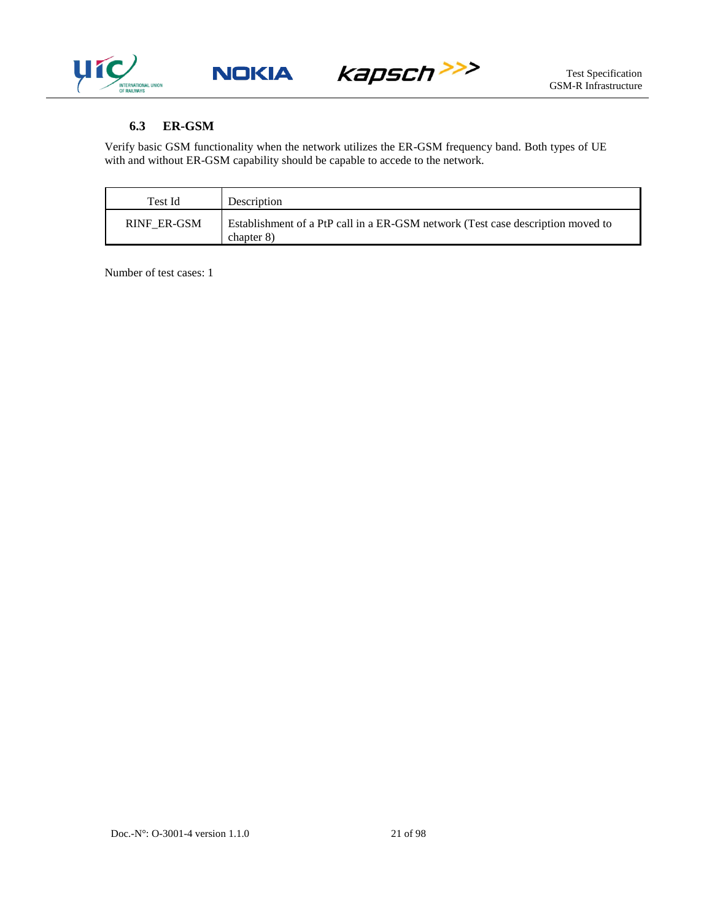

## **6.3 ER-GSM**

<span id="page-20-0"></span>Verify basic GSM functionality when the network utilizes the ER-GSM frequency band. Both types of UE with and without ER-GSM capability should be capable to accede to the network.

| Test Id            | Description                                                                                   |
|--------------------|-----------------------------------------------------------------------------------------------|
| <b>RINF ER-GSM</b> | Establishment of a PtP call in a ER-GSM network (Test case description moved to<br>chapter 8) |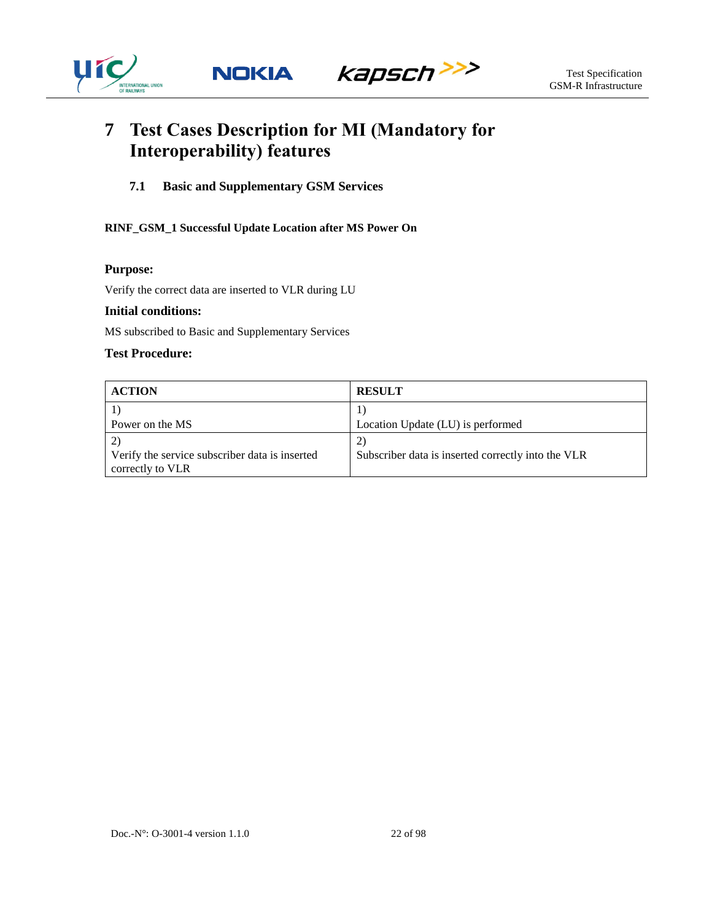



## <span id="page-21-0"></span>**7 Test Cases Description for MI (Mandatory for Interoperability) features**

## <span id="page-21-1"></span>**7.1 Basic and Supplementary GSM Services**

## **RINF\_GSM\_1 Successful Update Location after MS Power On**

### **Purpose:**

Verify the correct data are inserted to VLR during LU

#### **Initial conditions:**

MS subscribed to Basic and Supplementary Services

| <b>ACTION</b>                                  | <b>RESULT</b>                                      |
|------------------------------------------------|----------------------------------------------------|
|                                                |                                                    |
| Power on the MS                                | Location Update (LU) is performed                  |
| (2)                                            | $\left( 2\right)$                                  |
| Verify the service subscriber data is inserted | Subscriber data is inserted correctly into the VLR |
| correctly to VLR                               |                                                    |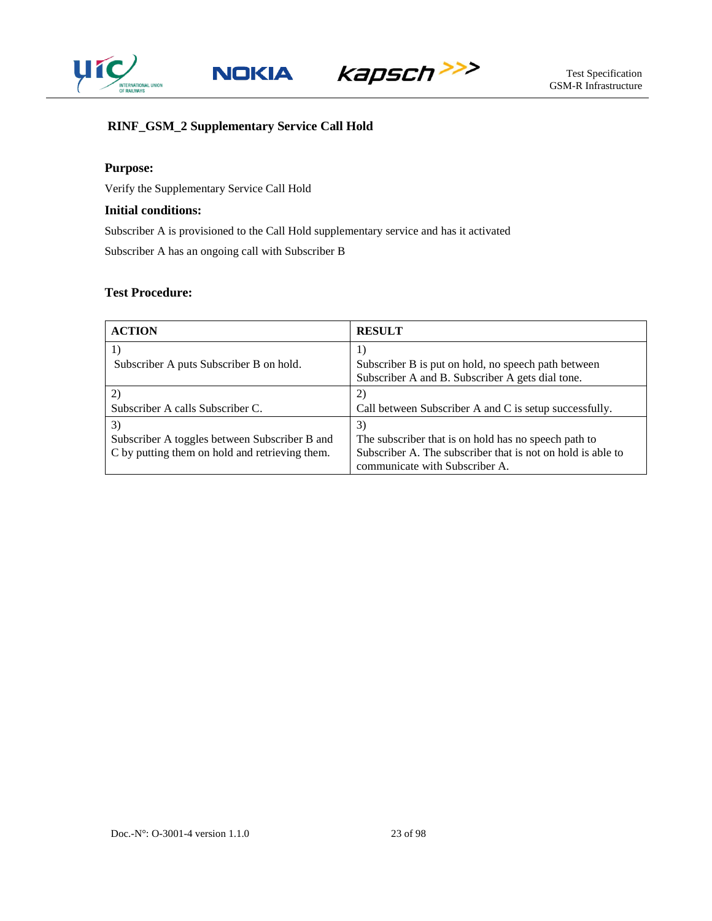



## **RINF\_GSM\_2 Supplementary Service Call Hold**

**NOKIA** 

## **Purpose:**

Verify the Supplementary Service Call Hold

## **Initial conditions:**

Subscriber A is provisioned to the Call Hold supplementary service and has it activated

Subscriber A has an ongoing call with Subscriber B

| <b>ACTION</b>                                  | <b>RESULT</b>                                               |
|------------------------------------------------|-------------------------------------------------------------|
|                                                | 1)                                                          |
| Subscriber A puts Subscriber B on hold.        | Subscriber B is put on hold, no speech path between         |
|                                                | Subscriber A and B. Subscriber A gets dial tone.            |
| 2)                                             | 2)                                                          |
| Subscriber A calls Subscriber C.               | Call between Subscriber A and C is setup successfully.      |
| 3)                                             | 3)                                                          |
| Subscriber A toggles between Subscriber B and  | The subscriber that is on hold has no speech path to        |
| C by putting them on hold and retrieving them. | Subscriber A. The subscriber that is not on hold is able to |
|                                                | communicate with Subscriber A.                              |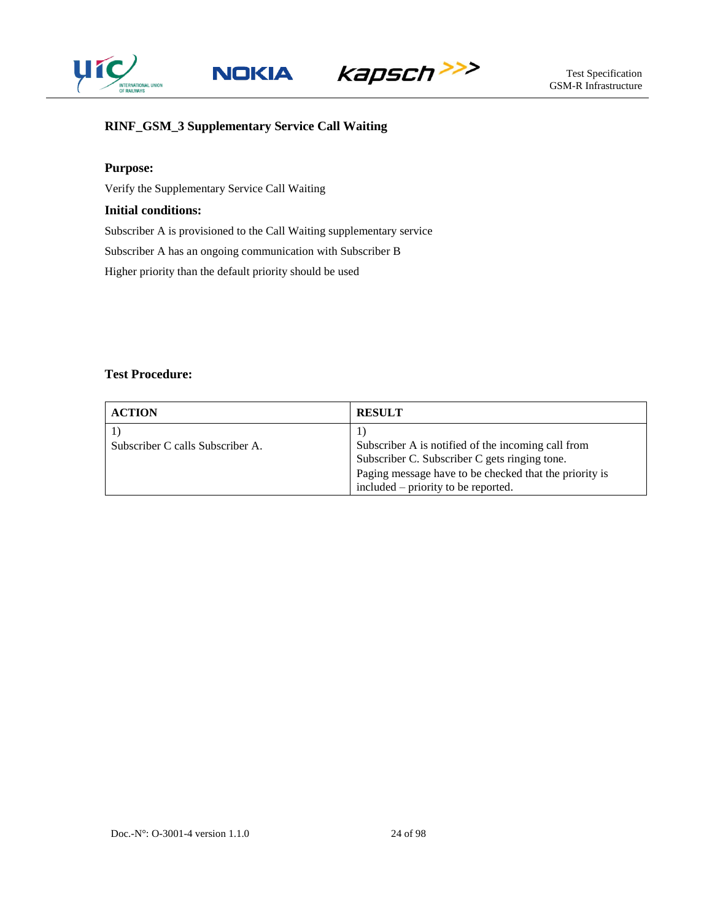



## **RINF\_GSM\_3 Supplementary Service Call Waiting**

**NOKIA** 

## **Purpose:**

Verify the Supplementary Service Call Waiting

### **Initial conditions:**

Subscriber A is provisioned to the Call Waiting supplementary service

Subscriber A has an ongoing communication with Subscriber B

Higher priority than the default priority should be used

| <b>ACTION</b>                    | <b>RESULT</b>                                                                                                                                                                                        |
|----------------------------------|------------------------------------------------------------------------------------------------------------------------------------------------------------------------------------------------------|
| Subscriber C calls Subscriber A. | Subscriber A is notified of the incoming call from<br>Subscriber C. Subscriber C gets ringing tone.<br>Paging message have to be checked that the priority is<br>included – priority to be reported. |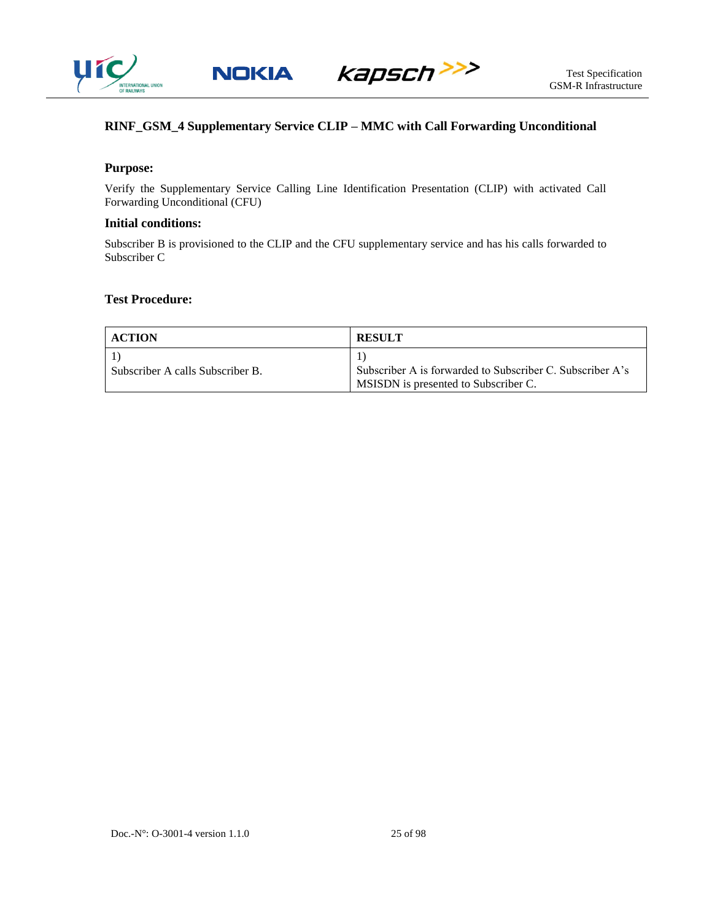



## **RINF\_GSM\_4 Supplementary Service CLIP – MMC with Call Forwarding Unconditional**

### **Purpose:**

Verify the Supplementary Service Calling Line Identification Presentation (CLIP) with activated Call Forwarding Unconditional (CFU)

#### **Initial conditions:**

Subscriber B is provisioned to the CLIP and the CFU supplementary service and has his calls forwarded to Subscriber C

| <b>ACTION</b>                    | <b>RESULT</b>                                                                                     |
|----------------------------------|---------------------------------------------------------------------------------------------------|
| Subscriber A calls Subscriber B. | Subscriber A is forwarded to Subscriber C. Subscriber A's<br>MSISDN is presented to Subscriber C. |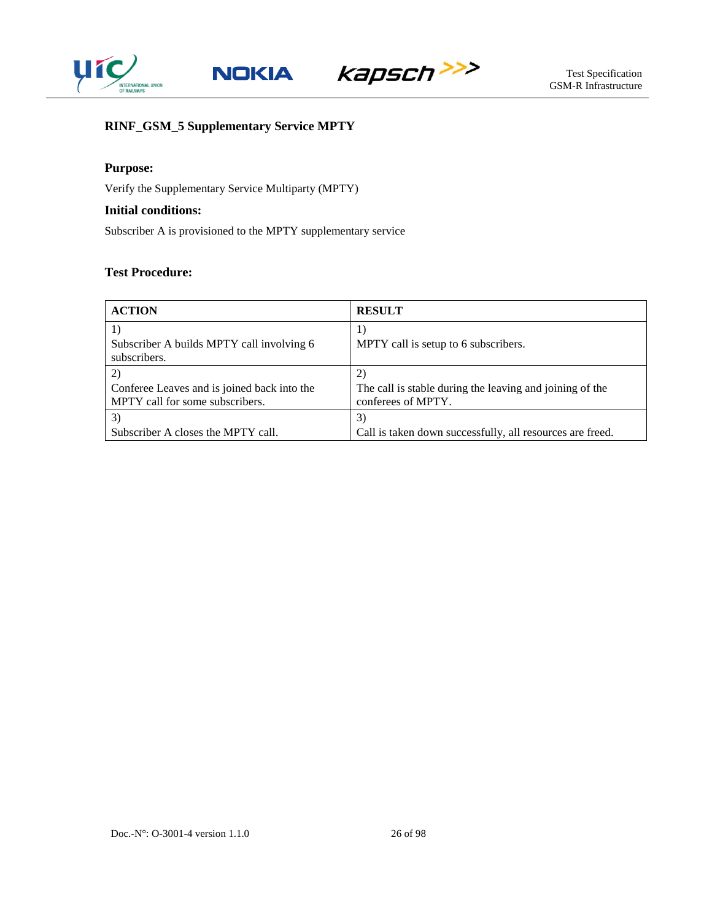



## **RINF\_GSM\_5 Supplementary Service MPTY**

**NOKIA** 

## **Purpose:**

Verify the Supplementary Service Multiparty (MPTY)

## **Initial conditions:**

Subscriber A is provisioned to the MPTY supplementary service

| <b>ACTION</b>                               | <b>RESULT</b>                                             |
|---------------------------------------------|-----------------------------------------------------------|
|                                             | $_{1}$                                                    |
| Subscriber A builds MPTY call involving 6   | MPTY call is setup to 6 subscribers.                      |
| subscribers.                                |                                                           |
| $\mathbf{2}$                                | 2)                                                        |
| Conferee Leaves and is joined back into the | The call is stable during the leaving and joining of the  |
| MPTY call for some subscribers.             | conferees of MPTY.                                        |
| 3)                                          | 3)                                                        |
| Subscriber A closes the MPTY call.          | Call is taken down successfully, all resources are freed. |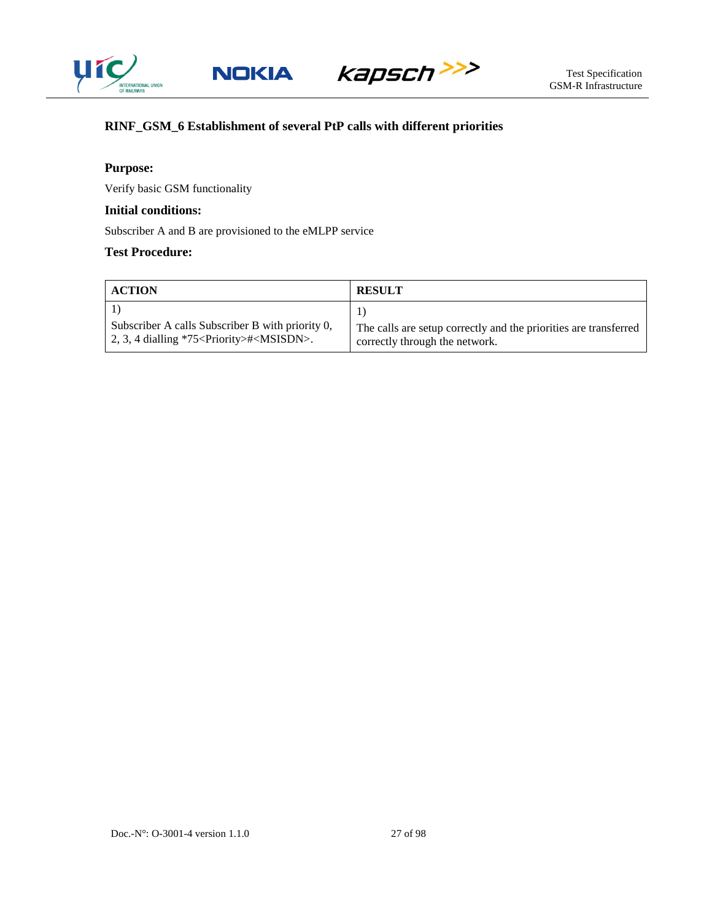



## **RINF\_GSM\_6 Establishment of several PtP calls with different priorities**

## **Purpose:**

Verify basic GSM functionality

## **Initial conditions:**

Subscriber A and B are provisioned to the eMLPP service

**NOKIA** 

| <b>ACTION</b>                                                   | <b>RESULT</b>                                                    |
|-----------------------------------------------------------------|------------------------------------------------------------------|
| Subscriber A calls Subscriber B with priority 0,                | The calls are setup correctly and the priorities are transferred |
| 2, 3, 4 dialling $*75$ <priority>#<msisdn>.</msisdn></priority> | correctly through the network.                                   |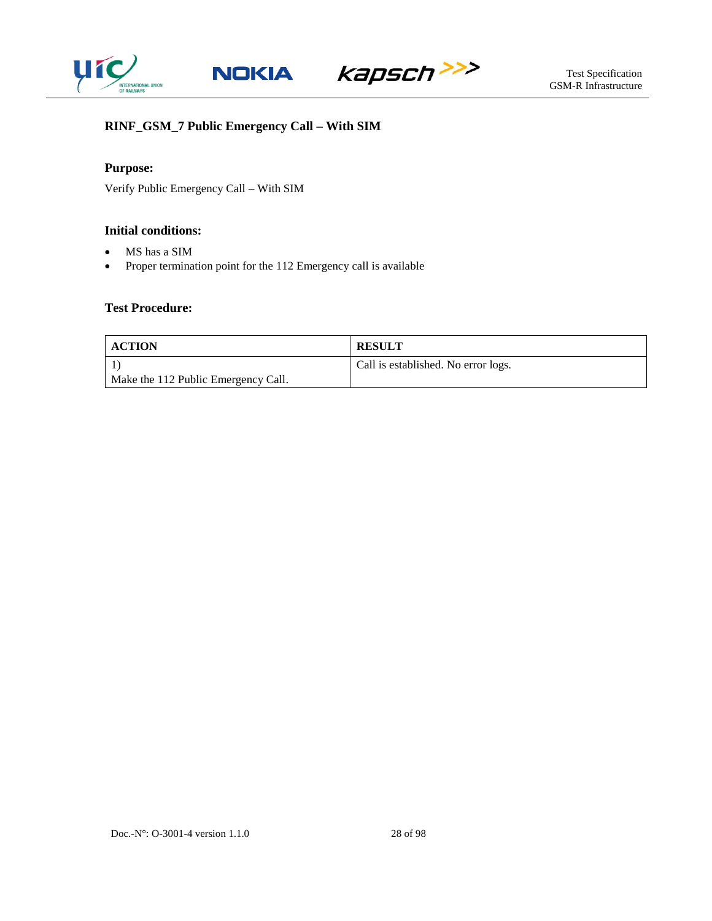



## **RINF\_GSM\_7 Public Emergency Call – With SIM**

**NOKIA** 

## **Purpose:**

Verify Public Emergency Call – With SIM

## **Initial conditions:**

- MS has a SIM
- Proper termination point for the 112 Emergency call is available

| <b>ACTION</b>                       | <b>RESULT</b>                       |
|-------------------------------------|-------------------------------------|
|                                     | Call is established. No error logs. |
| Make the 112 Public Emergency Call. |                                     |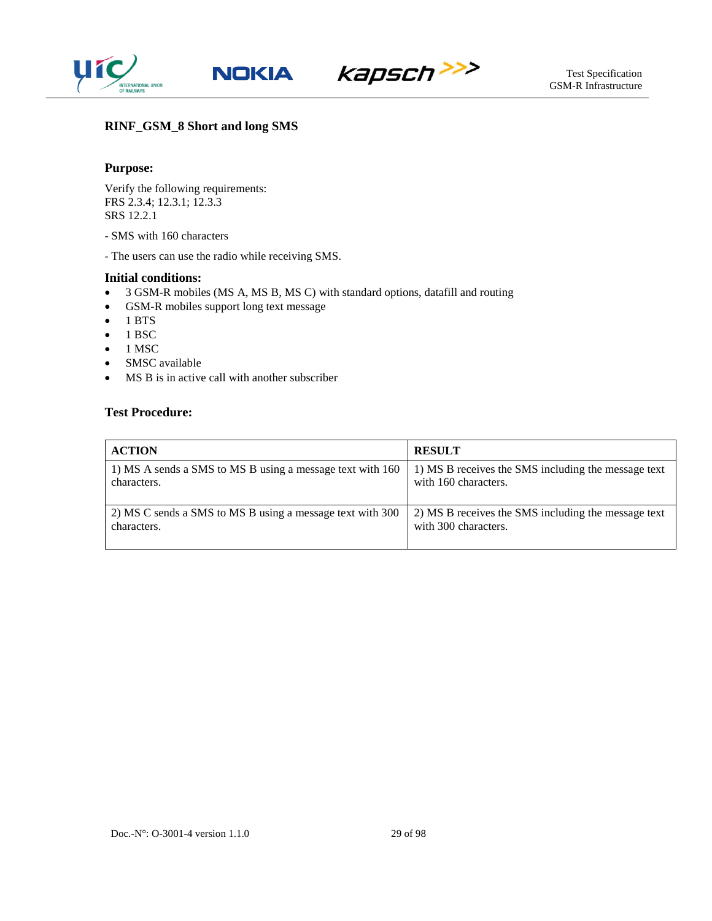



## **RINF\_GSM\_8 Short and long SMS**

**NOKIA** 

#### **Purpose:**

Verify the following requirements: FRS 2.3.4; 12.3.1; 12.3.3 SRS 12.2.1

- SMS with 160 characters
- The users can use the radio while receiving SMS.

#### **Initial conditions:**

- 3 GSM-R mobiles (MS A, MS B, MS C) with standard options, datafill and routing
- GSM-R mobiles support long text message
- $-1$  BTS
- $-1$  BSC
- $\bullet$  1 MSC
- SMSC available
- MS B is in active call with another subscriber

| <b>ACTION</b>                                             | <b>RESULT</b>                                       |
|-----------------------------------------------------------|-----------------------------------------------------|
| 1) MS A sends a SMS to MS B using a message text with 160 | 1) MS B receives the SMS including the message text |
| characters.                                               | with 160 characters.                                |
| 2) MS C sends a SMS to MS B using a message text with 300 | 2) MS B receives the SMS including the message text |
| characters.                                               | with 300 characters.                                |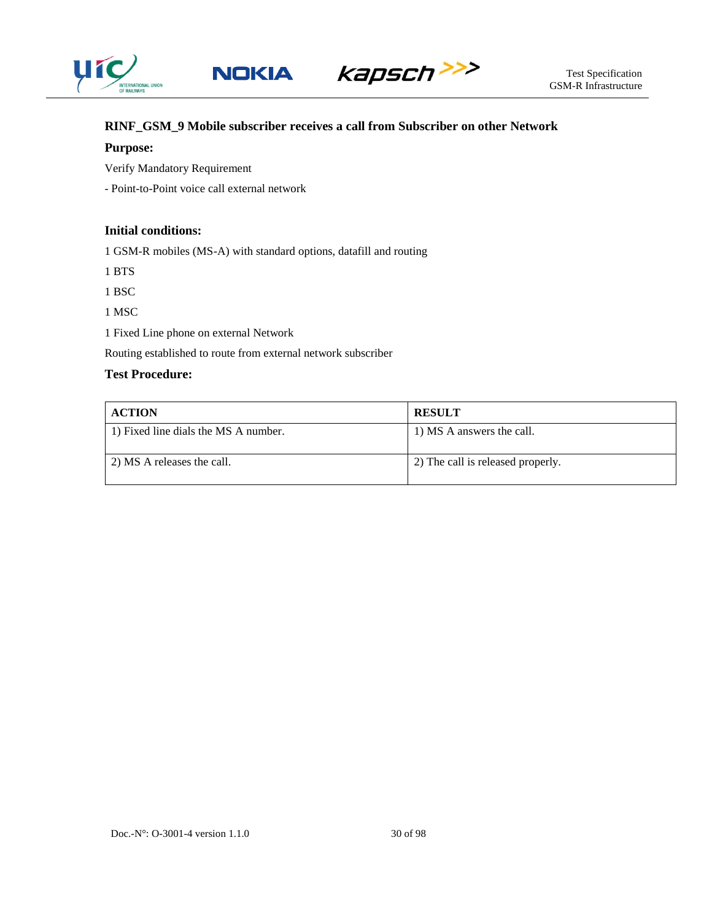



## **RINF\_GSM\_9 Mobile subscriber receives a call from Subscriber on other Network**

#### **Purpose:**

Verify Mandatory Requirement

- Point-to-Point voice call external network

#### **Initial conditions:**

1 GSM-R mobiles (MS-A) with standard options, datafill and routing

**NOKIA** 

1 BTS

1 BSC

1 MSC

1 Fixed Line phone on external Network

Routing established to route from external network subscriber

| <b>ACTION</b>                        | <b>RESULT</b>                     |
|--------------------------------------|-----------------------------------|
| 1) Fixed line dials the MS A number. | 1) MS A answers the call.         |
| 2) MS A releases the call.           | 2) The call is released properly. |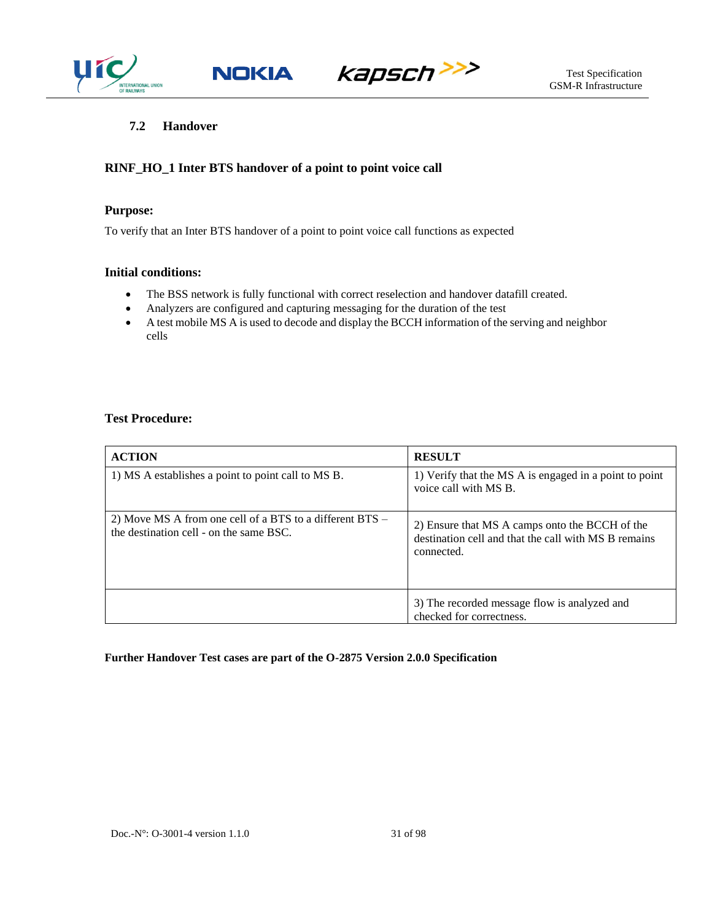



## <span id="page-30-0"></span>**7.2 Handover**

## **RINF\_HO\_1 Inter BTS handover of a point to point voice call**

**NOKIA** 

## **Purpose:**

To verify that an Inter BTS handover of a point to point voice call functions as expected

## **Initial conditions:**

- The BSS network is fully functional with correct reselection and handover datafill created.
- Analyzers are configured and capturing messaging for the duration of the test
- A test mobile MS A is used to decode and display the BCCH information of the serving and neighbor cells

#### **Test Procedure:**

| <b>ACTION</b>                                                                                       | <b>RESULT</b>                                                                                                        |
|-----------------------------------------------------------------------------------------------------|----------------------------------------------------------------------------------------------------------------------|
| 1) MS A establishes a point to point call to MS B.                                                  | 1) Verify that the MS A is engaged in a point to point<br>voice call with MS B.                                      |
| 2) Move MS A from one cell of a BTS to a different BTS –<br>the destination cell - on the same BSC. | 2) Ensure that MS A camps onto the BCCH of the<br>destination cell and that the call with MS B remains<br>connected. |
|                                                                                                     | 3) The recorded message flow is analyzed and<br>checked for correctness.                                             |

#### **Further Handover Test cases are part of the O-2875 Version 2.0.0 Specification**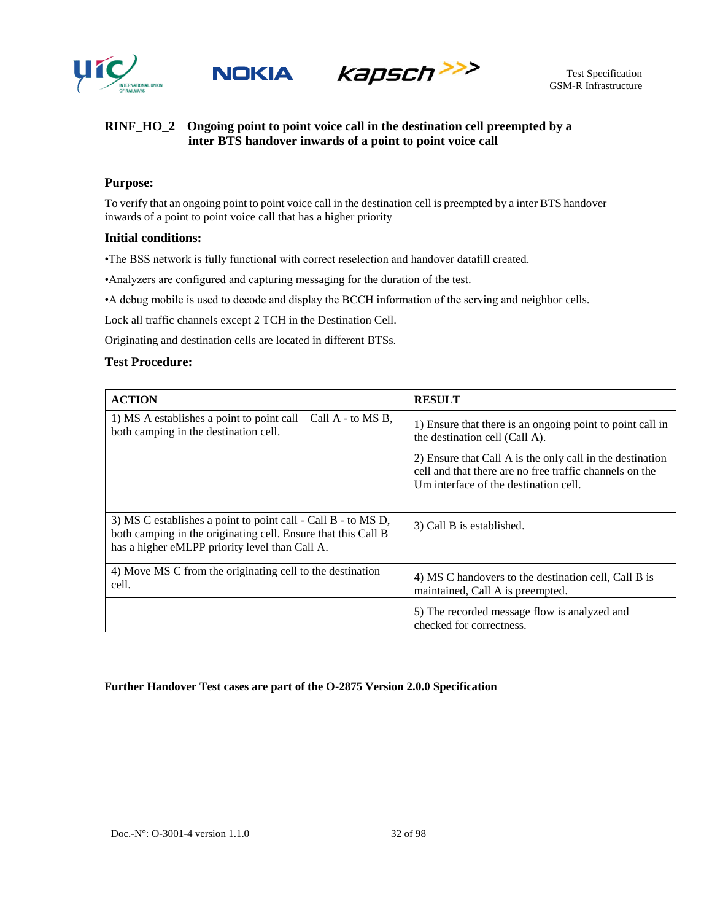



## **RINF\_HO\_2 Ongoing point to point voice call in the destination cell preempted by a inter BTS handover inwards of a point to point voice call**

#### **Purpose:**

To verify that an ongoing point to point voice call in the destination cell is preempted by a inter BTS handover inwards of a point to point voice call that has a higher priority

### **Initial conditions:**

•The BSS network is fully functional with correct reselection and handover datafill created.

•Analyzers are configured and capturing messaging for the duration of the test.

•A debug mobile is used to decode and display the BCCH information of the serving and neighbor cells.

Lock all traffic channels except 2 TCH in the Destination Cell.

**NOKIA** 

Originating and destination cells are located in different BTSs.

## **Test Procedure:**

| <b>ACTION</b>                                                                                                                                                                    | <b>RESULT</b>                                                                                                                                                 |
|----------------------------------------------------------------------------------------------------------------------------------------------------------------------------------|---------------------------------------------------------------------------------------------------------------------------------------------------------------|
| 1) MS A establishes a point to point call $-$ Call A - to MS B,<br>both camping in the destination cell.                                                                         | 1) Ensure that there is an ongoing point to point call in<br>the destination cell (Call A).                                                                   |
|                                                                                                                                                                                  | 2) Ensure that Call A is the only call in the destination<br>cell and that there are no free traffic channels on the<br>Um interface of the destination cell. |
| 3) MS C establishes a point to point call - Call B - to MS D,<br>both camping in the originating cell. Ensure that this Call B<br>has a higher eMLPP priority level than Call A. | 3) Call B is established.                                                                                                                                     |
| 4) Move MS C from the originating cell to the destination<br>cell.                                                                                                               | 4) MS C handovers to the destination cell, Call B is<br>maintained, Call A is preempted.                                                                      |
|                                                                                                                                                                                  | 5) The recorded message flow is analyzed and<br>checked for correctness.                                                                                      |

#### **Further Handover Test cases are part of the O-2875 Version 2.0.0 Specification**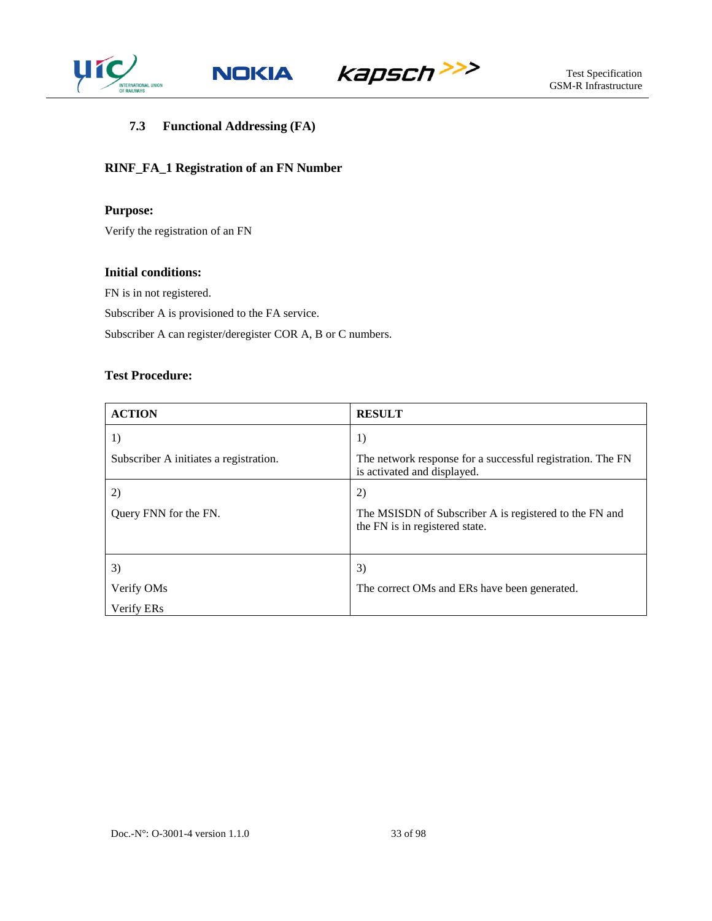



## <span id="page-32-0"></span>**7.3 Functional Addressing (FA)**

**NOKIA** 

## **RINF\_FA\_1 Registration of an FN Number**

## **Purpose:**

Verify the registration of an FN

## **Initial conditions:**

FN is in not registered. Subscriber A is provisioned to the FA service. Subscriber A can register/deregister COR A, B or C numbers.

| <b>ACTION</b>                                | <b>RESULT</b>                                                                                   |
|----------------------------------------------|-------------------------------------------------------------------------------------------------|
| 1)<br>Subscriber A initiates a registration. | 1)<br>The network response for a successful registration. The FN<br>is activated and displayed. |
| 2)<br>Query FNN for the FN.                  | 2)<br>The MSISDN of Subscriber A is registered to the FN and<br>the FN is in registered state.  |
| 3)<br>Verify OMs<br>Verify ERs               | 3)<br>The correct OMs and ERs have been generated.                                              |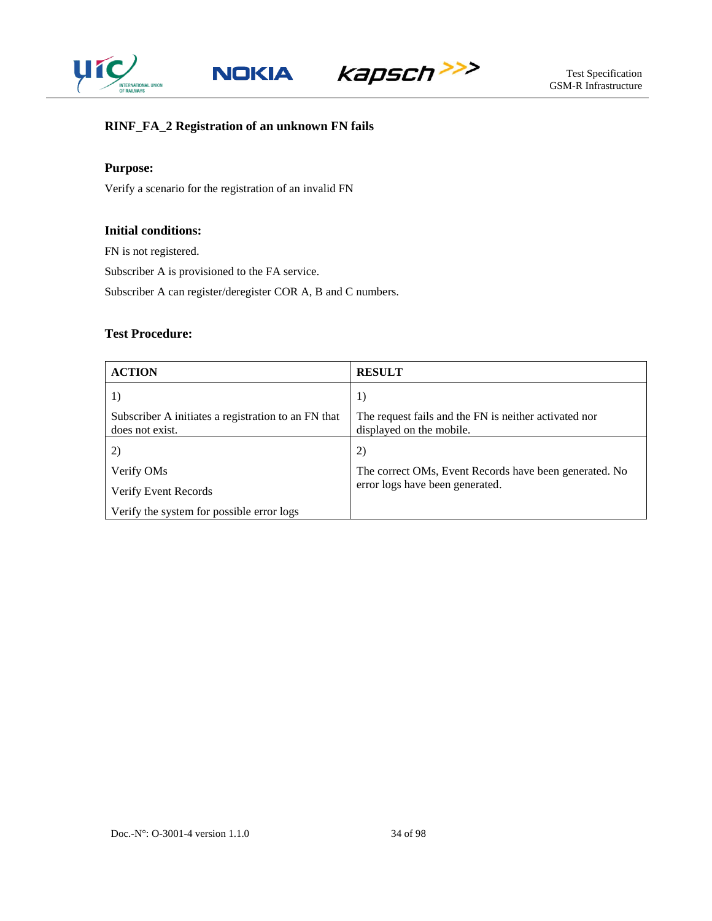



## **RINF\_FA\_2 Registration of an unknown FN fails**

**NOKIA** 

## **Purpose:**

Verify a scenario for the registration of an invalid FN

## **Initial conditions:**

FN is not registered.

Subscriber A is provisioned to the FA service.

Subscriber A can register/deregister COR A, B and C numbers.

| <b>ACTION</b>                                                          | <b>RESULT</b>                                                                     |
|------------------------------------------------------------------------|-----------------------------------------------------------------------------------|
|                                                                        | 1)                                                                                |
| Subscriber A initiates a registration to an FN that<br>does not exist. | The request fails and the FN is neither activated nor<br>displayed on the mobile. |
| 2)                                                                     | 2)                                                                                |
| Verify OM <sub>s</sub>                                                 | The correct OMs, Event Records have been generated. No                            |
| Verify Event Records                                                   | error logs have been generated.                                                   |
| Verify the system for possible error logs                              |                                                                                   |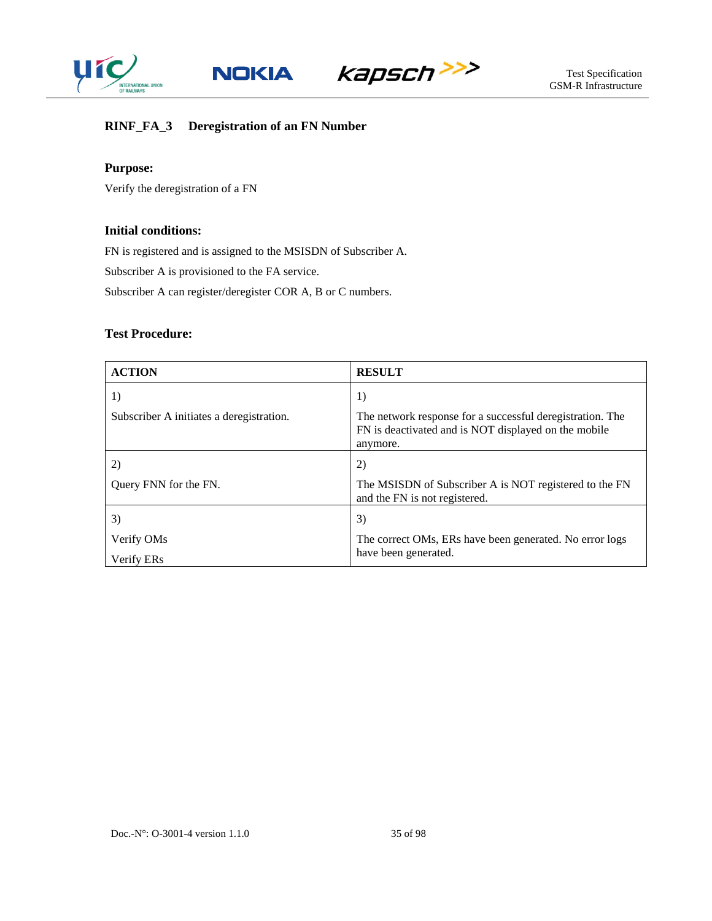



## **RINF\_FA\_3 Deregistration of an FN Number**

**NOKIA** 

## **Purpose:**

Verify the deregistration of a FN

## **Initial conditions:**

FN is registered and is assigned to the MSISDN of Subscriber A.

Subscriber A is provisioned to the FA service.

Subscriber A can register/deregister COR A, B or C numbers.

| <b>ACTION</b>                            | <b>RESULT</b>                                                                                                                 |
|------------------------------------------|-------------------------------------------------------------------------------------------------------------------------------|
| 1)                                       | 1)                                                                                                                            |
| Subscriber A initiates a deregistration. | The network response for a successful deregistration. The<br>FN is deactivated and is NOT displayed on the mobile<br>anymore. |
| 2)                                       | 2)                                                                                                                            |
| Query FNN for the FN.                    | The MSISDN of Subscriber A is NOT registered to the FN<br>and the FN is not registered.                                       |
| 3)                                       | 3)                                                                                                                            |
| Verify OMs                               | The correct OMs, ERs have been generated. No error logs                                                                       |
| Verify ERs                               | have been generated.                                                                                                          |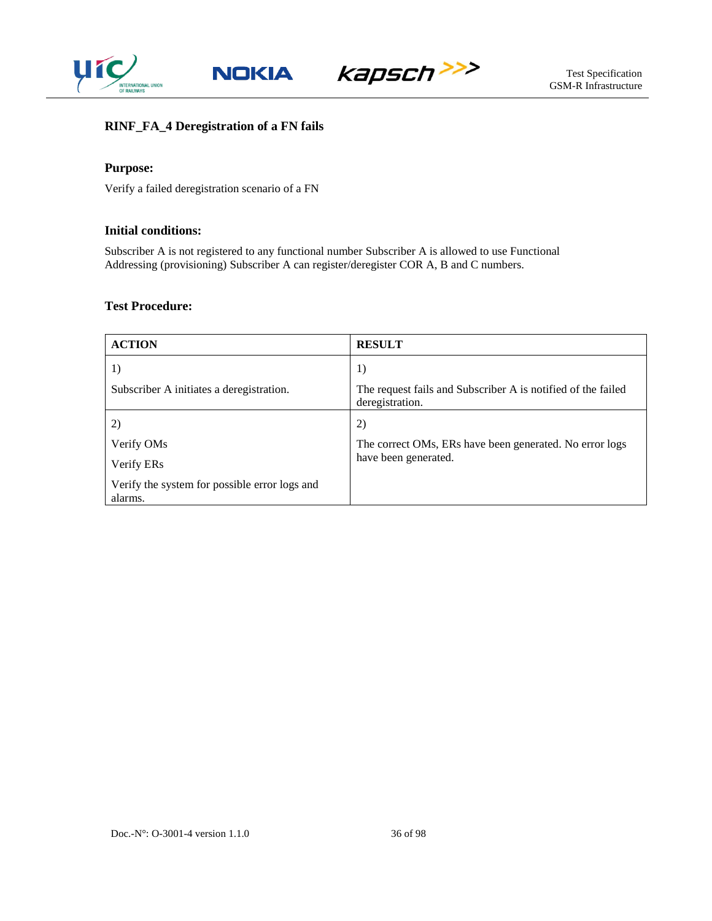



## **RINF\_FA\_4 Deregistration of a FN fails**

**NOKIA** 

## **Purpose:**

Verify a failed deregistration scenario of a FN

## **Initial conditions:**

Subscriber A is not registered to any functional number Subscriber A is allowed to use Functional Addressing (provisioning) Subscriber A can register/deregister COR A, B and C numbers.

| <b>ACTION</b>                                            | <b>RESULT</b>                                                                   |
|----------------------------------------------------------|---------------------------------------------------------------------------------|
| 1)                                                       | 1)                                                                              |
| Subscriber A initiates a deregistration.                 | The request fails and Subscriber A is notified of the failed<br>deregistration. |
| 2)                                                       | 2)                                                                              |
| Verify OM <sub>s</sub>                                   | The correct OMs, ERs have been generated. No error logs                         |
| Verify ERs                                               | have been generated.                                                            |
| Verify the system for possible error logs and<br>alarms. |                                                                                 |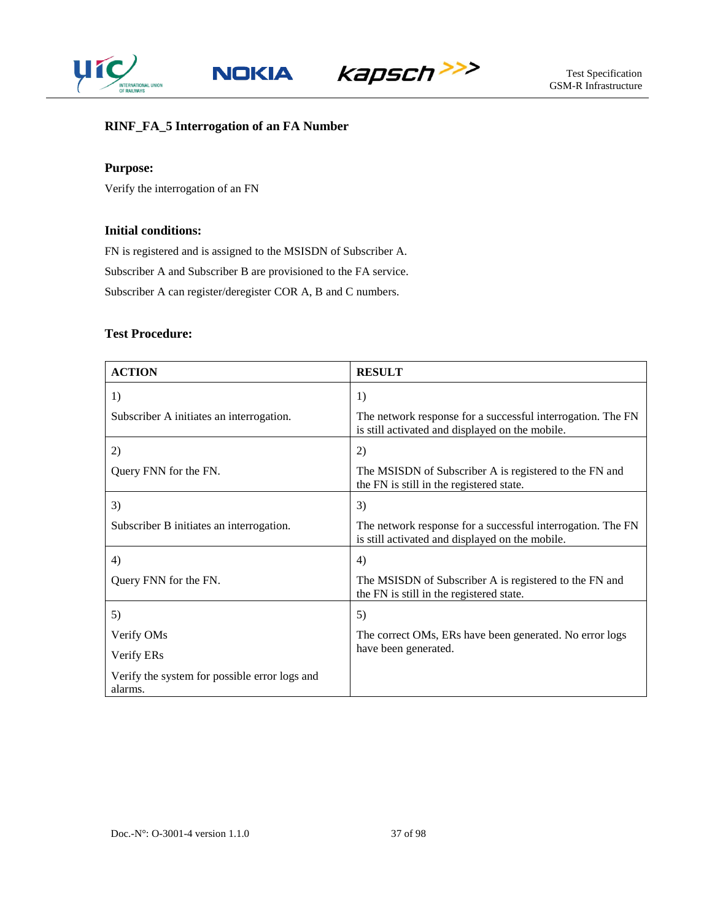



# **RINF\_FA\_5 Interrogation of an FA Number**

**NOKIA** 

# **Purpose:**

Verify the interrogation of an FN

# **Initial conditions:**

FN is registered and is assigned to the MSISDN of Subscriber A. Subscriber A and Subscriber B are provisioned to the FA service.

Subscriber A can register/deregister COR A, B and C numbers.

| <b>ACTION</b>                                            | <b>RESULT</b>                                                                                                  |
|----------------------------------------------------------|----------------------------------------------------------------------------------------------------------------|
| 1)                                                       | 1)                                                                                                             |
| Subscriber A initiates an interrogation.                 | The network response for a successful interrogation. The FN<br>is still activated and displayed on the mobile. |
| 2)                                                       | 2)                                                                                                             |
| Query FNN for the FN.                                    | The MSISDN of Subscriber A is registered to the FN and<br>the FN is still in the registered state.             |
| 3)                                                       | 3)                                                                                                             |
| Subscriber B initiates an interrogation.                 | The network response for a successful interrogation. The FN<br>is still activated and displayed on the mobile. |
| 4)                                                       | 4)                                                                                                             |
| Query FNN for the FN.                                    | The MSISDN of Subscriber A is registered to the FN and<br>the FN is still in the registered state.             |
| 5)                                                       | 5)                                                                                                             |
| Verify OMs                                               | The correct OMs, ERs have been generated. No error logs                                                        |
| Verify ERs                                               | have been generated.                                                                                           |
| Verify the system for possible error logs and<br>alarms. |                                                                                                                |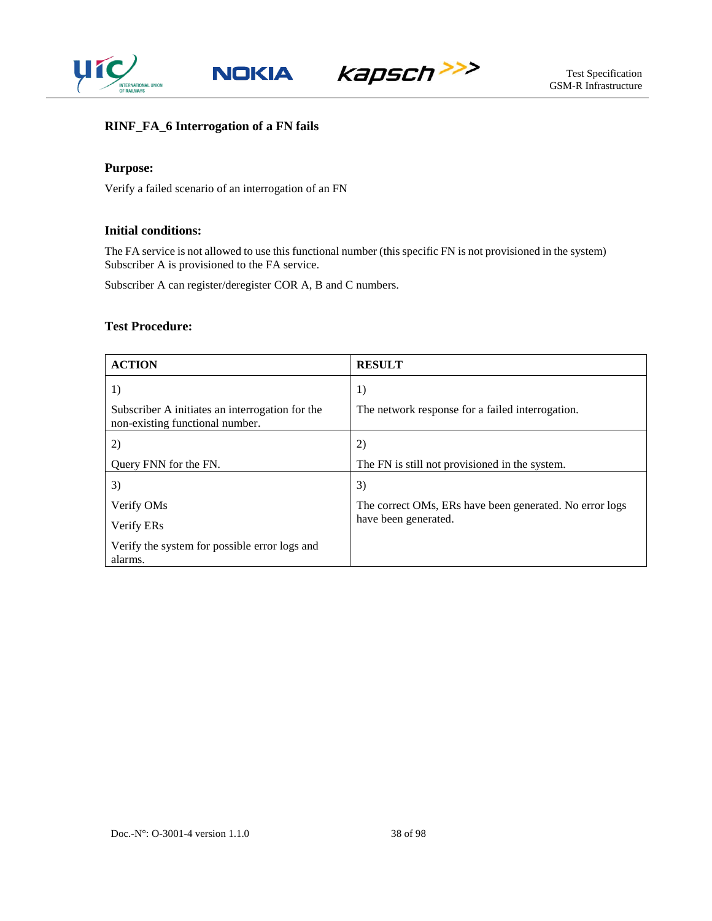



# **RINF\_FA\_6 Interrogation of a FN fails**

# **Purpose:**

Verify a failed scenario of an interrogation of an FN

#### **Initial conditions:**

The FA service is not allowed to use this functional number (this specific FN is not provisioned in the system) Subscriber A is provisioned to the FA service.

Subscriber A can register/deregister COR A, B and C numbers.

**NOKIA** 

| <b>ACTION</b>                                                                      | <b>RESULT</b>                                           |
|------------------------------------------------------------------------------------|---------------------------------------------------------|
| 1)                                                                                 | 1)                                                      |
| Subscriber A initiates an interrogation for the<br>non-existing functional number. | The network response for a failed interrogation.        |
| 2)                                                                                 | 2)                                                      |
| Ouery FNN for the FN.                                                              | The FN is still not provisioned in the system.          |
| 3)                                                                                 | 3)                                                      |
| Verify OMs                                                                         | The correct OMs, ERs have been generated. No error logs |
| Verify ERs                                                                         | have been generated.                                    |
| Verify the system for possible error logs and<br>alarms.                           |                                                         |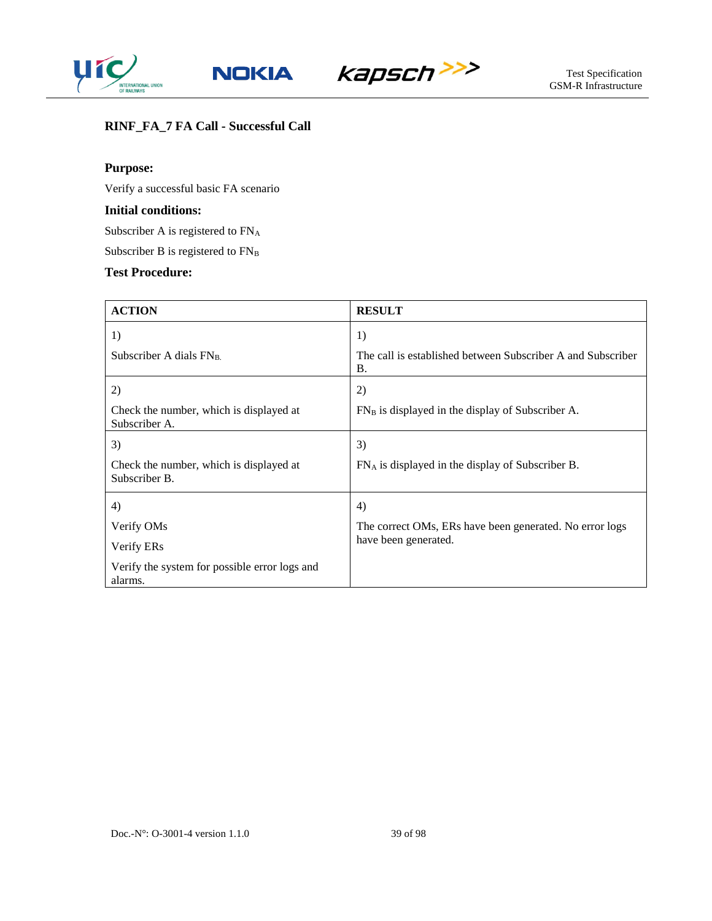



# **RINF\_FA\_7 FA Call - Successful Call**

**NOKIA** 

# **Purpose:**

Verify a successful basic FA scenario

# **Initial conditions:**

Subscriber A is registered to  $FN_A$ 

Subscriber B is registered to  $FN_B$ 

| <b>ACTION</b>                                            | <b>RESULT</b>                                                     |
|----------------------------------------------------------|-------------------------------------------------------------------|
| 1)                                                       | 1)                                                                |
| Subscriber A dials $FN_{B}$                              | The call is established between Subscriber A and Subscriber<br>Β. |
| 2)                                                       | 2)                                                                |
| Check the number, which is displayed at<br>Subscriber A. | $FN_B$ is displayed in the display of Subscriber A.               |
| 3)                                                       | 3)                                                                |
| Check the number, which is displayed at<br>Subscriber B. | FN <sub>A</sub> is displayed in the display of Subscriber B.      |
| 4)                                                       | 4)                                                                |
| Verify OMs                                               | The correct OMs, ERs have been generated. No error logs           |
| Verify ERs                                               | have been generated.                                              |
| Verify the system for possible error logs and<br>alarms. |                                                                   |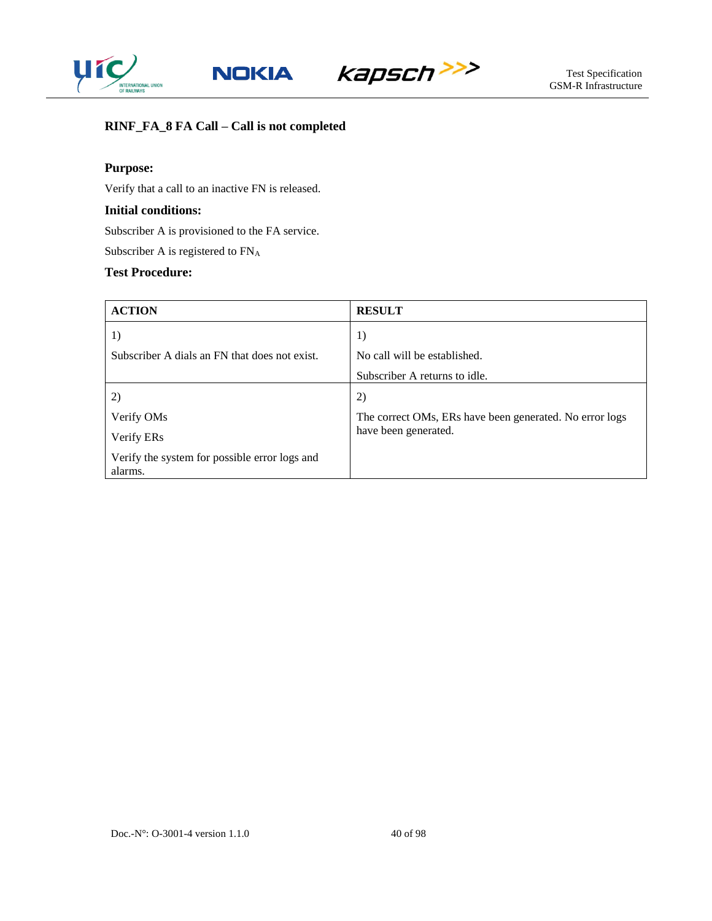



# **RINF\_FA\_8 FA Call – Call is not completed**

**NOKIA** 

# **Purpose:**

Verify that a call to an inactive FN is released.

# **Initial conditions:**

Subscriber A is provisioned to the FA service.

Subscriber A is registered to FN<sup>A</sup>

| <b>ACTION</b>                                            | <b>RESULT</b>                                           |
|----------------------------------------------------------|---------------------------------------------------------|
| 1)                                                       | 1)                                                      |
| Subscriber A dials an FN that does not exist.            | No call will be established.                            |
|                                                          | Subscriber A returns to idle.                           |
| 2)                                                       | 2)                                                      |
| Verify OM <sub>s</sub>                                   | The correct OMs, ERs have been generated. No error logs |
| Verify ERs                                               | have been generated.                                    |
| Verify the system for possible error logs and<br>alarms. |                                                         |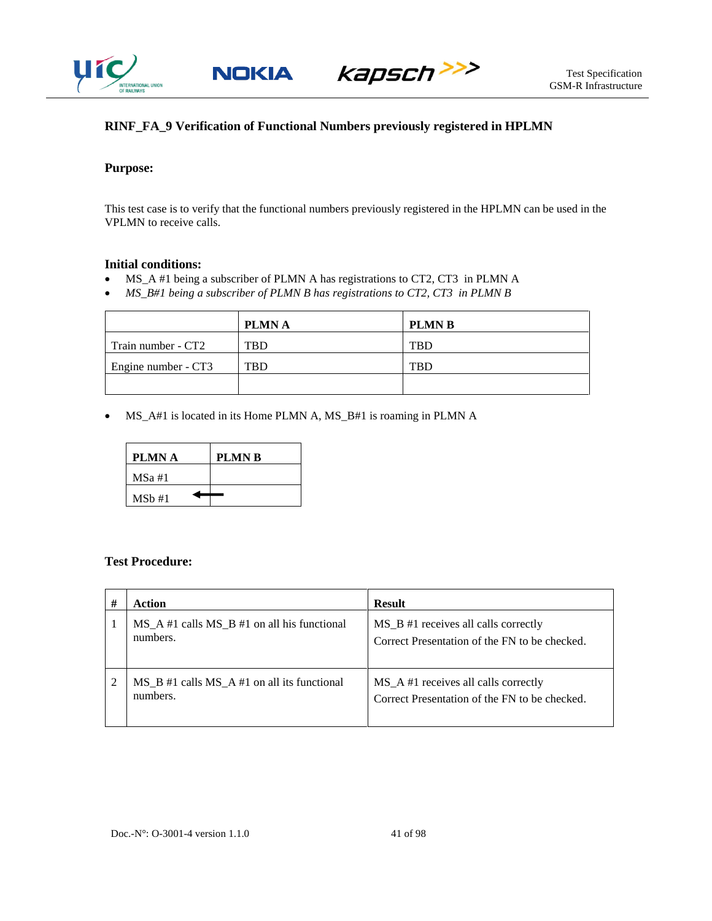

# **RINF\_FA\_9 Verification of Functional Numbers previously registered in HPLMN**

**NOKIA** 

### **Purpose:**

This test case is to verify that the functional numbers previously registered in the HPLMN can be used in the VPLMN to receive calls.

kapsch<sup>>>></sup>

#### **Initial conditions:**

- MS\_A #1 being a subscriber of PLMN A has registrations to CT2, CT3 in PLMN A
- *MS\_B#1 being a subscriber of PLMN B has registrations to CT2, CT3 in PLMN B*

|                     | PLMN A     | <b>PLMN B</b> |
|---------------------|------------|---------------|
| Train number - CT2  | <b>TBD</b> | <b>TBD</b>    |
| Engine number - CT3 | <b>TBD</b> | <b>TRD</b>    |
|                     |            |               |

MS\_A#1 is located in its Home PLMN A, MS\_B#1 is roaming in PLMN A

| PLMN A    | <b>PLMN B</b> |
|-----------|---------------|
| $MSa \#1$ |               |
| MSb#1     |               |

| # | Action                                                            | <b>Result</b>                                                                                    |
|---|-------------------------------------------------------------------|--------------------------------------------------------------------------------------------------|
|   | $MS \; A \#1$ calls MS $ B \#1$ on all his functional<br>numbers. | MS <sub>B</sub> #1 receives all calls correctly<br>Correct Presentation of the FN to be checked. |
|   | $MS_B #1$ calls $MS_A #1$ on all its functional<br>numbers.       | MS_A #1 receives all calls correctly<br>Correct Presentation of the FN to be checked.            |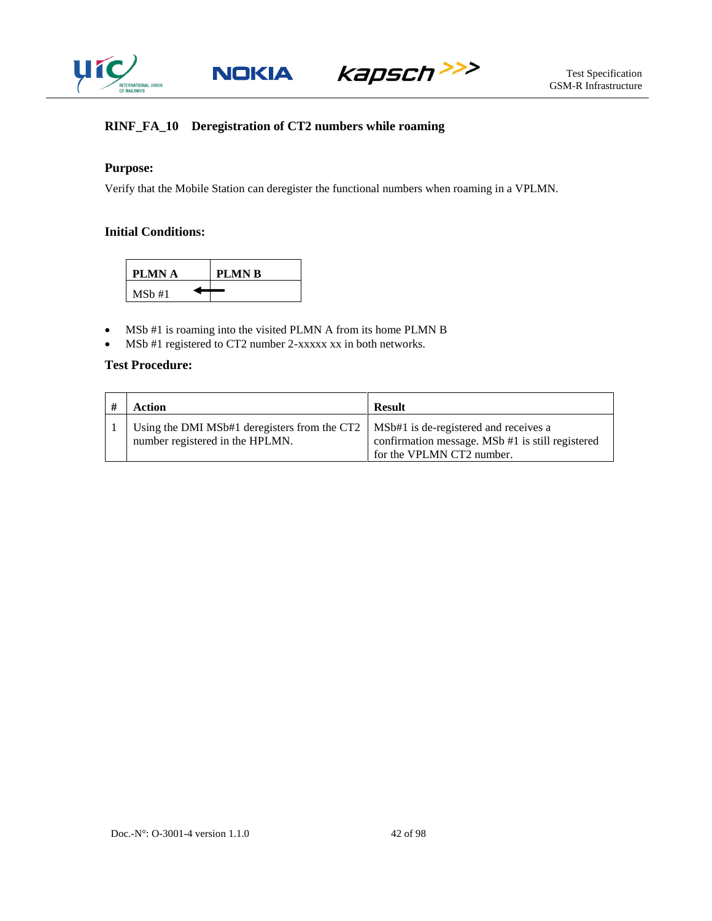



# **RINF\_FA\_10 Deregistration of CT2 numbers while roaming**

**NOKIA** 

# **Purpose:**

Verify that the Mobile Station can deregister the functional numbers when roaming in a VPLMN.

# **Initial Conditions:**

| <b>PLMNA</b> | <b>PLMN B</b> |
|--------------|---------------|
| MSb#1        |               |

- MSb #1 is roaming into the visited PLMN A from its home PLMN B
- MSb #1 registered to CT2 number 2-xxxxx xx in both networks.

| Action                                                                                                                            | <b>Result</b>                                                                 |
|-----------------------------------------------------------------------------------------------------------------------------------|-------------------------------------------------------------------------------|
| Using the DMI MSb#1 deregisters from the CT2 $\parallel$ MSb#1 is de-registered and receives a<br>number registered in the HPLMN. | confirmation message. MSb #1 is still registered<br>for the VPLMN CT2 number. |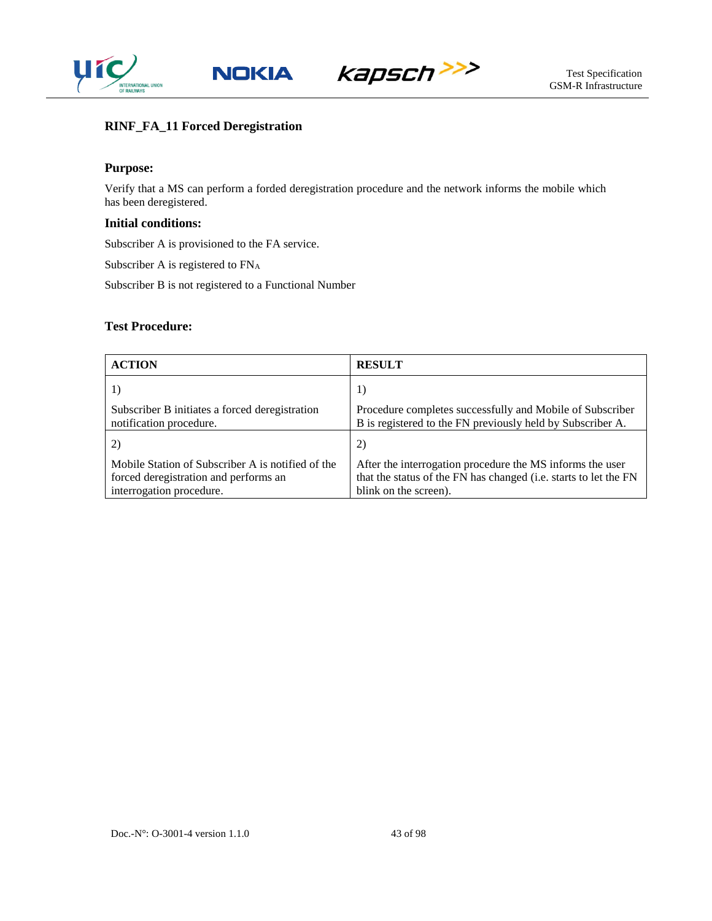



# **RINF\_FA\_11 Forced Deregistration**

**NOKIA** 

## **Purpose:**

Verify that a MS can perform a forded deregistration procedure and the network informs the mobile which has been deregistered.

# **Initial conditions:**

Subscriber A is provisioned to the FA service.

Subscriber A is registered to FN<sup>A</sup>

Subscriber B is not registered to a Functional Number

| <b>ACTION</b>                                                                                                          | <b>RESULT</b>                                                                                                                                          |
|------------------------------------------------------------------------------------------------------------------------|--------------------------------------------------------------------------------------------------------------------------------------------------------|
|                                                                                                                        | 1)                                                                                                                                                     |
| Subscriber B initiates a forced deregistration<br>notification procedure.                                              | Procedure completes successfully and Mobile of Subscriber<br>B is registered to the FN previously held by Subscriber A.                                |
| 2)                                                                                                                     | 2)                                                                                                                                                     |
| Mobile Station of Subscriber A is notified of the<br>forced deregistration and performs an<br>interrogation procedure. | After the interrogation procedure the MS informs the user<br>that the status of the FN has changed (i.e. starts to let the FN<br>blink on the screen). |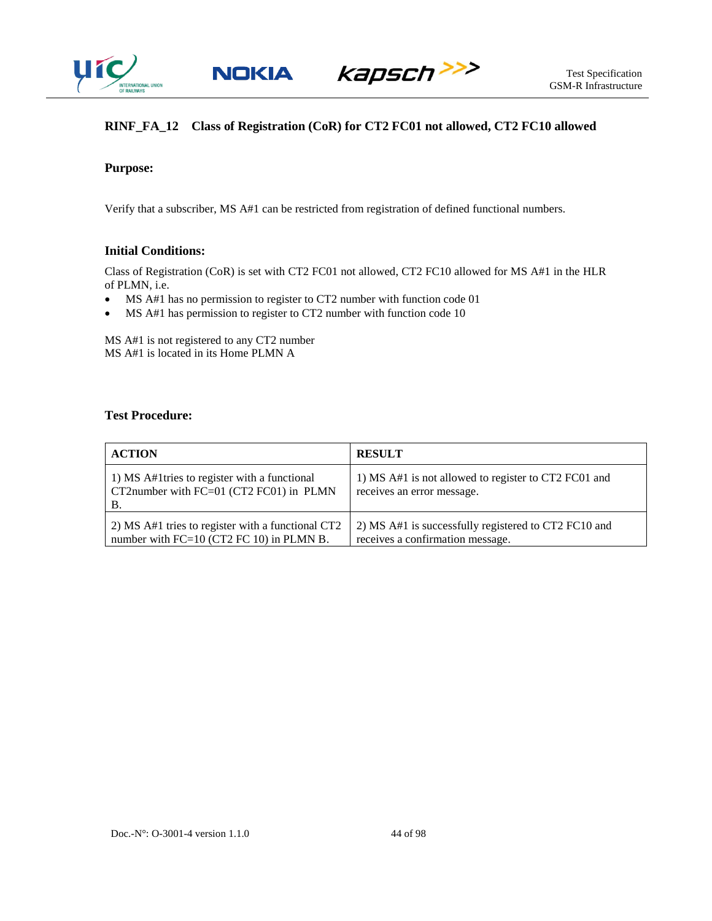



# **RINF\_FA\_12 Class of Registration (CoR) for CT2 FC01 not allowed, CT2 FC10 allowed**

# **Purpose:**

Verify that a subscriber, MS A#1 can be restricted from registration of defined functional numbers.

#### **Initial Conditions:**

Class of Registration (CoR) is set with CT2 FC01 not allowed, CT2 FC10 allowed for MS A#1 in the HLR of PLMN, i.e.

- MS A#1 has no permission to register to CT2 number with function code 01
- MS A#1 has permission to register to CT2 number with function code 10

MS A#1 is not registered to any CT2 number MS A#1 is located in its Home PLMN A

| <b>ACTION</b>                                                                                 | <b>RESULT</b>                                                                            |
|-----------------------------------------------------------------------------------------------|------------------------------------------------------------------------------------------|
| 1) MS A#1 tries to register with a functional<br>CT2number with FC=01 (CT2 FC01) in PLMN<br>B | 1) MS A#1 is not allowed to register to CT2 FC01 and<br>receives an error message.       |
| 2) MS A#1 tries to register with a functional CT2<br>number with FC=10 (CT2 FC 10) in PLMN B. | 2) MS A#1 is successfully registered to CT2 FC10 and<br>receives a confirmation message. |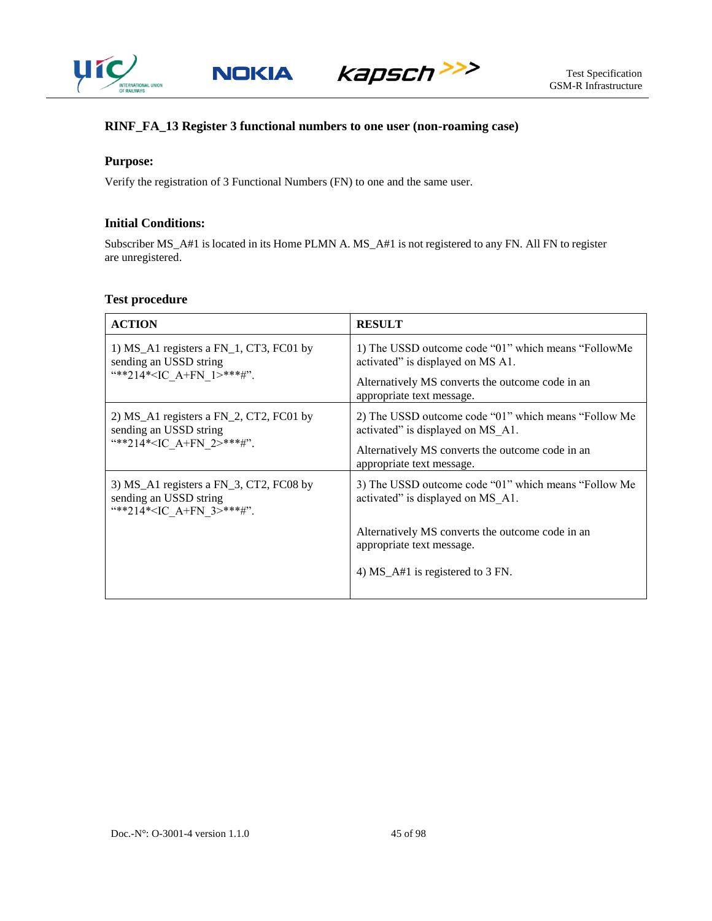



# **RINF\_FA\_13 Register 3 functional numbers to one user (non-roaming case)**

### **Purpose:**

Verify the registration of 3 Functional Numbers (FN) to one and the same user.

**NOKIA** 

### **Initial Conditions:**

Subscriber MS\_A#1 is located in its Home PLMN A. MS\_A#1 is not registered to any FN. All FN to register are unregistered.

# **Test procedure**

| <b>ACTION</b>                                                                                                | <b>RESULT</b>                                                                                                                                                                                                    |
|--------------------------------------------------------------------------------------------------------------|------------------------------------------------------------------------------------------------------------------------------------------------------------------------------------------------------------------|
| 1) MS_A1 registers a $FN_1$ , CT3, FC01 by<br>sending an USSD string<br>"**214* <ic 1="" a+fn="">***#".</ic> | 1) The USSD outcome code "01" which means "FollowMe"<br>activated" is displayed on MS A1.<br>Alternatively MS converts the outcome code in an<br>appropriate text message.                                       |
| 2) MS_A1 registers a FN_2, CT2, FC01 by<br>sending an USSD string<br>"**214* <ic 2="" a+fn="">***#".</ic>    | 2) The USSD outcome code "01" which means "Follow Me<br>activated" is displayed on MS A1.<br>Alternatively MS converts the outcome code in an<br>appropriate text message.                                       |
| 3) MS_A1 registers a FN_3, CT2, FC08 by<br>sending an USSD string<br>"**214* <ic 3="" a+fn="">***#".</ic>    | 3) The USSD outcome code "01" which means "Follow Me<br>activated" is displayed on MS A1.<br>Alternatively MS converts the outcome code in an<br>appropriate text message.<br>4) $MS_A#1$ is registered to 3 FN. |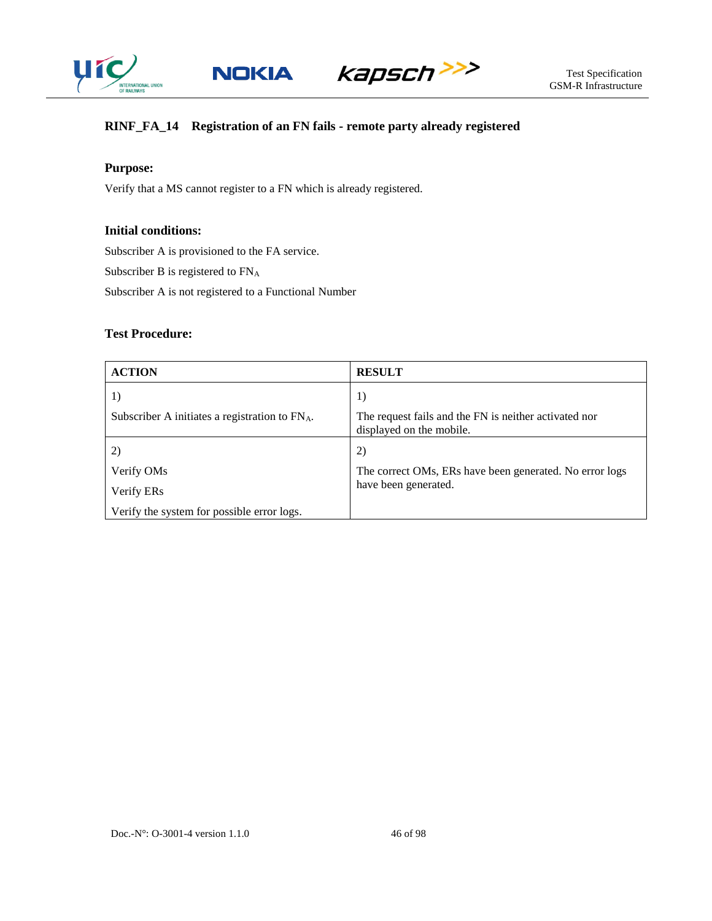



# **RINF\_FA\_14 Registration of an FN fails - remote party already registered**

# **Purpose:**

Verify that a MS cannot register to a FN which is already registered.

**NOKIA** 

# **Initial conditions:**

Subscriber A is provisioned to the FA service.

Subscriber B is registered to FN<sup>A</sup>

Subscriber A is not registered to a Functional Number

| <b>ACTION</b>                                     | <b>RESULT</b>                                                                     |
|---------------------------------------------------|-----------------------------------------------------------------------------------|
|                                                   | 1)                                                                                |
| Subscriber A initiates a registration to $FN_A$ . | The request fails and the FN is neither activated nor<br>displayed on the mobile. |
| 2)                                                | 2)                                                                                |
| Verify OMs                                        | The correct OMs, ERs have been generated. No error logs                           |
| Verify ERs                                        | have been generated.                                                              |
| Verify the system for possible error logs.        |                                                                                   |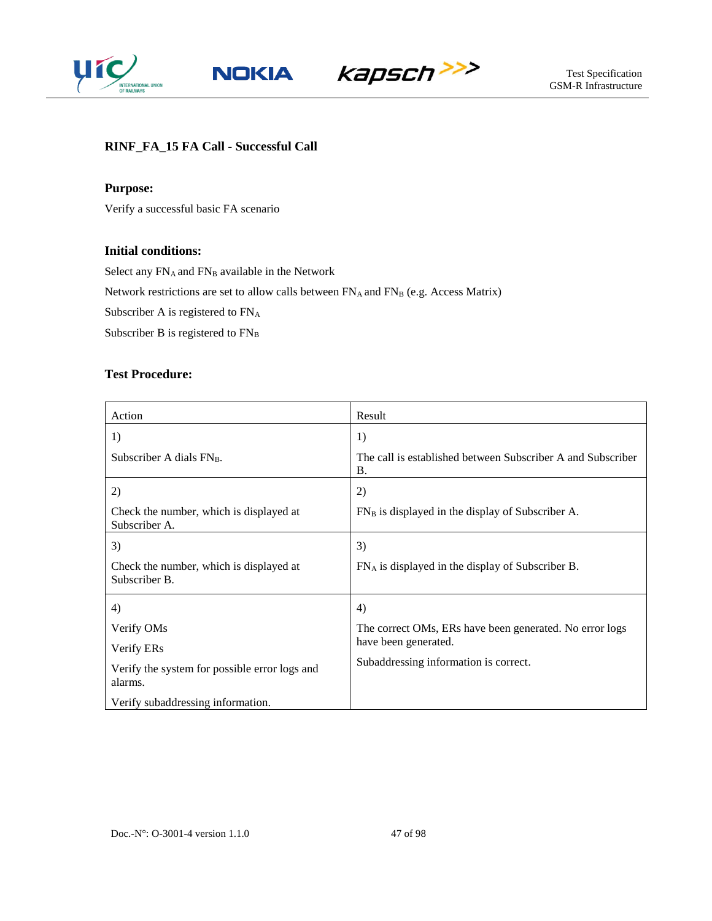



# **RINF\_FA\_15 FA Call - Successful Call**

**NOKIA** 

# **Purpose:**

Verify a successful basic FA scenario

### **Initial conditions:**

Select any  $FN_A$  and  $FN_B$  available in the Network

Network restrictions are set to allow calls between  $FN_A$  and  $FN_B$  (e.g. Access Matrix)

Subscriber A is registered to FN<sup>A</sup>

Subscriber B is registered to  $FN_B$ 

| Action                                                   | Result                                                                   |
|----------------------------------------------------------|--------------------------------------------------------------------------|
| 1)                                                       | 1)                                                                       |
| Subscriber A dials $FN_{B}$ .                            | The call is established between Subscriber A and Subscriber<br><b>B.</b> |
| 2)                                                       | 2)                                                                       |
| Check the number, which is displayed at<br>Subscriber A. | $FN_B$ is displayed in the display of Subscriber A.                      |
| 3)                                                       | 3)                                                                       |
| Check the number, which is displayed at<br>Subscriber B. | $FN_A$ is displayed in the display of Subscriber B.                      |
| 4)                                                       | 4)                                                                       |
| Verify OMs                                               | The correct OMs, ERs have been generated. No error logs                  |
| Verify ERs                                               | have been generated.                                                     |
| Verify the system for possible error logs and<br>alarms. | Subaddressing information is correct.                                    |
| Verify subaddressing information.                        |                                                                          |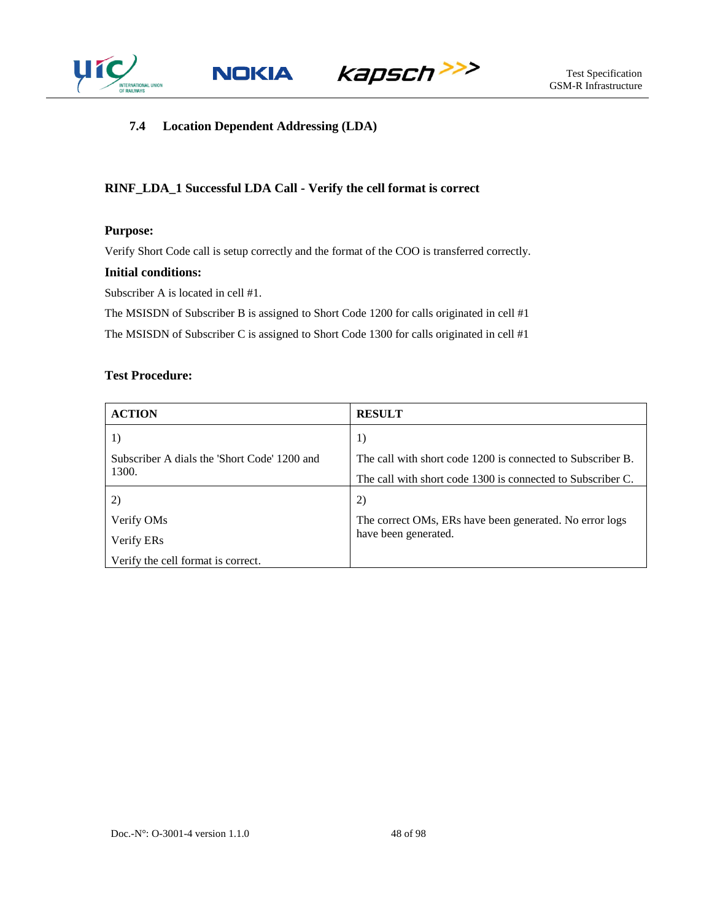



# **7.4 Location Dependent Addressing (LDA)**

**NOKIA** 

# **RINF\_LDA\_1 Successful LDA Call - Verify the cell format is correct**

### **Purpose:**

Verify Short Code call is setup correctly and the format of the COO is transferred correctly.

# **Initial conditions:**

Subscriber A is located in cell #1.

The MSISDN of Subscriber B is assigned to Short Code 1200 for calls originated in cell #1

The MSISDN of Subscriber C is assigned to Short Code 1300 for calls originated in cell #1

| <b>ACTION</b>                                | <b>RESULT</b>                                               |
|----------------------------------------------|-------------------------------------------------------------|
| 1)                                           | 1)                                                          |
| Subscriber A dials the 'Short Code' 1200 and | The call with short code 1200 is connected to Subscriber B. |
| 1300.                                        | The call with short code 1300 is connected to Subscriber C. |
| 2)                                           | 2)                                                          |
| Verify OM <sub>s</sub>                       | The correct OMs, ERs have been generated. No error logs     |
| Verify ERs                                   | have been generated.                                        |
| Verify the cell format is correct.           |                                                             |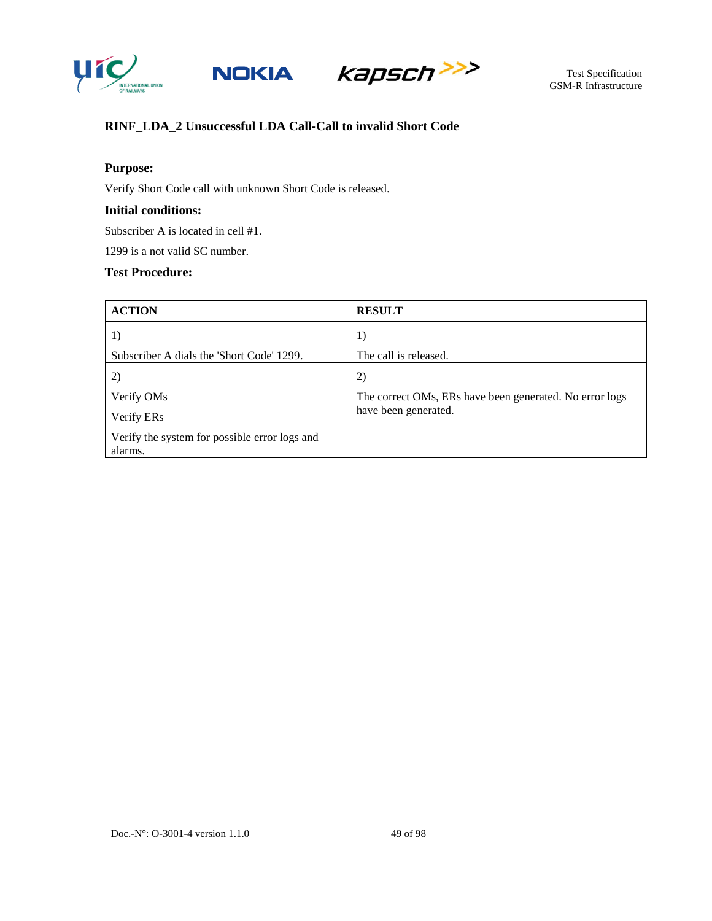



# **RINF\_LDA\_2 Unsuccessful LDA Call-Call to invalid Short Code**

**NOKIA** 

# **Purpose:**

Verify Short Code call with unknown Short Code is released.

### **Initial conditions:**

Subscriber A is located in cell #1.

1299 is a not valid SC number.

| <b>ACTION</b>                                            | <b>RESULT</b>                                           |
|----------------------------------------------------------|---------------------------------------------------------|
| 1)                                                       | 1)                                                      |
| Subscriber A dials the 'Short Code' 1299.                | The call is released.                                   |
| 2)                                                       | 2)                                                      |
| Verify OMs                                               | The correct OMs, ERs have been generated. No error logs |
| Verify ERs                                               | have been generated.                                    |
| Verify the system for possible error logs and<br>alarms. |                                                         |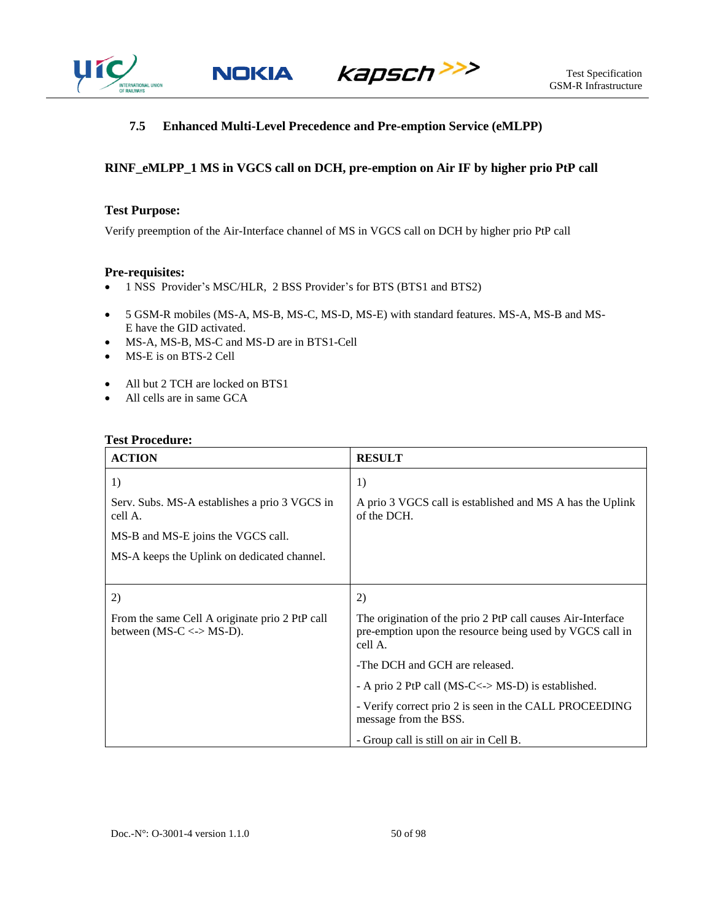



# **7.5 Enhanced Multi-Level Precedence and Pre-emption Service (eMLPP)**

# **RINF\_eMLPP\_1 MS in VGCS call on DCH, pre-emption on Air IF by higher prio PtP call**

kapsch<sup>>>></sup>

# **Test Purpose:**

Verify preemption of the Air-Interface channel of MS in VGCS call on DCH by higher prio PtP call

#### **Pre-requisites:**

- 1 NSS Provider's MSC/HLR, 2 BSS Provider's for BTS (BTS1 and BTS2)
- 5 GSM-R mobiles (MS-A, MS-B, MS-C, MS-D, MS-E) with standard features. MS-A, MS-B and MS-E have the GID activated.
- MS-A, MS-B, MS-C and MS-D are in BTS1-Cell

**NOKIA** 

- MS-E is on BTS-2 Cell
- All but 2 TCH are locked on BTS1
- All cells are in same GCA

| <b>ACTION</b>                                                                  | <b>RESULT</b>                                                                                                                      |
|--------------------------------------------------------------------------------|------------------------------------------------------------------------------------------------------------------------------------|
| 1)                                                                             | 1)                                                                                                                                 |
| Serv. Subs. MS-A establishes a prio 3 VGCS in<br>cell A.                       | A prio 3 VGCS call is established and MS A has the Uplink<br>of the DCH.                                                           |
| MS-B and MS-E joins the VGCS call.                                             |                                                                                                                                    |
| MS-A keeps the Uplink on dedicated channel.                                    |                                                                                                                                    |
|                                                                                |                                                                                                                                    |
| 2)                                                                             | 2)                                                                                                                                 |
| From the same Cell A originate prio 2 PtP call<br>between $(MS-C \ll 5MS-D)$ . | The origination of the prio 2 PtP call causes Air-Interface<br>pre-emption upon the resource being used by VGCS call in<br>cell A. |
|                                                                                | -The DCH and GCH are released.                                                                                                     |
|                                                                                | - A prio 2 PtP call (MS-C $\lt$ -> MS-D) is established.                                                                           |
|                                                                                | - Verify correct prio 2 is seen in the CALL PROCEEDING<br>message from the BSS.                                                    |
|                                                                                | - Group call is still on air in Cell B.                                                                                            |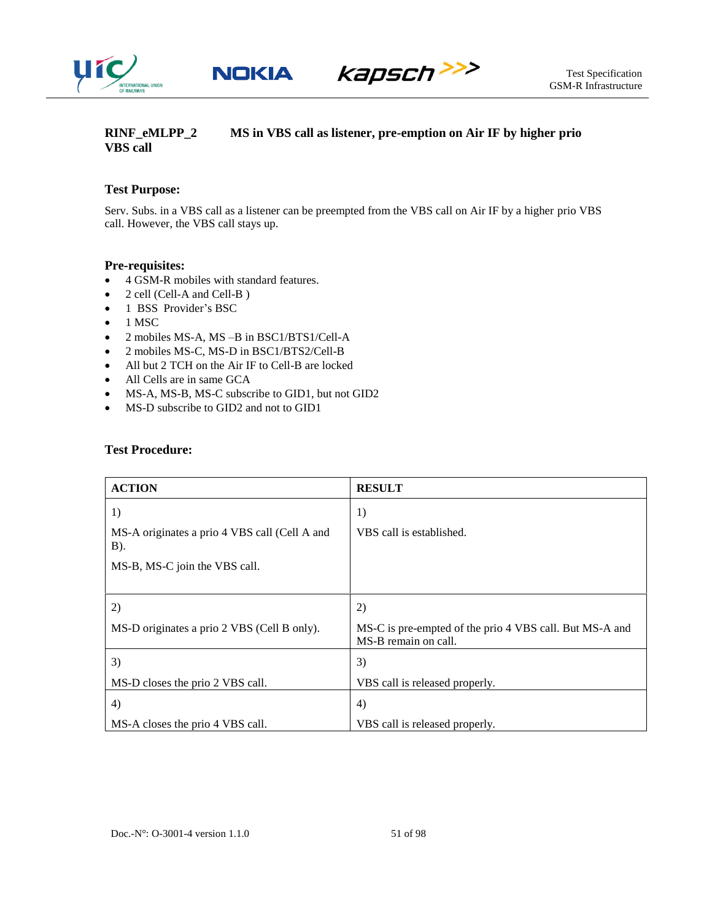





**RINF\_eMLPP\_2 MS in VBS call as listener, pre-emption on Air IF by higher prio VBS call**

# **Test Purpose:**

Serv. Subs. in a VBS call as a listener can be preempted from the VBS call on Air IF by a higher prio VBS call. However, the VBS call stays up.

# **Pre-requisites:**

- 4 GSM-R mobiles with standard features.
- 2 cell (Cell-A and Cell-B)
- 1 BSS Provider's BSC
- $-1$  MSC
- 2 mobiles MS-A, MS -B in BSC1/BTS1/Cell-A
- 2 mobiles MS-C, MS-D in BSC1/BTS2/Cell-B
- All but 2 TCH on the Air IF to Cell-B are locked
- All Cells are in same GCA
- MS-A, MS-B, MS-C subscribe to GID1, but not GID2
- MS-D subscribe to GID2 and not to GID1

| <b>ACTION</b>                                        | <b>RESULT</b>                                                                   |
|------------------------------------------------------|---------------------------------------------------------------------------------|
| 1)                                                   | 1)                                                                              |
| MS-A originates a prio 4 VBS call (Cell A and<br>B). | VBS call is established.                                                        |
| MS-B, MS-C join the VBS call.                        |                                                                                 |
|                                                      |                                                                                 |
| 2)                                                   | 2)                                                                              |
| MS-D originates a prio 2 VBS (Cell B only).          | MS-C is pre-empted of the prio 4 VBS call. But MS-A and<br>MS-B remain on call. |
| 3)                                                   | 3)                                                                              |
| MS-D closes the prio 2 VBS call.                     | VBS call is released properly.                                                  |
| 4)                                                   | 4)                                                                              |
| MS-A closes the prio 4 VBS call.                     | VBS call is released properly.                                                  |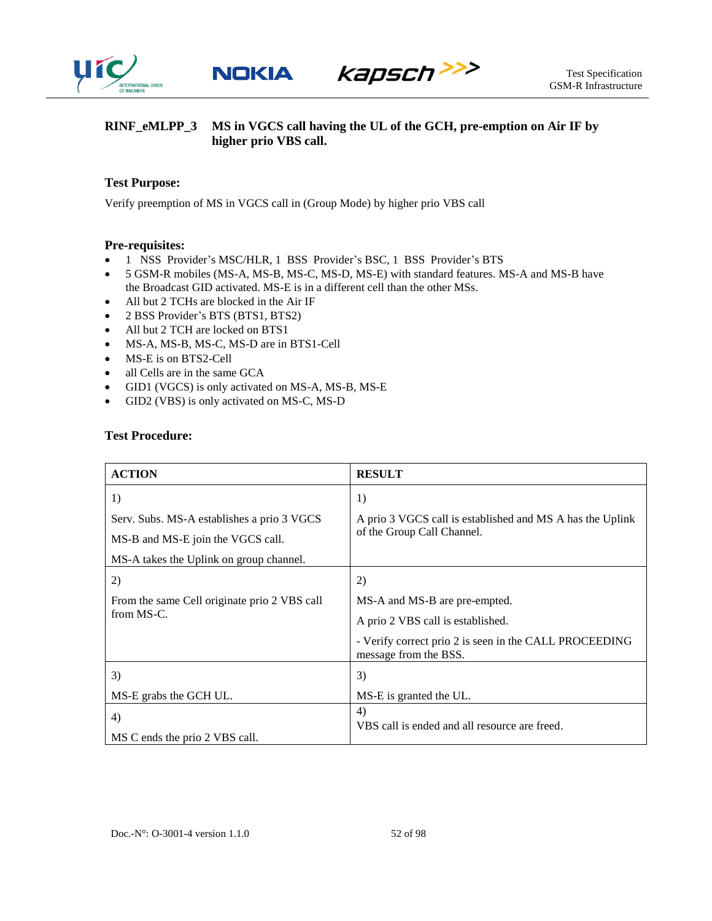



# **RINF\_eMLPP\_3 MS in VGCS call having the UL of the GCH, pre-emption on Air IF by higher prio VBS call.**

# **Test Purpose:**

Verify preemption of MS in VGCS call in (Group Mode) by higher prio VBS call

### **Pre-requisites:**

- 1 NSS Provider's MSC/HLR, 1 BSS Provider's BSC, 1 BSS Provider's BTS
- 5 GSM-R mobiles (MS-A, MS-B, MS-C, MS-D, MS-E) with standard features. MS-A and MS-B have the Broadcast GID activated. MS-E is in a different cell than the other MSs.
- All but 2 TCHs are blocked in the Air IF
- 2 BSS Provider's BTS (BTS1, BTS2)
- All but 2 TCH are locked on BTS1
- MS-A, MS-B, MS-C, MS-D are in BTS1-Cell
- MS-E is on BTS2-Cell
- all Cells are in the same GCA
- GID1 (VGCS) is only activated on MS-A, MS-B, MS-E

**NOKIA** 

• GID2 (VBS) is only activated on MS-C, MS-D

| <b>ACTION</b>                                | <b>RESULT</b>                                                                   |
|----------------------------------------------|---------------------------------------------------------------------------------|
| 1)                                           | 1)                                                                              |
| Serv. Subs. MS-A establishes a prio 3 VGCS   | A prio 3 VGCS call is established and MS A has the Uplink                       |
| MS-B and MS-E join the VGCS call.            | of the Group Call Channel.                                                      |
| MS-A takes the Uplink on group channel.      |                                                                                 |
| 2)                                           | 2)                                                                              |
| From the same Cell originate prio 2 VBS call | MS-A and MS-B are pre-empted.                                                   |
| from MS-C.                                   | A prio 2 VBS call is established.                                               |
|                                              | - Verify correct prio 2 is seen in the CALL PROCEEDING<br>message from the BSS. |
| 3)                                           | 3)                                                                              |
| MS-E grabs the GCH UL.                       | MS-E is granted the UL.                                                         |
| 4)                                           | 4)                                                                              |
| MS C ends the prio 2 VBS call.               | VBS call is ended and all resource are freed.                                   |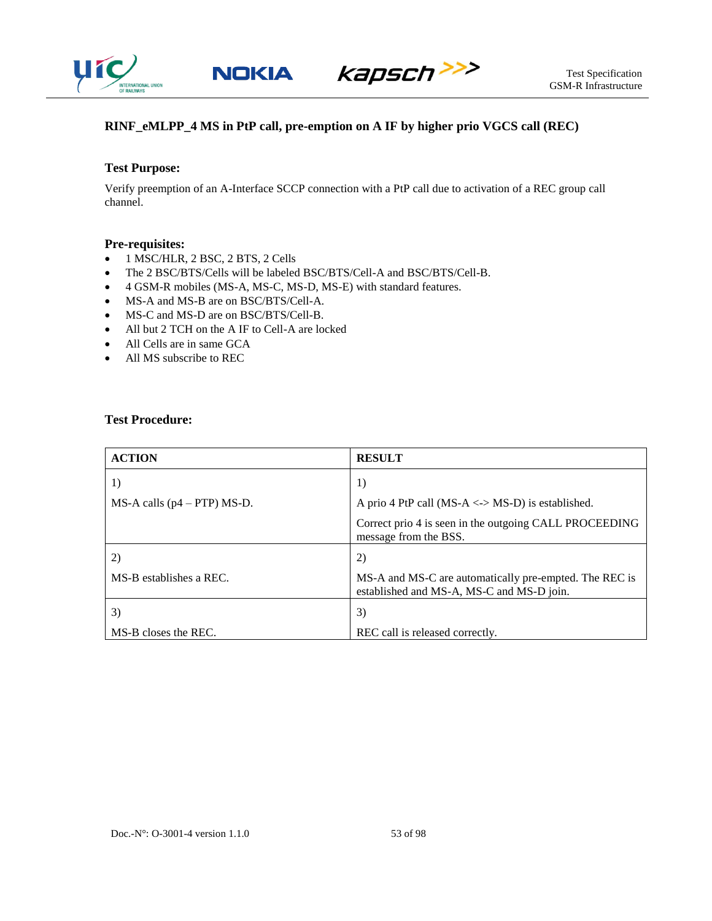



# **RINF\_eMLPP\_4 MS in PtP call, pre-emption on A IF by higher prio VGCS call (REC)**

# **Test Purpose:**

Verify preemption of an A-Interface SCCP connection with a PtP call due to activation of a REC group call channel.

# **Pre-requisites:**

- 1 MSC/HLR, 2 BSC, 2 BTS, 2 Cells
- The 2 BSC/BTS/Cells will be labeled BSC/BTS/Cell-A and BSC/BTS/Cell-B.
- 4 GSM-R mobiles (MS-A, MS-C, MS-D, MS-E) with standard features.

**NOKIA** 

- MS-A and MS-B are on BSC/BTS/Cell-A.
- MS-C and MS-D are on BSC/BTS/Cell-B.
- All but 2 TCH on the A IF to Cell-A are locked
- All Cells are in same GCA
- All MS subscribe to REC

| <b>ACTION</b>                     | <b>RESULT</b>                                                                                       |
|-----------------------------------|-----------------------------------------------------------------------------------------------------|
| 1)                                | 1)                                                                                                  |
| $MS-A$ calls ( $p4 - PTP$ ) MS-D. | A prio 4 PtP call (MS-A $\le$ > MS-D) is established.                                               |
|                                   | Correct prio 4 is seen in the outgoing CALL PROCEEDING<br>message from the BSS.                     |
| 2)                                | 2)                                                                                                  |
| MS-B establishes a REC.           | MS-A and MS-C are automatically pre-empted. The REC is<br>established and MS-A, MS-C and MS-D join. |
| 3)                                | 3)                                                                                                  |
| MS-B closes the REC.              | REC call is released correctly.                                                                     |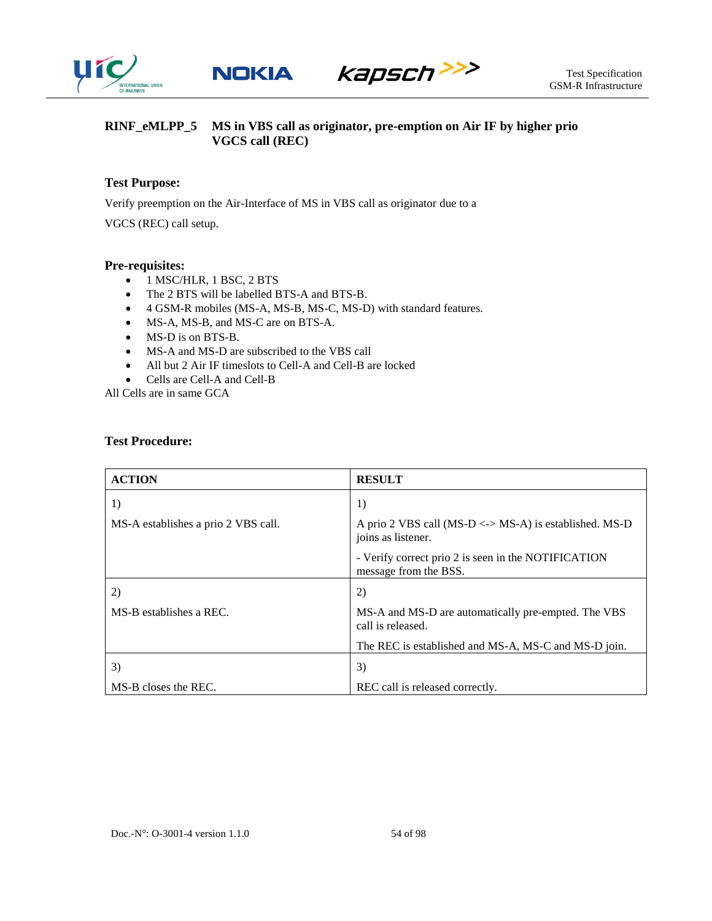



# **RINF\_eMLPP\_5 MS in VBS call as originator, pre-emption on Air IF by higher prio VGCS call (REC)**

# **Test Purpose:**

Verify preemption on the Air-Interface of MS in VBS call as originator due to a

VGCS (REC) call setup.

### **Pre-requisites:**

- 1 MSC/HLR, 1 BSC, 2 BTS
- The 2 BTS will be labelled BTS-A and BTS-B.

**NOKIA** 

- 4 GSM-R mobiles (MS-A, MS-B, MS-C, MS-D) with standard features.
- MS-A, MS-B, and MS-C are on BTS-A.
- MS-D is on BTS-B.
- MS-A and MS-D are subscribed to the VBS call
- All but 2 Air IF timeslots to Cell-A and Cell-B are locked
- Cells are Cell-A and Cell-B

All Cells are in same GCA

| <b>ACTION</b>                       | <b>RESULT</b>                                                                    |
|-------------------------------------|----------------------------------------------------------------------------------|
| 1)                                  | 1)                                                                               |
| MS-A establishes a prio 2 VBS call. | A prio 2 VBS call (MS-D $\le$ > MS-A) is established. MS-D<br>joins as listener. |
|                                     | - Verify correct prio 2 is seen in the NOTIFICATION<br>message from the BSS.     |
| 2)                                  | 2)                                                                               |
| MS-B establishes a REC.             | MS-A and MS-D are automatically pre-empted. The VBS<br>call is released.         |
|                                     | The REC is established and MS-A, MS-C and MS-D join.                             |
| 3)                                  | 3)                                                                               |
| MS-B closes the REC.                | REC call is released correctly.                                                  |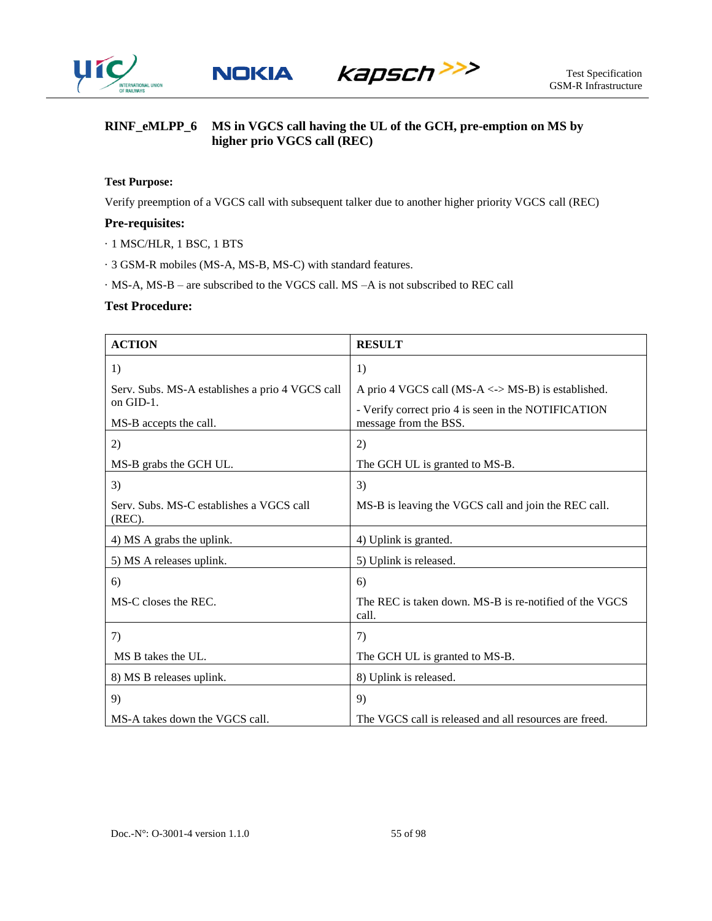



# **RINF\_eMLPP\_6 MS in VGCS call having the UL of the GCH, pre-emption on MS by higher prio VGCS call (REC)**

### **Test Purpose:**

Verify preemption of a VGCS call with subsequent talker due to another higher priority VGCS call (REC)

# **Pre-requisites:**

· 1 MSC/HLR, 1 BSC, 1 BTS

· 3 GSM-R mobiles (MS-A, MS-B, MS-C) with standard features.

**NOKIA** 

· MS-A, MS-B – are subscribed to the VGCS call. MS –A is not subscribed to REC call

| <b>ACTION</b>                                                | <b>RESULT</b>                                                                |
|--------------------------------------------------------------|------------------------------------------------------------------------------|
| 1)                                                           | 1)                                                                           |
| Serv. Subs. MS-A establishes a prio 4 VGCS call<br>on GID-1. | A prio 4 VGCS call ( $MS-A \leq > MS-B$ ) is established.                    |
| MS-B accepts the call.                                       | - Verify correct prio 4 is seen in the NOTIFICATION<br>message from the BSS. |
| 2)                                                           | 2)                                                                           |
| MS-B grabs the GCH UL.                                       | The GCH UL is granted to MS-B.                                               |
| 3)                                                           | 3)                                                                           |
| Serv. Subs. MS-C establishes a VGCS call<br>(REC).           | MS-B is leaving the VGCS call and join the REC call.                         |
| 4) MS A grabs the uplink.                                    | 4) Uplink is granted.                                                        |
| 5) MS A releases uplink.                                     | 5) Uplink is released.                                                       |
| 6)                                                           | 6)                                                                           |
| MS-C closes the REC.                                         | The REC is taken down. MS-B is re-notified of the VGCS<br>call.              |
| 7)                                                           | 7)                                                                           |
| MS B takes the UL.                                           | The GCH UL is granted to MS-B.                                               |
| 8) MS B releases uplink.                                     | 8) Uplink is released.                                                       |
| 9)                                                           | 9)                                                                           |
| MS-A takes down the VGCS call.                               | The VGCS call is released and all resources are freed.                       |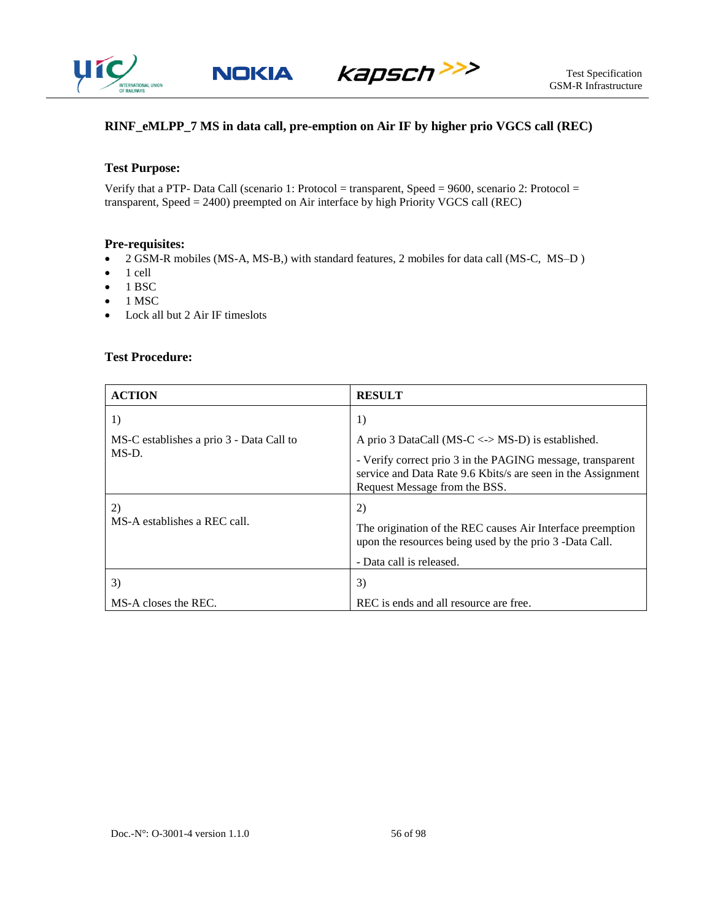



# **RINF\_eMLPP\_7 MS in data call, pre-emption on Air IF by higher prio VGCS call (REC)**

**NOKIA** 

# **Test Purpose:**

Verify that a PTP- Data Call (scenario 1: Protocol = transparent, Speed = 9600, scenario 2: Protocol = transparent, Speed = 2400) preempted on Air interface by high Priority VGCS call (REC)

### **Pre-requisites:**

- 2 GSM-R mobiles (MS-A, MS-B,) with standard features, 2 mobiles for data call (MS-C, MS–D )
- 1 cell
- $-1$  BSC
- $\bullet$  1 MSC
- Lock all but 2 Air IF timeslots

| <b>ACTION</b>                            | <b>RESULT</b>                                                                                                                                               |
|------------------------------------------|-------------------------------------------------------------------------------------------------------------------------------------------------------------|
| 1)                                       | 1)                                                                                                                                                          |
| MS-C establishes a prio 3 - Data Call to | A prio 3 DataCall ( $MS-C \ll\!\!>$ MS-D) is established.                                                                                                   |
| MS-D.                                    | - Verify correct prio 3 in the PAGING message, transparent<br>service and Data Rate 9.6 Kbits/s are seen in the Assignment<br>Request Message from the BSS. |
| 2)                                       | 2)                                                                                                                                                          |
| MS-A establishes a REC call.             | The origination of the REC causes Air Interface preemption<br>upon the resources being used by the prio 3 -Data Call.                                       |
|                                          | - Data call is released.                                                                                                                                    |
| 3)                                       | 3)                                                                                                                                                          |
| MS-A closes the REC.                     | REC is ends and all resource are free.                                                                                                                      |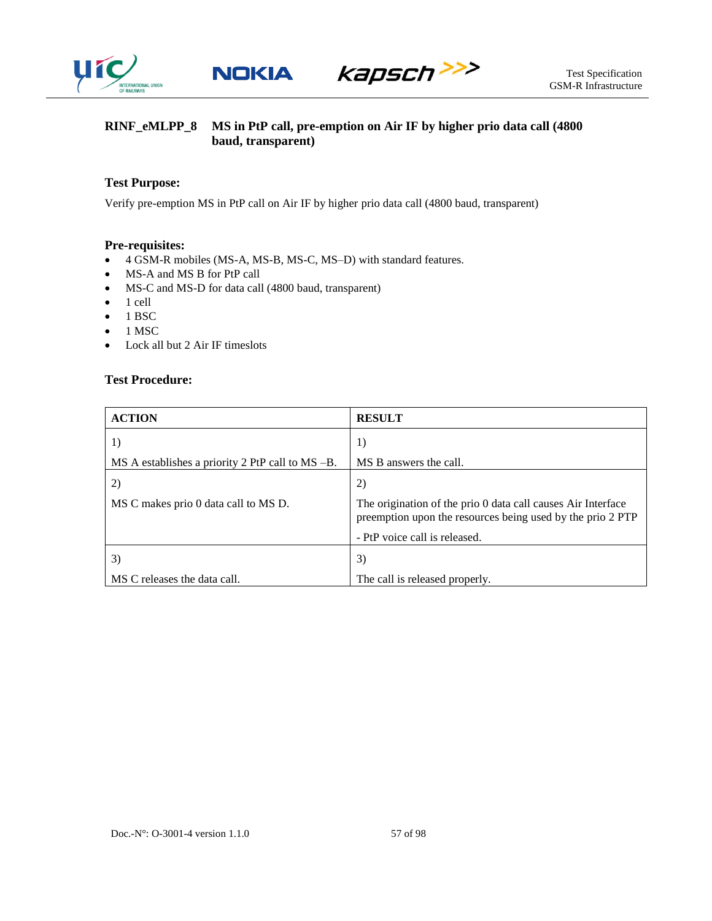



# **RINF\_eMLPP\_8 MS in PtP call, pre-emption on Air IF by higher prio data call (4800 baud, transparent)**

# **Test Purpose:**

Verify pre-emption MS in PtP call on Air IF by higher prio data call (4800 baud, transparent)

### **Pre-requisites:**

- 4 GSM-R mobiles (MS-A, MS-B, MS-C, MS–D) with standard features.
- MS-A and MS B for PtP call
- MS-C and MS-D for data call (4800 baud, transparent)

**NOKIA** 

- $\bullet$  1 cell
- $-1$  BSC
- $\bullet$  1 MSC
- Lock all but 2 Air IF timeslots

| <b>ACTION</b>                                    | <b>RESULT</b>                                                                                                              |
|--------------------------------------------------|----------------------------------------------------------------------------------------------------------------------------|
| 1)                                               | 1)                                                                                                                         |
| MS A establishes a priority 2 PtP call to MS -B. | MS B answers the call.                                                                                                     |
| 2)                                               | 2)                                                                                                                         |
| MS C makes prio 0 data call to MS D.             | The origination of the prio 0 data call causes Air Interface<br>preemption upon the resources being used by the prio 2 PTP |
|                                                  | - PtP voice call is released.                                                                                              |
| 3)                                               | 3)                                                                                                                         |
| MS C releases the data call.                     | The call is released properly.                                                                                             |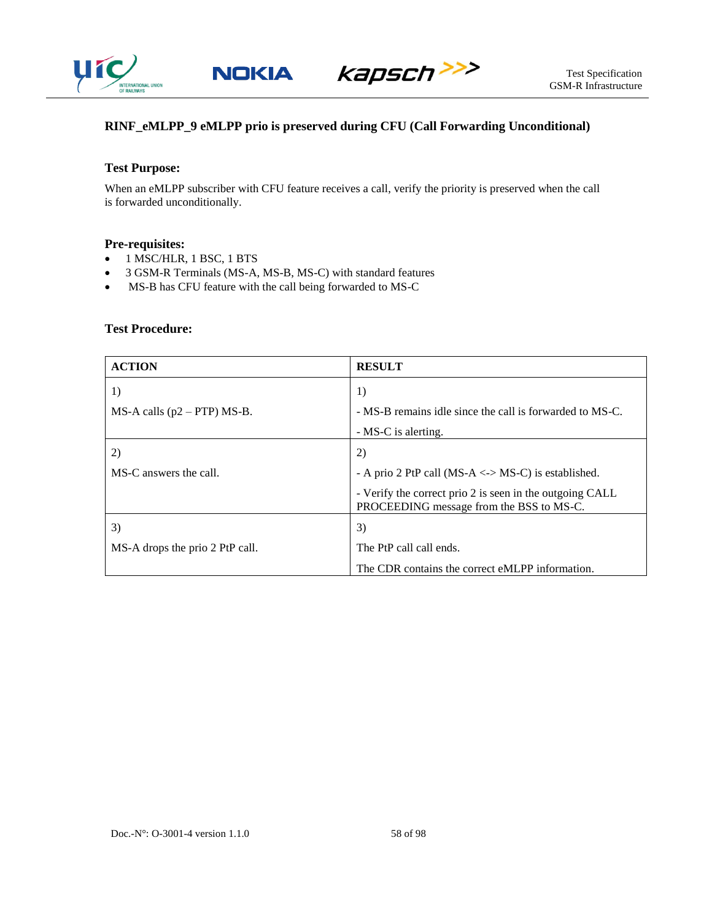



# **RINF\_eMLPP\_9 eMLPP prio is preserved during CFU (Call Forwarding Unconditional)**

## **Test Purpose:**

When an eMLPP subscriber with CFU feature receives a call, verify the priority is preserved when the call is forwarded unconditionally.

### **Pre-requisites:**

- 1 MSC/HLR, 1 BSC, 1 BTS
- 3 GSM-R Terminals (MS-A, MS-B, MS-C) with standard features
- MS-B has CFU feature with the call being forwarded to MS-C

**NOKIA** 

| <b>ACTION</b>                     | <b>RESULT</b>                                                                                        |
|-----------------------------------|------------------------------------------------------------------------------------------------------|
| 1)                                | 1)                                                                                                   |
| $MS-A$ calls ( $p2 - PTP$ ) MS-B. | - MS-B remains idle since the call is forwarded to MS-C.                                             |
|                                   | - MS-C is alerting.                                                                                  |
| 2)                                | 2)                                                                                                   |
| MS-C answers the call.            | - A prio 2 PtP call ( $MS-A \ll\rightarrow MS-C$ ) is established.                                   |
|                                   | - Verify the correct prio 2 is seen in the outgoing CALL<br>PROCEEDING message from the BSS to MS-C. |
| 3)                                | 3)                                                                                                   |
| MS-A drops the prio 2 PtP call.   | The PtP call call ends.                                                                              |
|                                   | The CDR contains the correct eMLPP information.                                                      |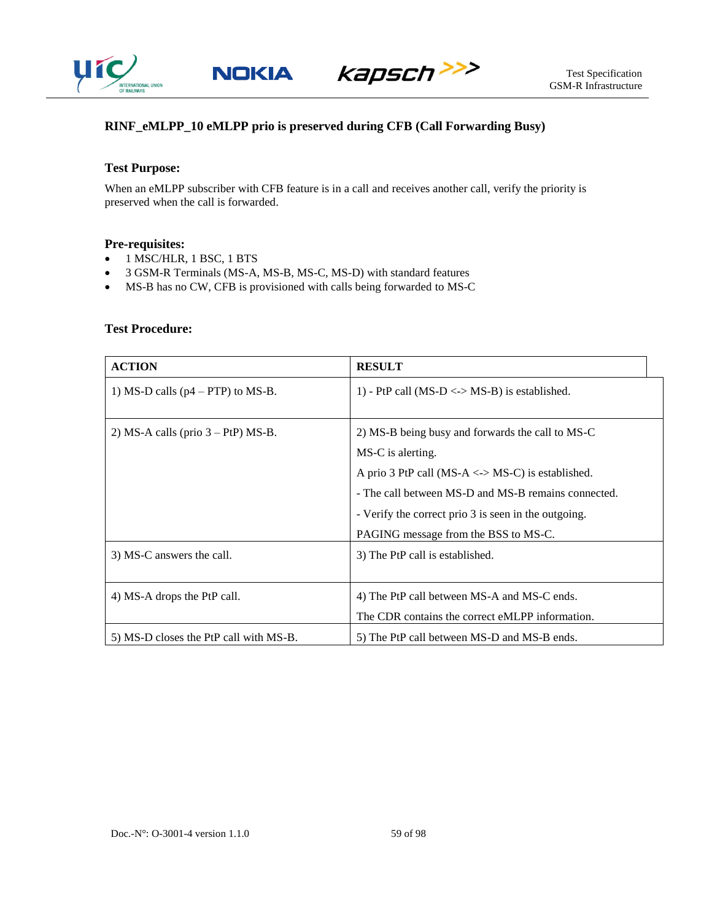



# **RINF\_eMLPP\_10 eMLPP prio is preserved during CFB (Call Forwarding Busy)**

### **Test Purpose:**

When an eMLPP subscriber with CFB feature is in a call and receives another call, verify the priority is preserved when the call is forwarded.

### **Pre-requisites:**

- 1 MSC/HLR, 1 BSC, 1 BTS
- 3 GSM-R Terminals (MS-A, MS-B, MS-C, MS-D) with standard features

**NOKIA** 

MS-B has no CW, CFB is provisioned with calls being forwarded to MS-C

| <b>ACTION</b>                          | <b>RESULT</b>                                                                                                                                                                                                                                                                         |  |
|----------------------------------------|---------------------------------------------------------------------------------------------------------------------------------------------------------------------------------------------------------------------------------------------------------------------------------------|--|
| 1) MS-D calls $(p4 - PTP)$ to MS-B.    | 1) - PtP call (MS-D $\le$ > MS-B) is established.                                                                                                                                                                                                                                     |  |
| 2) MS-A calls (prio $3 - PtP$ ) MS-B.  | 2) MS-B being busy and forwards the call to MS-C<br>MS-C is alerting.<br>A prio 3 PtP call ( $MS-A \le MS-C$ ) is established.<br>- The call between MS-D and MS-B remains connected.<br>- Verify the correct prio 3 is seen in the outgoing.<br>PAGING message from the BSS to MS-C. |  |
| 3) MS-C answers the call.              | 3) The PtP call is established.                                                                                                                                                                                                                                                       |  |
| 4) MS-A drops the PtP call.            | 4) The PtP call between MS-A and MS-C ends.<br>The CDR contains the correct eMLPP information.                                                                                                                                                                                        |  |
| 5) MS-D closes the PtP call with MS-B. | 5) The PtP call between MS-D and MS-B ends.                                                                                                                                                                                                                                           |  |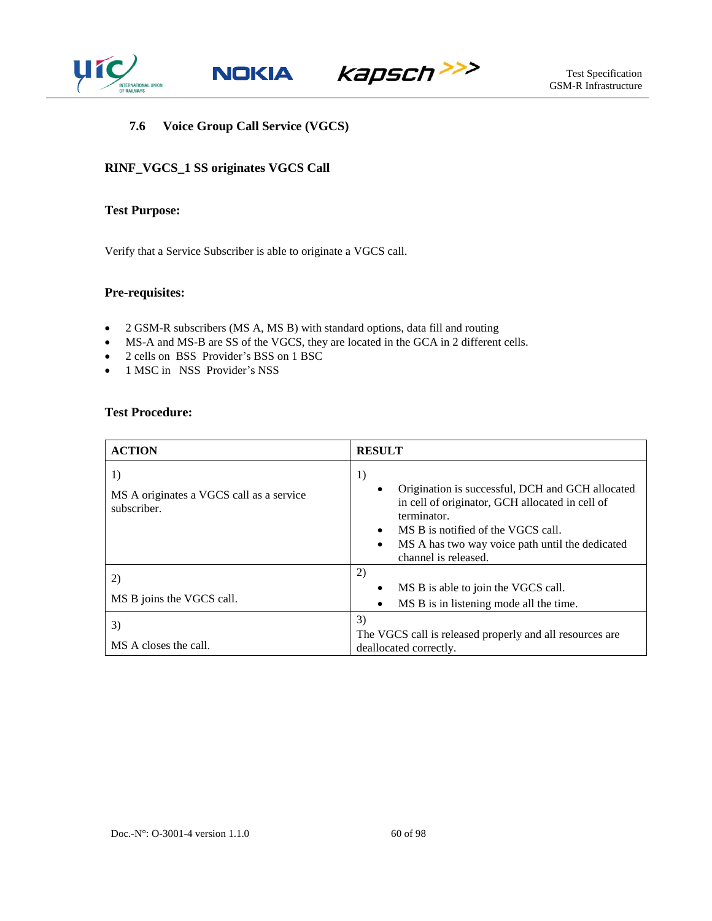



# **7.6 Voice Group Call Service (VGCS)**

**NOKIA** 

# **RINF\_VGCS\_1 SS originates VGCS Call**

# **Test Purpose:**

Verify that a Service Subscriber is able to originate a VGCS call.

# **Pre-requisites:**

- 2 GSM-R subscribers (MS A, MS B) with standard options, data fill and routing
- MS-A and MS-B are SS of the VGCS, they are located in the GCA in 2 different cells.
- 2 cells on BSS Provider's BSS on 1 BSC
- 1 MSC in NSS Provider's NSS

| <b>ACTION</b>                                                 | <b>RESULT</b>                                                                                                                                                                                                                                          |
|---------------------------------------------------------------|--------------------------------------------------------------------------------------------------------------------------------------------------------------------------------------------------------------------------------------------------------|
| 1)<br>MS A originates a VGCS call as a service<br>subscriber. | 1)<br>Origination is successful, DCH and GCH allocated<br>in cell of originator, GCH allocated in cell of<br>terminator.<br>MS B is notified of the VGCS call.<br>$\bullet$<br>MS A has two way voice path until the dedicated<br>channel is released. |
| 2)<br>MS B joins the VGCS call.                               | 2)<br>MS B is able to join the VGCS call.<br>MS B is in listening mode all the time.                                                                                                                                                                   |
| 3)<br>MS A closes the call.                                   | 3)<br>The VGCS call is released properly and all resources are<br>deallocated correctly.                                                                                                                                                               |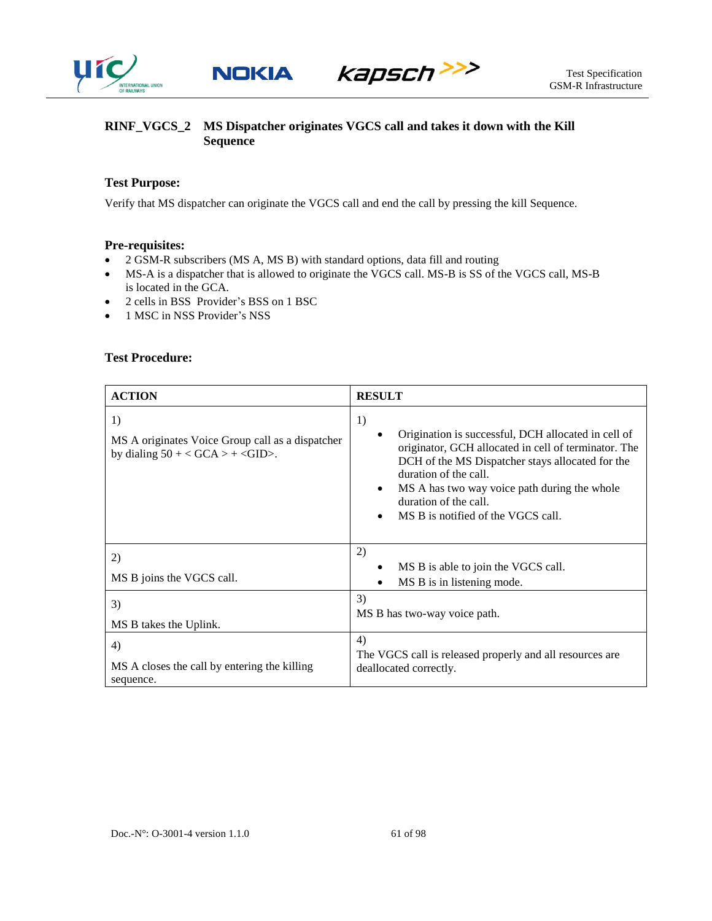



# **RINF\_VGCS\_2 MS Dispatcher originates VGCS call and takes it down with the Kill Sequence**

# **Test Purpose:**

Verify that MS dispatcher can originate the VGCS call and end the call by pressing the kill Sequence.

### **Pre-requisites:**

- 2 GSM-R subscribers (MS A, MS B) with standard options, data fill and routing
- MS-A is a dispatcher that is allowed to originate the VGCS call. MS-B is SS of the VGCS call, MS-B is located in the GCA.
- 2 cells in BSS Provider's BSS on 1 BSC

**NOKIA** 

• 1 MSC in NSS Provider's NSS

| <b>ACTION</b>                                                                                    | <b>RESULT</b>                                                                                                                                                                                                                                                                                                 |
|--------------------------------------------------------------------------------------------------|---------------------------------------------------------------------------------------------------------------------------------------------------------------------------------------------------------------------------------------------------------------------------------------------------------------|
| 1)<br>MS A originates Voice Group call as a dispatcher<br>by dialing $50 + <$ GCA > + $<$ GID >. | 1)<br>Origination is successful, DCH allocated in cell of<br>originator, GCH allocated in cell of terminator. The<br>DCH of the MS Dispatcher stays allocated for the<br>duration of the call.<br>MS A has two way voice path during the whole<br>duration of the call.<br>MS B is notified of the VGCS call. |
| 2)<br>MS B joins the VGCS call.                                                                  | 2)<br>MS B is able to join the VGCS call.<br>MS B is in listening mode.                                                                                                                                                                                                                                       |
| 3)<br>MS B takes the Uplink.                                                                     | 3)<br>MS B has two-way voice path.                                                                                                                                                                                                                                                                            |
| 4)<br>MS A closes the call by entering the killing<br>sequence.                                  | 4)<br>The VGCS call is released properly and all resources are<br>deallocated correctly.                                                                                                                                                                                                                      |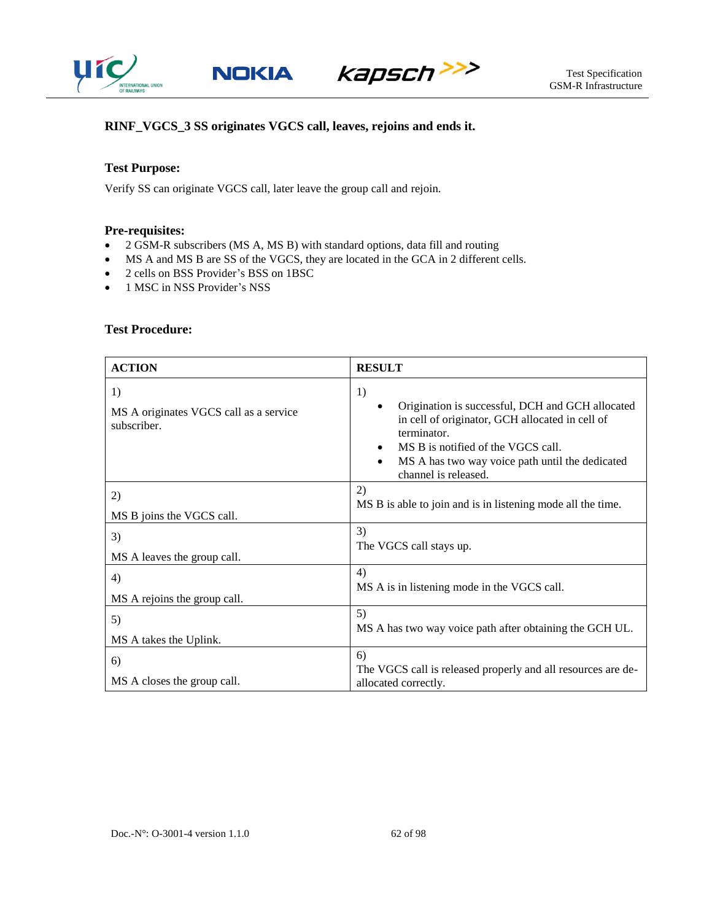



# **RINF\_VGCS\_3 SS originates VGCS call, leaves, rejoins and ends it.**

# **Test Purpose:**

Verify SS can originate VGCS call, later leave the group call and rejoin.

**NOKIA** 

### **Pre-requisites:**

- 2 GSM-R subscribers (MS A, MS B) with standard options, data fill and routing
- MS A and MS B are SS of the VGCS, they are located in the GCA in 2 different cells.
- 2 cells on BSS Provider's BSS on 1BSC
- 1 MSC in NSS Provider's NSS

| <b>ACTION</b>                                               | <b>RESULT</b>                                                                                                                                                                                                                                               |
|-------------------------------------------------------------|-------------------------------------------------------------------------------------------------------------------------------------------------------------------------------------------------------------------------------------------------------------|
| 1)<br>MS A originates VGCS call as a service<br>subscriber. | 1)<br>Origination is successful, DCH and GCH allocated<br>٠<br>in cell of originator, GCH allocated in cell of<br>terminator.<br>MS B is notified of the VGCS call.<br>$\bullet$<br>MS A has two way voice path until the dedicated<br>channel is released. |
| 2)                                                          | 2)                                                                                                                                                                                                                                                          |
| MS B joins the VGCS call.                                   | MS B is able to join and is in listening mode all the time.                                                                                                                                                                                                 |
| 3)                                                          | 3)                                                                                                                                                                                                                                                          |
| MS A leaves the group call.                                 | The VGCS call stays up.                                                                                                                                                                                                                                     |
| 4)                                                          | 4)                                                                                                                                                                                                                                                          |
| MS A rejoins the group call.                                | MS A is in listening mode in the VGCS call.                                                                                                                                                                                                                 |
| 5)                                                          | 5)                                                                                                                                                                                                                                                          |
| MS A takes the Uplink.                                      | MS A has two way voice path after obtaining the GCH UL.                                                                                                                                                                                                     |
| 6)<br>MS A closes the group call.                           | 6)<br>The VGCS call is released properly and all resources are de-<br>allocated correctly.                                                                                                                                                                  |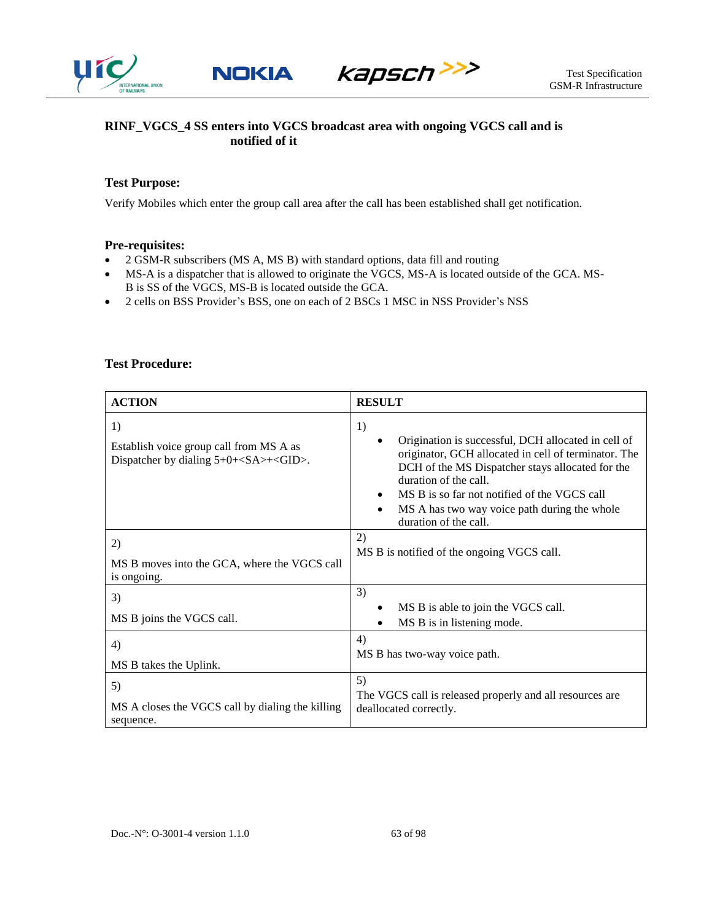



# **RINF\_VGCS\_4 SS enters into VGCS broadcast area with ongoing VGCS call and is notified of it**

# **Test Purpose:**

Verify Mobiles which enter the group call area after the call has been established shall get notification.

### **Pre-requisites:**

2 GSM-R subscribers (MS A, MS B) with standard options, data fill and routing

**NOKIA** 

- MS-A is a dispatcher that is allowed to originate the VGCS, MS-A is located outside of the GCA. MS-B is SS of the VGCS, MS-B is located outside the GCA.
- 2 cells on BSS Provider's BSS, one on each of 2 BSCs 1 MSC in NSS Provider's NSS

| <b>ACTION</b>                                                                                 | <b>RESULT</b>                                                                                                                                                                                                                                                                                                           |
|-----------------------------------------------------------------------------------------------|-------------------------------------------------------------------------------------------------------------------------------------------------------------------------------------------------------------------------------------------------------------------------------------------------------------------------|
| 1)<br>Establish voice group call from MS A as<br>Dispatcher by dialing $5+0++\leq$ GID>.      | 1)<br>Origination is successful, DCH allocated in cell of<br>originator, GCH allocated in cell of terminator. The<br>DCH of the MS Dispatcher stays allocated for the<br>duration of the call.<br>MS B is so far not notified of the VGCS call<br>MS A has two way voice path during the whole<br>duration of the call. |
| 2)<br>MS B moves into the GCA, where the VGCS call<br>is ongoing.                             | 2)<br>MS B is notified of the ongoing VGCS call.                                                                                                                                                                                                                                                                        |
| 3)<br>MS B joins the VGCS call.<br>4)                                                         | 3)<br>MS B is able to join the VGCS call.<br>MS B is in listening mode.<br>4)<br>MS B has two-way voice path.                                                                                                                                                                                                           |
| MS B takes the Uplink.<br>5)<br>MS A closes the VGCS call by dialing the killing<br>sequence. | 5)<br>The VGCS call is released properly and all resources are<br>deallocated correctly.                                                                                                                                                                                                                                |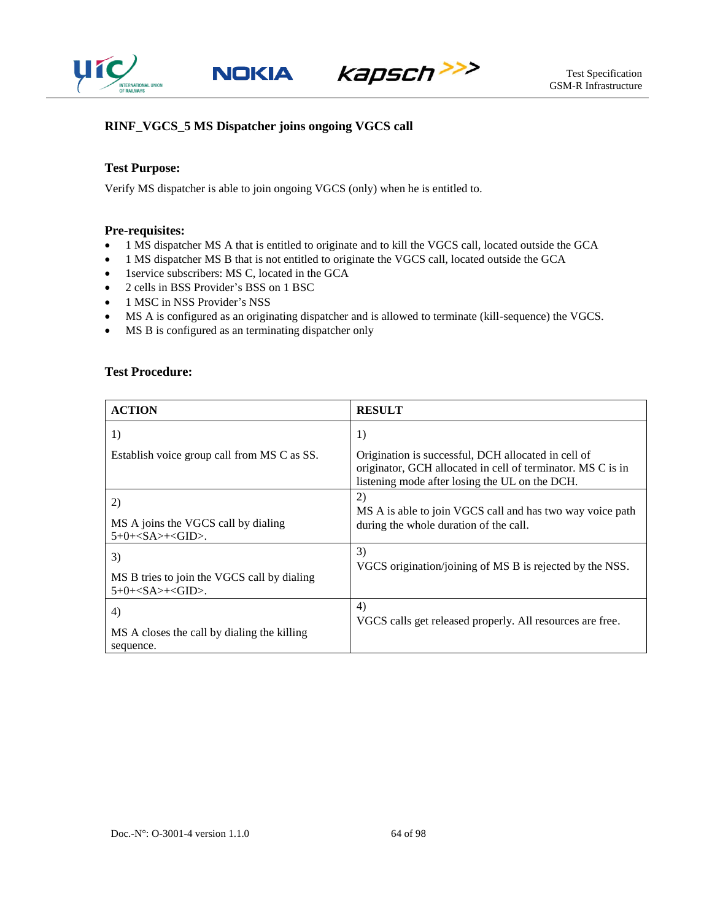



# **RINF\_VGCS\_5 MS Dispatcher joins ongoing VGCS call**

**NOKIA** 

# **Test Purpose:**

Verify MS dispatcher is able to join ongoing VGCS (only) when he is entitled to.

### **Pre-requisites:**

- 1 MS dispatcher MS A that is entitled to originate and to kill the VGCS call, located outside the GCA
- 1 MS dispatcher MS B that is not entitled to originate the VGCS call, located outside the GCA
- 1service subscribers: MS C, located in the GCA
- 2 cells in BSS Provider's BSS on 1 BSC
- 1 MSC in NSS Provider's NSS
- MS A is configured as an originating dispatcher and is allowed to terminate (kill-sequence) the VGCS.
- MS B is configured as an terminating dispatcher only

| <b>ACTION</b>                                           | <b>RESULT</b>                                                                                                                                                        |
|---------------------------------------------------------|----------------------------------------------------------------------------------------------------------------------------------------------------------------------|
| 1)                                                      | 1)                                                                                                                                                                   |
| Establish voice group call from MS C as SS.             | Origination is successful, DCH allocated in cell of<br>originator, GCH allocated in cell of terminator. MS C is in<br>listening mode after losing the UL on the DCH. |
| 2)                                                      | 2)<br>MS A is able to join VGCS call and has two way voice path                                                                                                      |
| MS A joins the VGCS call by dialing<br>$5+0++.$         | during the whole duration of the call.                                                                                                                               |
| 3)                                                      | 3)<br>VGCS origination/joining of MS B is rejected by the NSS.                                                                                                       |
| MS B tries to join the VGCS call by dialing<br>$5+0++.$ |                                                                                                                                                                      |
| 4)                                                      | 4)                                                                                                                                                                   |
| MS A closes the call by dialing the killing             | VGCS calls get released properly. All resources are free.                                                                                                            |
| sequence.                                               |                                                                                                                                                                      |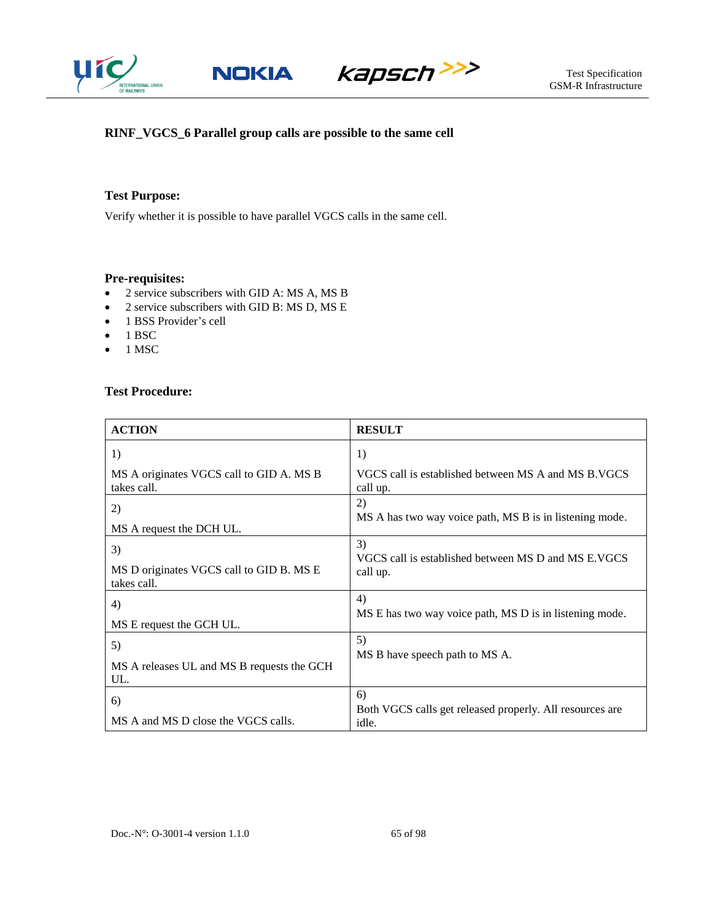



# **RINF\_VGCS\_6 Parallel group calls are possible to the same cell**

**NOKIA** 

# **Test Purpose:**

Verify whether it is possible to have parallel VGCS calls in the same cell.

### **Pre-requisites:**

- 2 service subscribers with GID A: MS A, MS B
- 2 service subscribers with GID B: MS D, MS E
- 1 BSS Provider's cell
- $-1$  BSC
- $\bullet$  1 MSC

| <b>ACTION</b>                                           | <b>RESULT</b>                                                           |
|---------------------------------------------------------|-------------------------------------------------------------------------|
| 1)                                                      | 1)                                                                      |
| MS A originates VGCS call to GID A. MS B                | VGCS call is established between MS A and MS B.VGCS                     |
| takes call.                                             | call up.                                                                |
| 2)                                                      | 2)                                                                      |
| MS A request the DCH UL.                                | MS A has two way voice path, MS B is in listening mode.                 |
| 3)                                                      | 3)                                                                      |
| MS D originates VGCS call to GID B. MS E                | VGCS call is established between MS D and MS E.VGCS                     |
| takes call.                                             | call up.                                                                |
| 4)                                                      | 4)                                                                      |
| MS E request the GCH UL.                                | MS E has two way voice path, MS D is in listening mode.                 |
| 5)<br>MS A releases UL and MS B requests the GCH<br>UL. | 5)<br>MS B have speech path to MS A.                                    |
| 6)<br>MS A and MS D close the VGCS calls.               | 6)<br>Both VGCS calls get released properly. All resources are<br>idle. |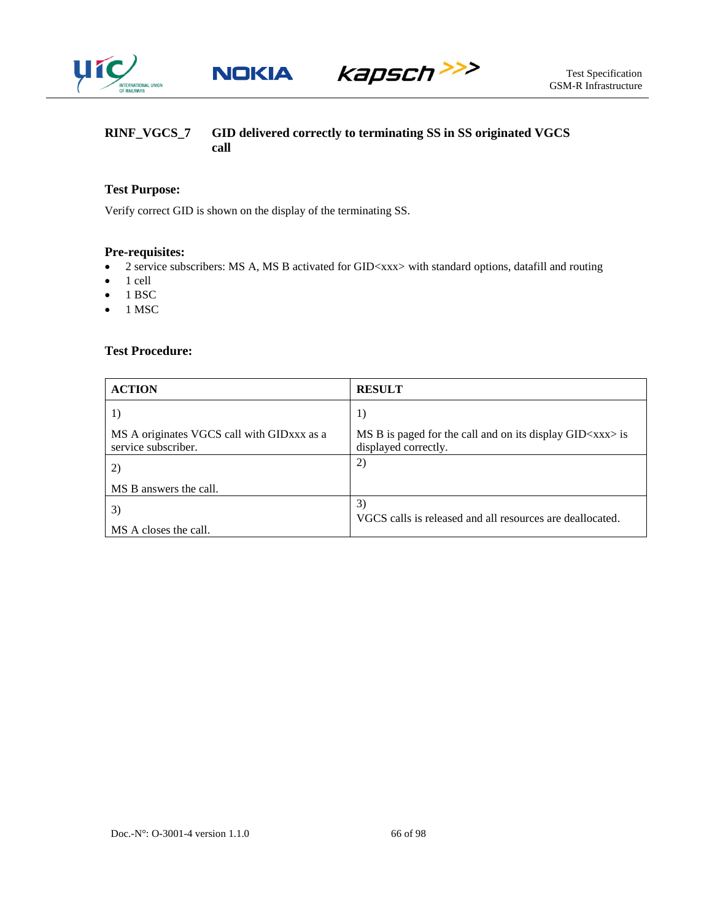



# **RINF\_VGCS\_7 GID delivered correctly to terminating SS in SS originated VGCS call**

# **Test Purpose:**

Verify correct GID is shown on the display of the terminating SS.

**NOKIA** 

# **Pre-requisites:**

- 2 service subscribers: MS A, MS B activated for GID<xxx> with standard options, datafill and routing
- $\bullet$  1 cell
- $-1$  BSC
- $\bullet$  1 MSC

| <b>ACTION</b>                                                     | <b>RESULT</b>                                                                            |
|-------------------------------------------------------------------|------------------------------------------------------------------------------------------|
| 1)                                                                | 1)                                                                                       |
| MS A originates VGCS call with GIDxxx as a<br>service subscriber. | $MS B$ is paged for the call and on its display $GID < xxx >$ is<br>displayed correctly. |
| $\mathbf{2}$                                                      | 2)                                                                                       |
| MS B answers the call.                                            |                                                                                          |
| 3)<br>MS A closes the call.                                       | 3)<br>VGCS calls is released and all resources are deallocated.                          |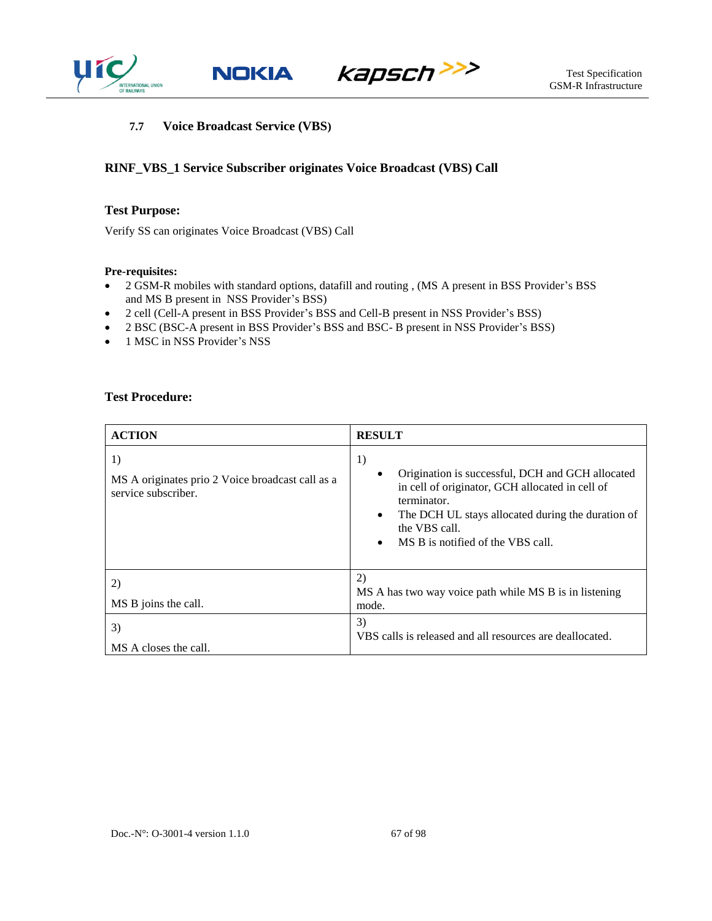



# **7.7 Voice Broadcast Service (VBS)**

**NOKIA** 

# **RINF\_VBS\_1 Service Subscriber originates Voice Broadcast (VBS) Call**

# **Test Purpose:**

Verify SS can originates Voice Broadcast (VBS) Call

#### **Pre-requisites:**

- 2 GSM-R mobiles with standard options, datafill and routing , (MS A present in BSS Provider's BSS and MS B present in NSS Provider's BSS)
- 2 cell (Cell-A present in BSS Provider's BSS and Cell-B present in NSS Provider's BSS)
- 2 BSC (BSC-A present in BSS Provider's BSS and BSC- B present in NSS Provider's BSS)
- 1 MSC in NSS Provider's NSS

| <b>ACTION</b>                                                                 | <b>RESULT</b>                                                                                                                                                                                                                                                 |
|-------------------------------------------------------------------------------|---------------------------------------------------------------------------------------------------------------------------------------------------------------------------------------------------------------------------------------------------------------|
| 1)<br>MS A originates prio 2 Voice broadcast call as a<br>service subscriber. | 1)<br>Origination is successful, DCH and GCH allocated<br>in cell of originator, GCH allocated in cell of<br>terminator.<br>The DCH UL stays allocated during the duration of<br>$\bullet$<br>the VBS call.<br>MS B is notified of the VBS call.<br>$\bullet$ |
| 2)<br>MS B joins the call.                                                    | 2)<br>MS A has two way voice path while MS B is in listening<br>mode.                                                                                                                                                                                         |
| 3)<br>MS A closes the call.                                                   | 3)<br>VBS calls is released and all resources are deallocated.                                                                                                                                                                                                |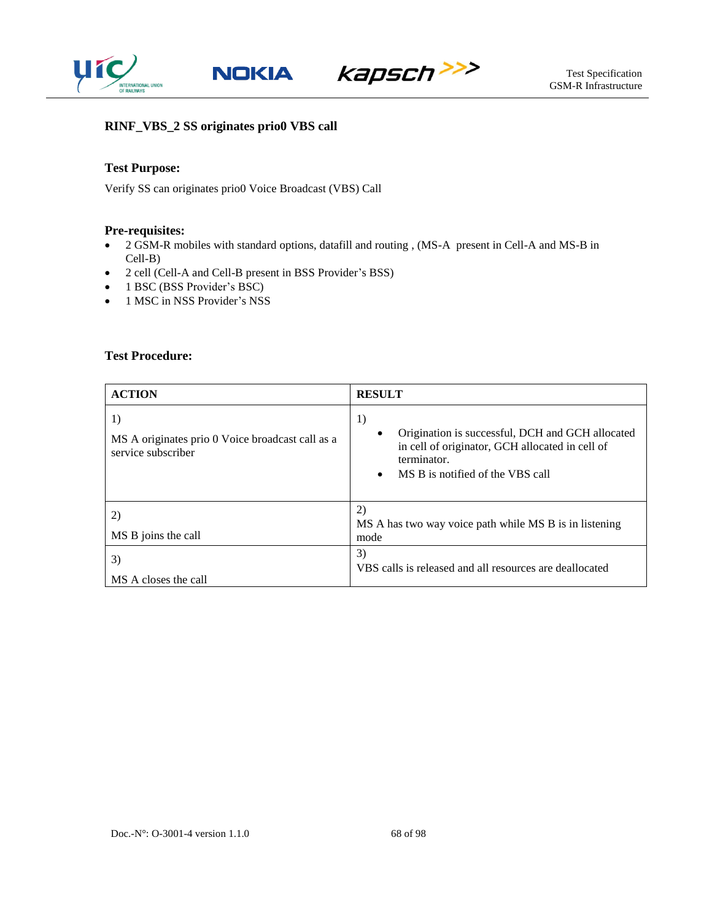



# **RINF\_VBS\_2 SS originates prio0 VBS call**

# **Test Purpose:**

Verify SS can originates prio0 Voice Broadcast (VBS) Call

**NOKIA** 

### **Pre-requisites:**

- 2 GSM-R mobiles with standard options, datafill and routing, (MS-A present in Cell-A and MS-B in Cell-B)
- 2 cell (Cell-A and Cell-B present in BSS Provider's BSS)
- 1 BSC (BSS Provider's BSC)
- 1 MSC in NSS Provider's NSS

| <b>ACTION</b>                                                                | <b>RESULT</b>                                                                                                                                                             |
|------------------------------------------------------------------------------|---------------------------------------------------------------------------------------------------------------------------------------------------------------------------|
| 1)<br>MS A originates prio 0 Voice broadcast call as a<br>service subscriber | 1)<br>Origination is successful, DCH and GCH allocated<br>in cell of originator, GCH allocated in cell of<br>terminator.<br>MS B is notified of the VBS call<br>$\bullet$ |
| 2)<br>MS B joins the call                                                    | $\mathbf{2}$<br>MS A has two way voice path while MS B is in listening<br>mode                                                                                            |
| 3)<br>MS A closes the call                                                   | 3)<br>VBS calls is released and all resources are deallocated                                                                                                             |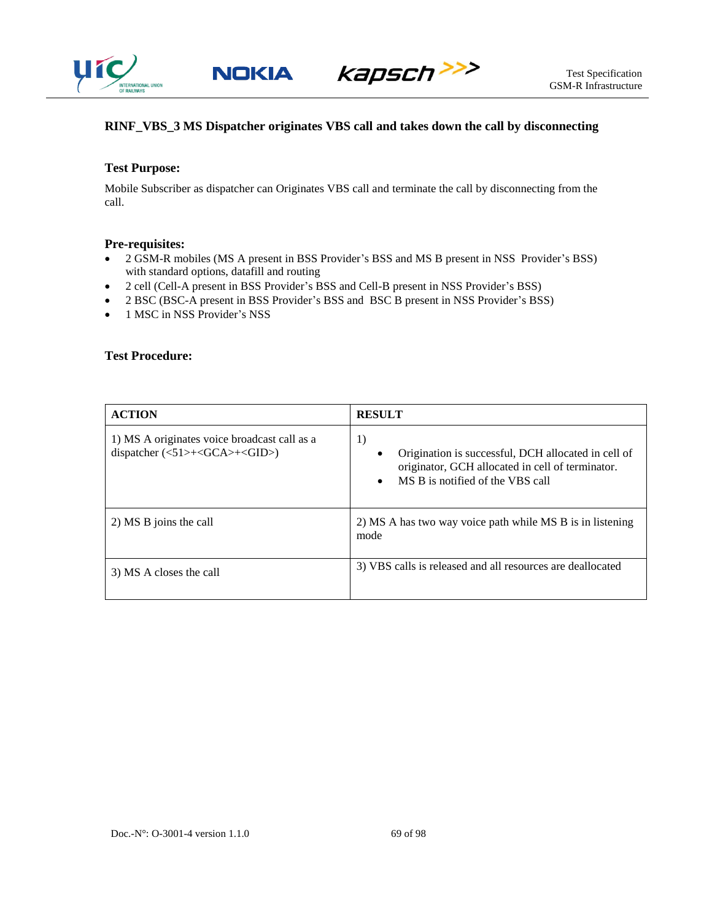



# **RINF\_VBS\_3 MS Dispatcher originates VBS call and takes down the call by disconnecting**

**NOKIA** 

### **Test Purpose:**

Mobile Subscriber as dispatcher can Originates VBS call and terminate the call by disconnecting from the call.

# **Pre-requisites:**

- 2 GSM-R mobiles (MS A present in BSS Provider's BSS and MS B present in NSS Provider's BSS) with standard options, datafill and routing
- 2 cell (Cell-A present in BSS Provider's BSS and Cell-B present in NSS Provider's BSS)
- 2 BSC (BSC-A present in BSS Provider's BSS and BSC B present in NSS Provider's BSS)
- 1 MSC in NSS Provider's NSS

| <b>ACTION</b>                                                                                                                 | <b>RESULT</b>                                                                                                                                                  |
|-------------------------------------------------------------------------------------------------------------------------------|----------------------------------------------------------------------------------------------------------------------------------------------------------------|
| 1) MS A originates voice broadcast call as a<br>dispatcher $(\langle 51 \rangle + \langle GCA \rangle + \langle GID \rangle)$ | 1)<br>Origination is successful, DCH allocated in cell of<br>originator, GCH allocated in cell of terminator.<br>MS B is notified of the VBS call<br>$\bullet$ |
| 2) MS B joins the call                                                                                                        | 2) MS A has two way voice path while MS B is in listening<br>mode                                                                                              |
| 3) MS A closes the call                                                                                                       | 3) VBS calls is released and all resources are deallocated                                                                                                     |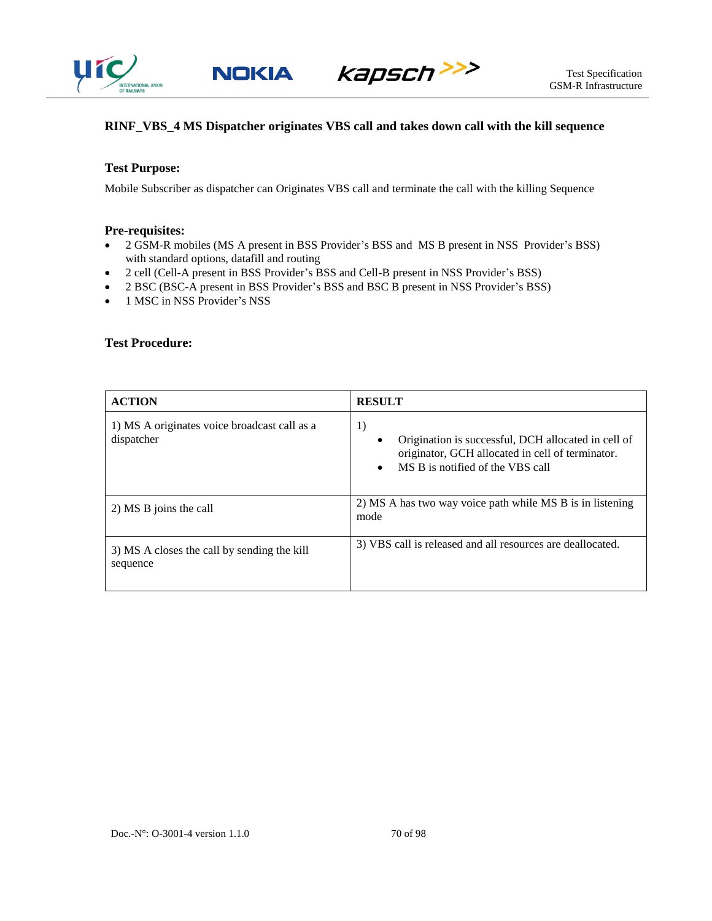



# **RINF\_VBS\_4 MS Dispatcher originates VBS call and takes down call with the kill sequence**

# **Test Purpose:**

Mobile Subscriber as dispatcher can Originates VBS call and terminate the call with the killing Sequence

# **Pre-requisites:**

- 2 GSM-R mobiles (MS A present in BSS Provider's BSS and MS B present in NSS Provider's BSS) with standard options, datafill and routing
- 2 cell (Cell-A present in BSS Provider's BSS and Cell-B present in NSS Provider's BSS)
- 2 BSC (BSC-A present in BSS Provider's BSS and BSC B present in NSS Provider's BSS)
- 1 MSC in NSS Provider's NSS

**NOKIA** 

| <b>ACTION</b>                                              | <b>RESULT</b>                                                                                                                                                  |
|------------------------------------------------------------|----------------------------------------------------------------------------------------------------------------------------------------------------------------|
| 1) MS A originates voice broadcast call as a<br>dispatcher | 1)<br>Origination is successful, DCH allocated in cell of<br>originator, GCH allocated in cell of terminator.<br>MS B is notified of the VBS call<br>$\bullet$ |
| 2) MS B joins the call                                     | 2) MS A has two way voice path while MS B is in listening<br>mode                                                                                              |
| 3) MS A closes the call by sending the kill<br>sequence    | 3) VBS call is released and all resources are deallocated.                                                                                                     |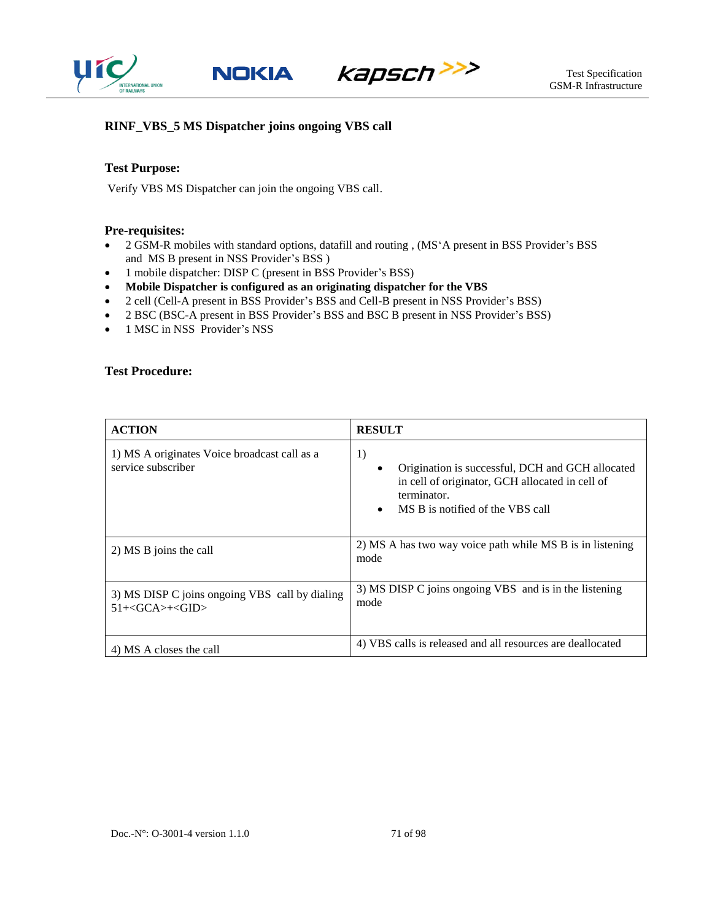



# **RINF\_VBS\_5 MS Dispatcher joins ongoing VBS call**

**NOKIA** 

# **Test Purpose:**

Verify VBS MS Dispatcher can join the ongoing VBS call.

### **Pre-requisites:**

- 2 GSM-R mobiles with standard options, datafill and routing , (MS'A present in BSS Provider's BSS and MS B present in NSS Provider's BSS )
- 1 mobile dispatcher: DISP C (present in BSS Provider's BSS)
- **Mobile Dispatcher is configured as an originating dispatcher for the VBS**
- 2 cell (Cell-A present in BSS Provider's BSS and Cell-B present in NSS Provider's BSS)
- 2 BSC (BSC-A present in BSS Provider's BSS and BSC B present in NSS Provider's BSS)
- 1 MSC in NSS Provider's NSS

| <b>ACTION</b>                                                                    | <b>RESULT</b>                                                                                                                                                             |
|----------------------------------------------------------------------------------|---------------------------------------------------------------------------------------------------------------------------------------------------------------------------|
| 1) MS A originates Voice broadcast call as a<br>service subscriber               | 1)<br>Origination is successful, DCH and GCH allocated<br>in cell of originator, GCH allocated in cell of<br>terminator.<br>MS B is notified of the VBS call<br>$\bullet$ |
| 2) MS B joins the call                                                           | 2) MS A has two way voice path while MS B is in listening<br>mode                                                                                                         |
| 3) MS DISP C joins ongoing VBS call by dialing<br>$51 + < GCA \rightarrow < GID$ | 3) MS DISP C joins ongoing VBS and is in the listening<br>mode                                                                                                            |
| 4) MS A closes the call                                                          | 4) VBS calls is released and all resources are deallocated                                                                                                                |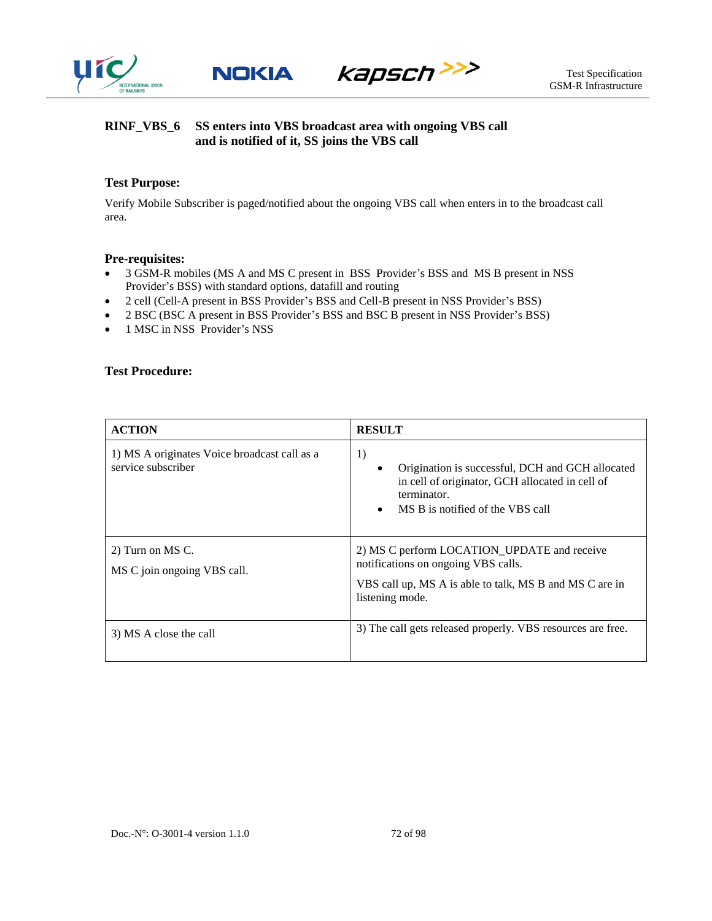



# **RINF\_VBS\_6 SS enters into VBS broadcast area with ongoing VBS call and is notified of it, SS joins the VBS call**

**NOKIA** 

### **Test Purpose:**

Verify Mobile Subscriber is paged/notified about the ongoing VBS call when enters in to the broadcast call area.

### **Pre-requisites:**

- 3 GSM-R mobiles (MS A and MS C present in BSS Provider's BSS and MS B present in NSS Provider's BSS) with standard options, datafill and routing
- 2 cell (Cell-A present in BSS Provider's BSS and Cell-B present in NSS Provider's BSS)
- 2 BSC (BSC A present in BSS Provider's BSS and BSC B present in NSS Provider's BSS)
- 1 MSC in NSS Provider's NSS

| <b>ACTION</b>                                                      | <b>RESULT</b>                                                                                                                                                             |
|--------------------------------------------------------------------|---------------------------------------------------------------------------------------------------------------------------------------------------------------------------|
| 1) MS A originates Voice broadcast call as a<br>service subscriber | 1)<br>Origination is successful, DCH and GCH allocated<br>in cell of originator, GCH allocated in cell of<br>terminator.<br>MS B is notified of the VBS call<br>$\bullet$ |
| 2) Turn on MS C.<br>MS C join ongoing VBS call.                    | 2) MS C perform LOCATION_UPDATE and receive<br>notifications on ongoing VBS calls.<br>VBS call up, MS A is able to talk, MS B and MS C are in<br>listening mode.          |
| 3) MS A close the call                                             | 3) The call gets released properly. VBS resources are free.                                                                                                               |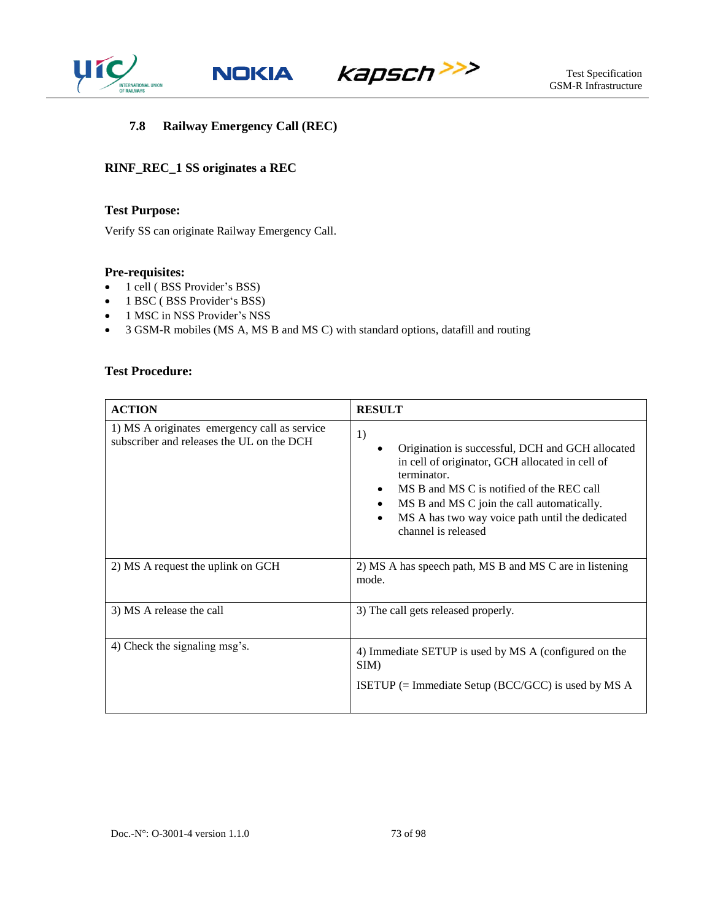



# **7.8 Railway Emergency Call (REC)**

**NOKIA** 

# **RINF\_REC\_1 SS originates a REC**

## **Test Purpose:**

Verify SS can originate Railway Emergency Call.

## **Pre-requisites:**

- 1 cell (BSS Provider's BSS)
- 1 BSC (BSS Provider's BSS)
- 1 MSC in NSS Provider's NSS
- 3 GSM-R mobiles (MS A, MS B and MS C) with standard options, datafill and routing

| <b>ACTION</b>                                                                             | <b>RESULT</b>                                                                                                                                                                                                                                                                                 |
|-------------------------------------------------------------------------------------------|-----------------------------------------------------------------------------------------------------------------------------------------------------------------------------------------------------------------------------------------------------------------------------------------------|
| 1) MS A originates emergency call as service<br>subscriber and releases the UL on the DCH | 1)<br>Origination is successful, DCH and GCH allocated<br>in cell of originator, GCH allocated in cell of<br>terminator.<br>MS B and MS C is notified of the REC call<br>MS B and MS C join the call automatically.<br>MS A has two way voice path until the dedicated<br>channel is released |
| 2) MS A request the uplink on GCH                                                         | 2) MS A has speech path, MS B and MS C are in listening<br>mode.                                                                                                                                                                                                                              |
| 3) MS A release the call                                                                  | 3) The call gets released properly.                                                                                                                                                                                                                                                           |
| 4) Check the signaling msg's.                                                             | 4) Immediate SETUP is used by MS A (configured on the<br>SIM)<br>ISETUP $(=$ Immediate Setup (BCC/GCC) is used by MS A                                                                                                                                                                        |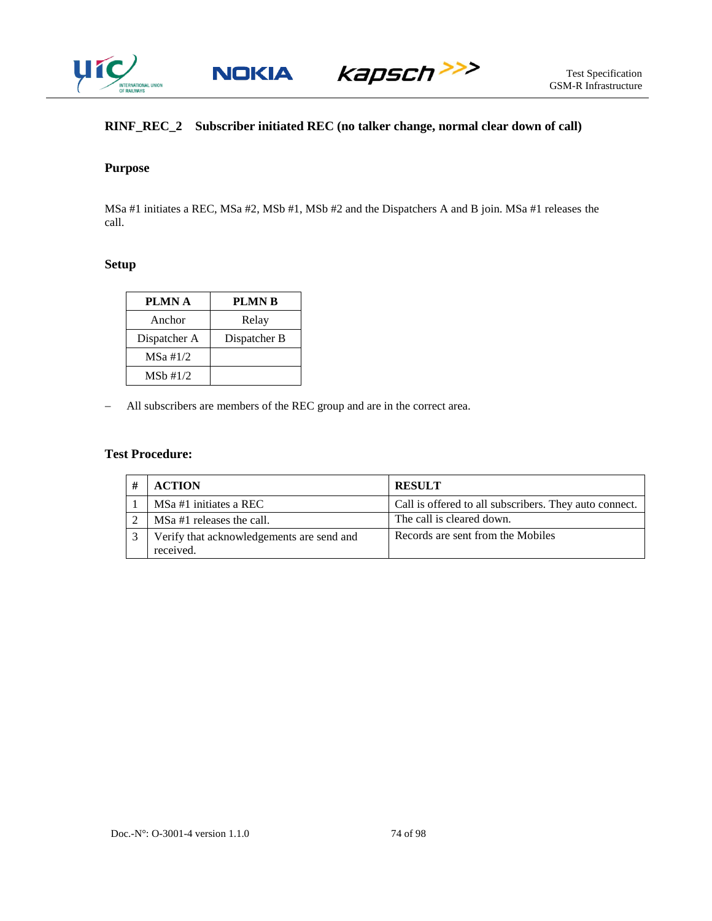



# **RINF\_REC\_2 Subscriber initiated REC (no talker change, normal clear down of call)**

## **Purpose**

MSa #1 initiates a REC, MSa #2, MSb #1, MSb #2 and the Dispatchers A and B join. MSa #1 releases the call.

## **Setup**

| PLMN A       | <b>PLMN B</b> |
|--------------|---------------|
| Anchor       | Relay         |
| Dispatcher A | Dispatcher B  |
| $MSa \#1/2$  |               |
| $MSb$ #1/2   |               |

**NOKIA** 

All subscribers are members of the REC group and are in the correct area.

| <b>ACTION</b>                                          | <b>RESULT</b>                                          |
|--------------------------------------------------------|--------------------------------------------------------|
| MSa #1 initiates a REC                                 | Call is offered to all subscribers. They auto connect. |
| MSa #1 releases the call.                              | The call is cleared down.                              |
| Verify that acknowledgements are send and<br>received. | Records are sent from the Mobiles                      |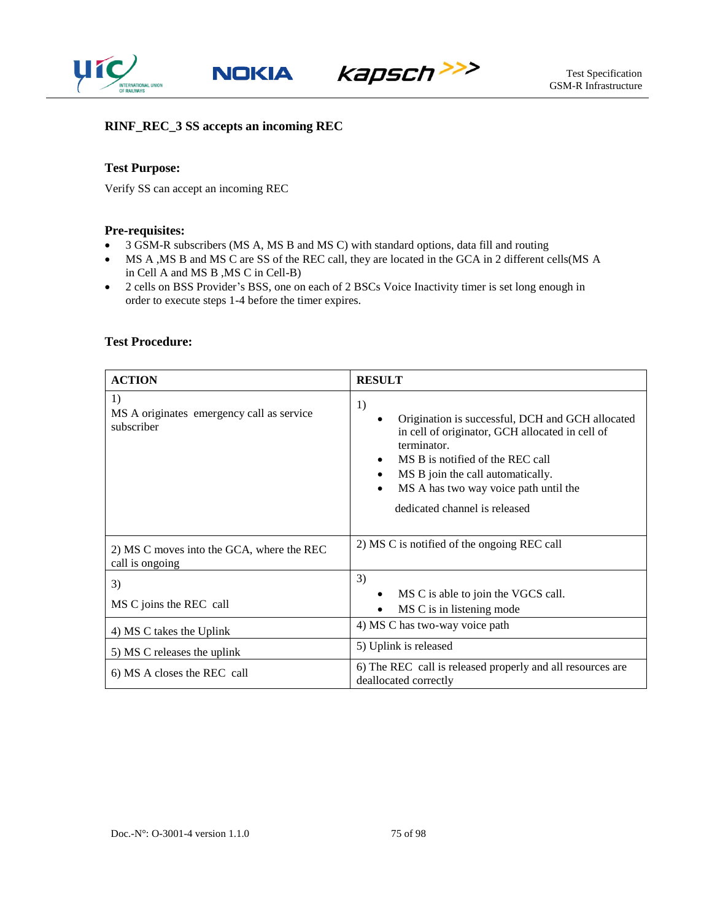



# **RINF\_REC\_3 SS accepts an incoming REC**

**NOKIA** 

## **Test Purpose:**

Verify SS can accept an incoming REC

## **Pre-requisites:**

- 3 GSM-R subscribers (MS A, MS B and MS C) with standard options, data fill and routing
- MS A ,MS B and MS C are SS of the REC call, they are located in the GCA in 2 different cells(MS A in Cell A and MS B ,MS C in Cell-B)
- 2 cells on BSS Provider's BSS, one on each of 2 BSCs Voice Inactivity timer is set long enough in order to execute steps 1-4 before the timer expires.

| <b>ACTION</b>                                                 | <b>RESULT</b>                                                                                                                                                                                                                                                               |
|---------------------------------------------------------------|-----------------------------------------------------------------------------------------------------------------------------------------------------------------------------------------------------------------------------------------------------------------------------|
| 1)<br>MS A originates emergency call as service<br>subscriber | 1)<br>Origination is successful, DCH and GCH allocated<br>in cell of originator, GCH allocated in cell of<br>terminator.<br>MS B is notified of the REC call<br>MS B join the call automatically.<br>MS A has two way voice path until the<br>dedicated channel is released |
| 2) MS C moves into the GCA, where the REC<br>call is ongoing  | 2) MS C is notified of the ongoing REC call                                                                                                                                                                                                                                 |
| 3)<br>MS C joins the REC call                                 | 3)<br>MS C is able to join the VGCS call.<br>MS C is in listening mode                                                                                                                                                                                                      |
| 4) MS C takes the Uplink                                      | 4) MS C has two-way voice path                                                                                                                                                                                                                                              |
| 5) MS C releases the uplink                                   | 5) Uplink is released                                                                                                                                                                                                                                                       |
| 6) MS A closes the REC call                                   | 6) The REC call is released properly and all resources are<br>deallocated correctly                                                                                                                                                                                         |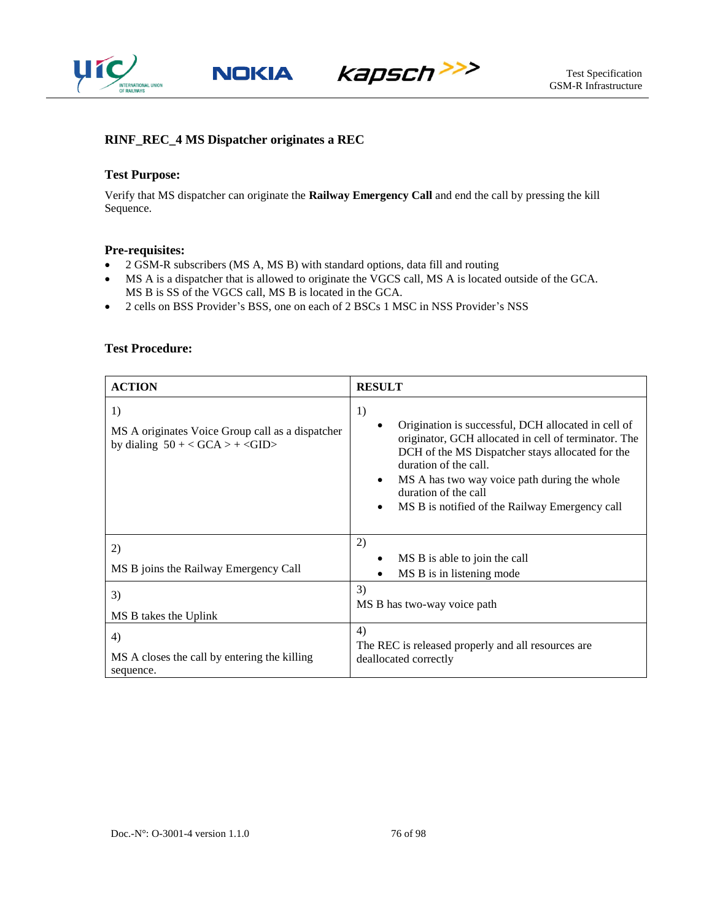



# **RINF\_REC\_4 MS Dispatcher originates a REC**

**NOKIA** 

## **Test Purpose:**

Verify that MS dispatcher can originate the **Railway Emergency Call** and end the call by pressing the kill Sequence.

#### **Pre-requisites:**

- 2 GSM-R subscribers (MS A, MS B) with standard options, data fill and routing
- MS A is a dispatcher that is allowed to originate the VGCS call, MS A is located outside of the GCA. MS B is SS of the VGCS call, MS B is located in the GCA.
- 2 cells on BSS Provider's BSS, one on each of 2 BSCs 1 MSC in NSS Provider's NSS

| <b>ACTION</b>                                                                                   | <b>RESULT</b>                                                                                                                                                                                                                                                                                                            |
|-------------------------------------------------------------------------------------------------|--------------------------------------------------------------------------------------------------------------------------------------------------------------------------------------------------------------------------------------------------------------------------------------------------------------------------|
| 1)<br>MS A originates Voice Group call as a dispatcher<br>by dialing $50 + <$ GCA > + $<$ GID > | 1)<br>Origination is successful, DCH allocated in cell of<br>originator, GCH allocated in cell of terminator. The<br>DCH of the MS Dispatcher stays allocated for the<br>duration of the call.<br>MS A has two way voice path during the whole<br>duration of the call<br>MS B is notified of the Railway Emergency call |
| 2)<br>MS B joins the Railway Emergency Call<br>3)                                               | 2)<br>MS B is able to join the call<br>MS B is in listening mode<br>3)                                                                                                                                                                                                                                                   |
| MS B takes the Uplink                                                                           | MS B has two-way voice path                                                                                                                                                                                                                                                                                              |
| 4)<br>MS A closes the call by entering the killing<br>sequence.                                 | 4)<br>The REC is released properly and all resources are<br>deallocated correctly                                                                                                                                                                                                                                        |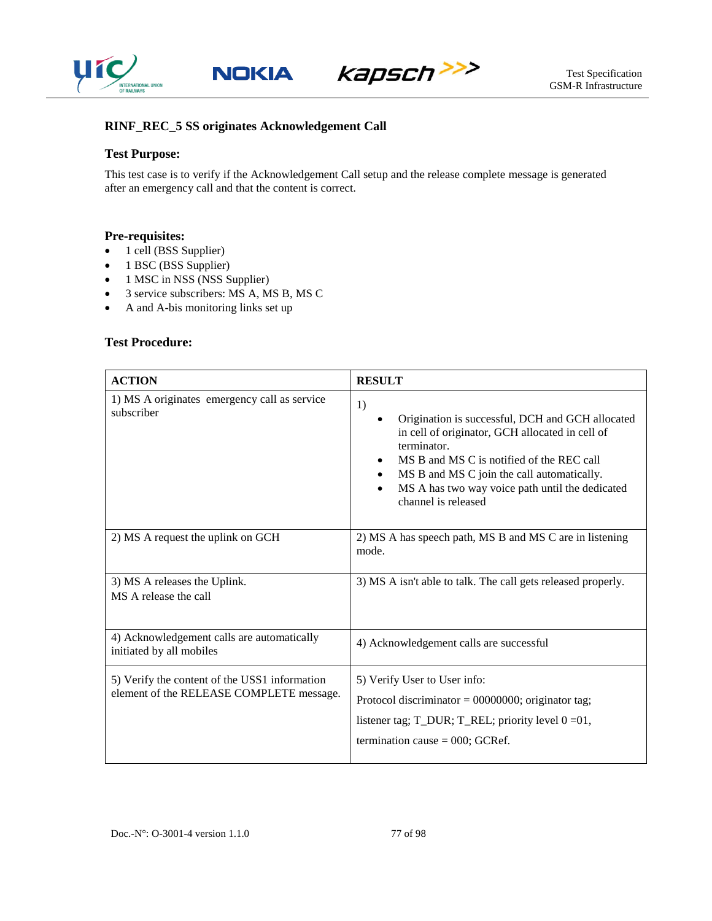



# **RINF\_REC\_5 SS originates Acknowledgement Call**

**NOKIA** 

#### **Test Purpose:**

This test case is to verify if the Acknowledgement Call setup and the release complete message is generated after an emergency call and that the content is correct.

#### **Pre-requisites:**

- 1 cell (BSS Supplier)
- 1 BSC (BSS Supplier)
- 1 MSC in NSS (NSS Supplier)
- 3 service subscribers: MS A, MS B, MS C
- A and A-bis monitoring links set up

| <b>ACTION</b>                                                                             | <b>RESULT</b>                                                                                                                                                                                                                                                                                 |
|-------------------------------------------------------------------------------------------|-----------------------------------------------------------------------------------------------------------------------------------------------------------------------------------------------------------------------------------------------------------------------------------------------|
| 1) MS A originates emergency call as service<br>subscriber                                | 1)<br>Origination is successful, DCH and GCH allocated<br>in cell of originator, GCH allocated in cell of<br>terminator.<br>MS B and MS C is notified of the REC call<br>MS B and MS C join the call automatically.<br>MS A has two way voice path until the dedicated<br>channel is released |
| 2) MS A request the uplink on GCH                                                         | 2) MS A has speech path, MS B and MS C are in listening<br>mode.                                                                                                                                                                                                                              |
| 3) MS A releases the Uplink.<br>MS A release the call                                     | 3) MS A isn't able to talk. The call gets released properly.                                                                                                                                                                                                                                  |
| 4) Acknowledgement calls are automatically<br>initiated by all mobiles                    | 4) Acknowledgement calls are successful                                                                                                                                                                                                                                                       |
| 5) Verify the content of the USS1 information<br>element of the RELEASE COMPLETE message. | 5) Verify User to User info:<br>Protocol discriminator = $00000000$ ; originator tag;<br>listener tag; T_DUR; T_REL; priority level $0 = 01$ ,<br>termination cause = $000$ ; GCRef.                                                                                                          |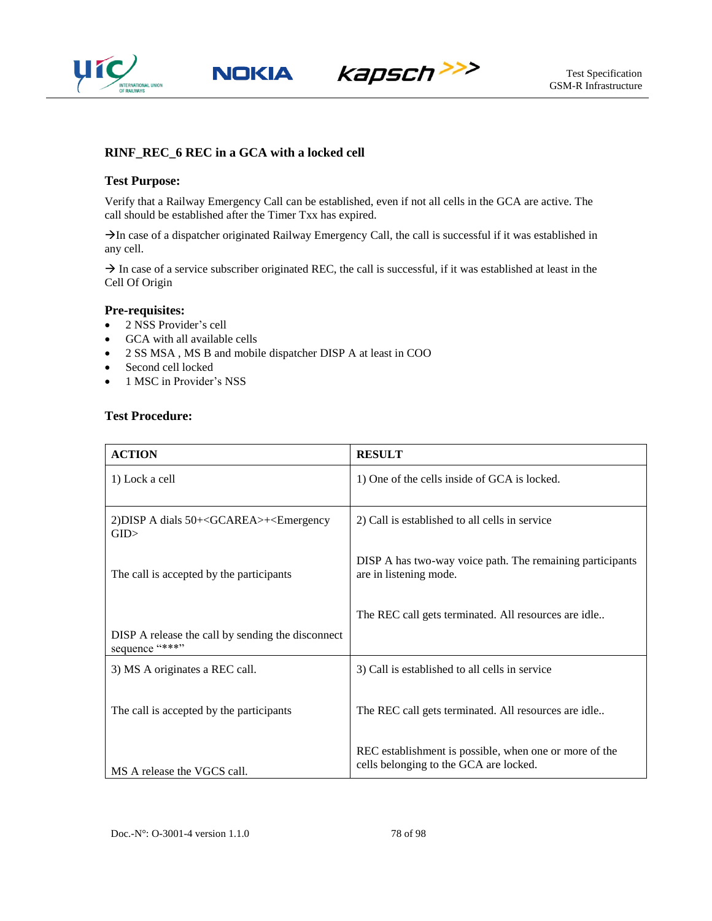



# **RINF\_REC\_6 REC in a GCA with a locked cell**

**NOKIA** 

#### **Test Purpose:**

Verify that a Railway Emergency Call can be established, even if not all cells in the GCA are active. The call should be established after the Timer Txx has expired.

>In case of a dispatcher originated Railway Emergency Call, the call is successful if it was established in any cell.

 $\rightarrow$  In case of a service subscriber originated REC, the call is successful, if it was established at least in the Cell Of Origin

#### **Pre-requisites:**

- 2 NSS Provider's cell
- GCA with all available cells
- 2 SS MSA , MS B and mobile dispatcher DISP A at least in COO
- Second cell locked
- 1 MSC in Provider's NSS

| <b>ACTION</b>                                                       | <b>RESULT</b>                                                                                    |
|---------------------------------------------------------------------|--------------------------------------------------------------------------------------------------|
| 1) Lock a cell                                                      | 1) One of the cells inside of GCA is locked.                                                     |
| 2) DISP A dials $50+<$ GCAREA>+ $<$ Emergency<br>GID                | 2) Call is established to all cells in service                                                   |
| The call is accepted by the participants                            | DISP A has two-way voice path. The remaining participants<br>are in listening mode.              |
|                                                                     | The REC call gets terminated. All resources are idle                                             |
| DISP A release the call by sending the disconnect<br>sequence "***" |                                                                                                  |
| 3) MS A originates a REC call.                                      | 3) Call is established to all cells in service                                                   |
| The call is accepted by the participants                            | The REC call gets terminated. All resources are idle                                             |
| MS A release the VGCS call.                                         | REC establishment is possible, when one or more of the<br>cells belonging to the GCA are locked. |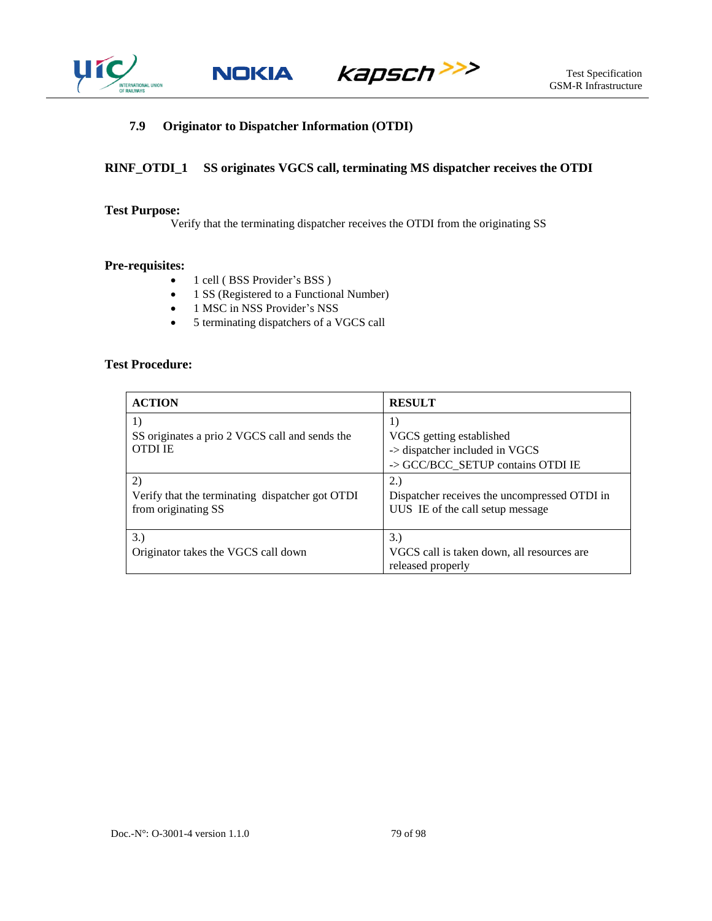



## **7.9 Originator to Dispatcher Information (OTDI)**

**NOKIA** 

## **RINF\_OTDI\_1 SS originates VGCS call, terminating MS dispatcher receives the OTDI**

## **Test Purpose:**

Verify that the terminating dispatcher receives the OTDI from the originating SS

#### **Pre-requisites:**

- 1 cell ( BSS Provider's BSS )
- 1 SS (Registered to a Functional Number)
- 1 MSC in NSS Provider's NSS
- 5 terminating dispatchers of a VGCS call

| <b>RESULT</b>                                                   |
|-----------------------------------------------------------------|
| 1)                                                              |
| VGCS getting established                                        |
| -> dispatcher included in VGCS                                  |
| -> GCC/BCC_SETUP contains OTDI IE                               |
| 2.)                                                             |
| Dispatcher receives the uncompressed OTDI in                    |
| UUS IE of the call setup message                                |
|                                                                 |
| 3.)                                                             |
| VGCS call is taken down, all resources are<br>released properly |
|                                                                 |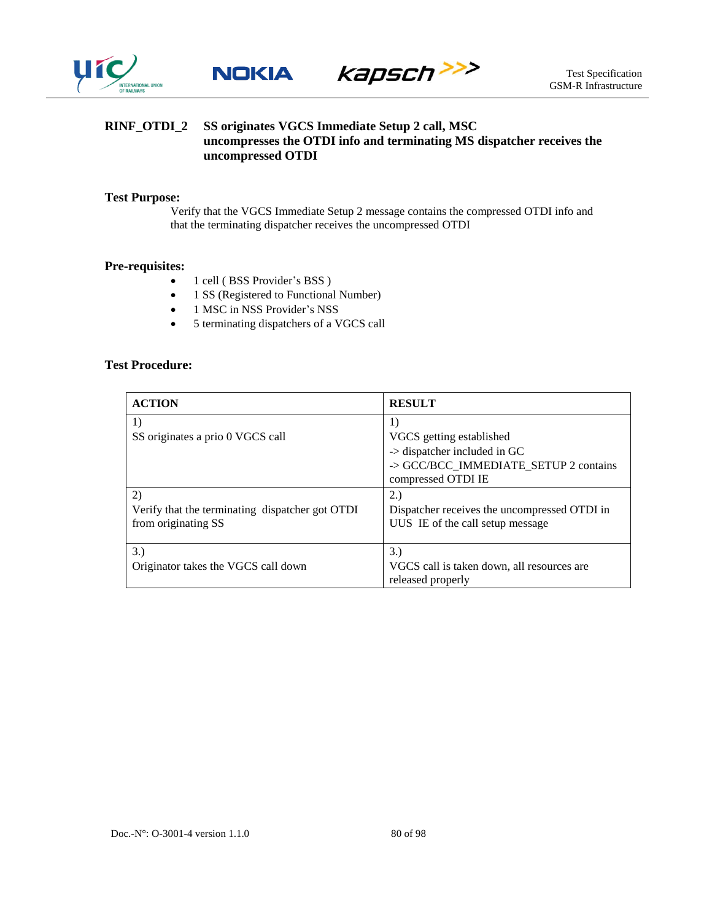



# **RINF\_OTDI\_2 SS originates VGCS Immediate Setup 2 call, MSC uncompresses the OTDI info and terminating MS dispatcher receives the uncompressed OTDI**

## **Test Purpose:**

Verify that the VGCS Immediate Setup 2 message contains the compressed OTDI info and that the terminating dispatcher receives the uncompressed OTDI

#### **Pre-requisites:**

• 1 cell (BSS Provider's BSS)

**NOKIA** 

- 1 SS (Registered to Functional Number)
- 1 MSC in NSS Provider's NSS
- 5 terminating dispatchers of a VGCS call

| <b>ACTION</b>                                                                | <b>RESULT</b>                                                                           |
|------------------------------------------------------------------------------|-----------------------------------------------------------------------------------------|
| 1)                                                                           | $_{1}$ )                                                                                |
| SS originates a prio 0 VGCS call                                             | VGCS getting established<br>-> dispatcher included in GC                                |
|                                                                              | -> GCC/BCC_IMMEDIATE_SETUP 2 contains<br>compressed OTDI IE                             |
| 2)<br>Verify that the terminating dispatcher got OTDI<br>from originating SS | 2.)<br>Dispatcher receives the uncompressed OTDI in<br>UUS IE of the call setup message |
| 3.)<br>Originator takes the VGCS call down                                   | 3.<br>VGCS call is taken down, all resources are<br>released properly                   |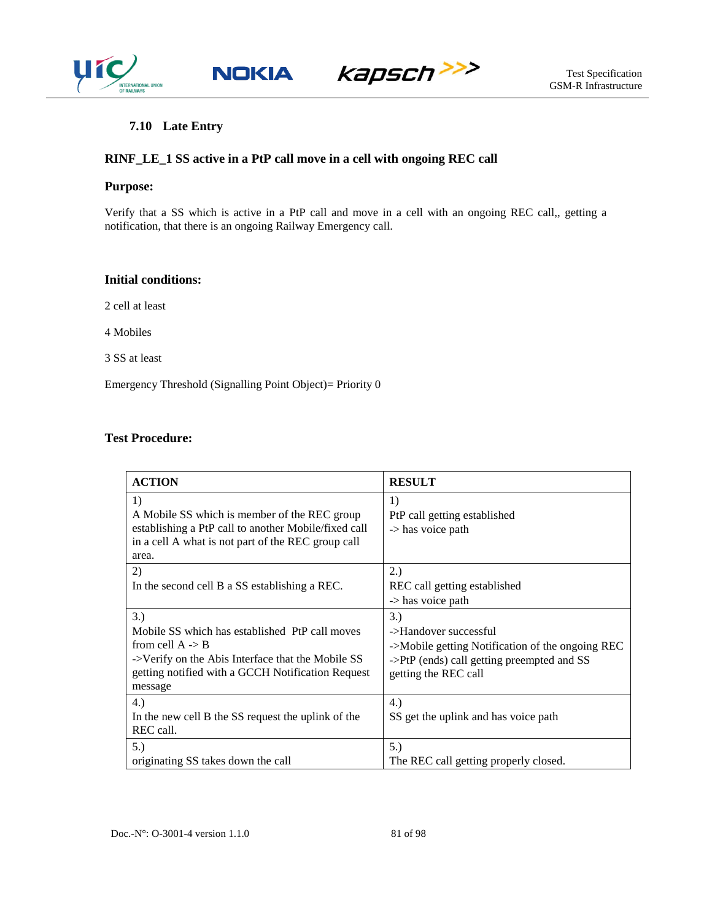



# **7.10 Late Entry**

# **RINF\_LE\_1 SS active in a PtP call move in a cell with ongoing REC call**

**NOKIA** 

## **Purpose:**

Verify that a SS which is active in a PtP call and move in a cell with an ongoing REC call,, getting a notification, that there is an ongoing Railway Emergency call.

#### **Initial conditions:**

2 cell at least

4 Mobiles

3 SS at least

Emergency Threshold (Signalling Point Object)= Priority 0

| <b>ACTION</b>                                                                                                                                                                                                         | <b>RESULT</b>                                                                                                                                          |
|-----------------------------------------------------------------------------------------------------------------------------------------------------------------------------------------------------------------------|--------------------------------------------------------------------------------------------------------------------------------------------------------|
| 1)<br>A Mobile SS which is member of the REC group<br>establishing a PtP call to another Mobile/fixed call<br>in a cell A what is not part of the REC group call<br>area.                                             | 1)<br>PtP call getting established<br>$\rightarrow$ has voice path                                                                                     |
| 2)<br>In the second cell B a SS establishing a REC.                                                                                                                                                                   | 2.)<br>REC call getting established<br>$\rightarrow$ has voice path                                                                                    |
| 3.)<br>Mobile SS which has established PtP call moves<br>from cell $A \rightarrow B$<br>$\rightarrow$ Verify on the Abis Interface that the Mobile SS<br>getting notified with a GCCH Notification Request<br>message | 3.)<br>->Handover successful<br>->Mobile getting Notification of the ongoing REC<br>->PtP (ends) call getting preempted and SS<br>getting the REC call |
| 4.)<br>In the new cell B the SS request the uplink of the<br>REC call.                                                                                                                                                | 4.)<br>SS get the uplink and has voice path                                                                                                            |
| 5.)<br>originating SS takes down the call                                                                                                                                                                             | 5.)<br>The REC call getting properly closed.                                                                                                           |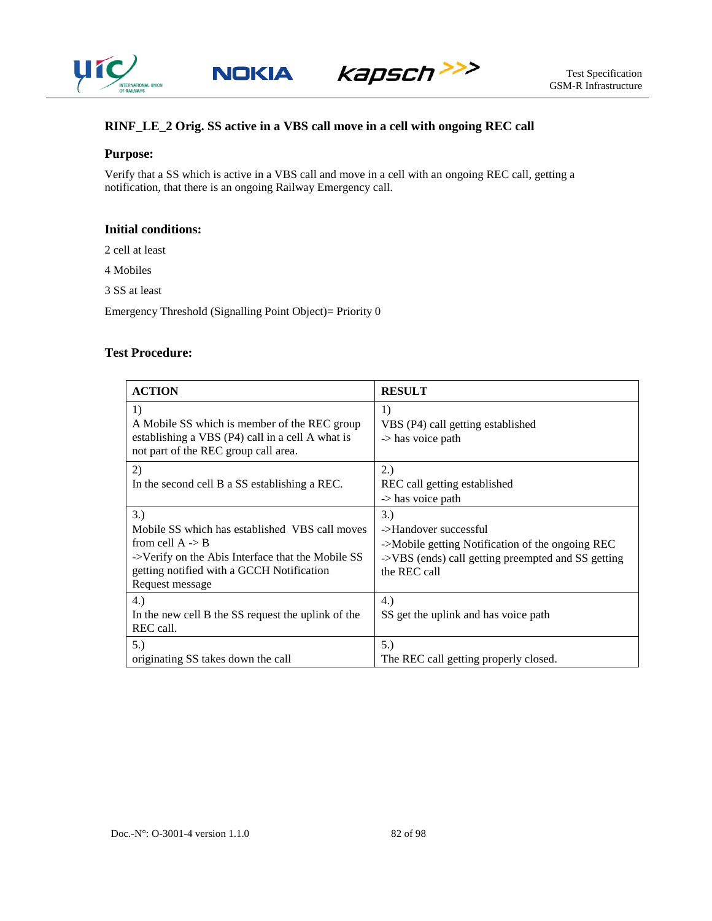



# **RINF\_LE\_2 Orig. SS active in a VBS call move in a cell with ongoing REC call**

## **Purpose:**

Verify that a SS which is active in a VBS call and move in a cell with an ongoing REC call, getting a notification, that there is an ongoing Railway Emergency call.

#### **Initial conditions:**

2 cell at least

4 Mobiles

3 SS at least

Emergency Threshold (Signalling Point Object)= Priority 0

| <b>ACTION</b>                                      | <b>RESULT</b>                                      |
|----------------------------------------------------|----------------------------------------------------|
| 1)                                                 | 1)                                                 |
| A Mobile SS which is member of the REC group       | VBS (P4) call getting established                  |
| establishing a VBS (P4) call in a cell A what is   | $\rightarrow$ has voice path                       |
| not part of the REC group call area.               |                                                    |
| 2)                                                 | 2.)                                                |
| In the second cell B a SS establishing a REC.      | REC call getting established                       |
|                                                    | $\rightarrow$ has voice path                       |
| 3.)                                                | 3.)                                                |
| Mobile SS which has established VBS call moves     | ->Handover successful                              |
| from cell $A \rightarrow B$                        | ->Mobile getting Notification of the ongoing REC   |
| ->Verify on the Abis Interface that the Mobile SS  | ->VBS (ends) call getting preempted and SS getting |
| getting notified with a GCCH Notification          | the REC call                                       |
| Request message                                    |                                                    |
| 4.)                                                | 4.)                                                |
| In the new cell B the SS request the uplink of the | SS get the uplink and has voice path               |
| REC call.                                          |                                                    |
| 5.)                                                | 5.)                                                |
| originating SS takes down the call                 | The REC call getting properly closed.              |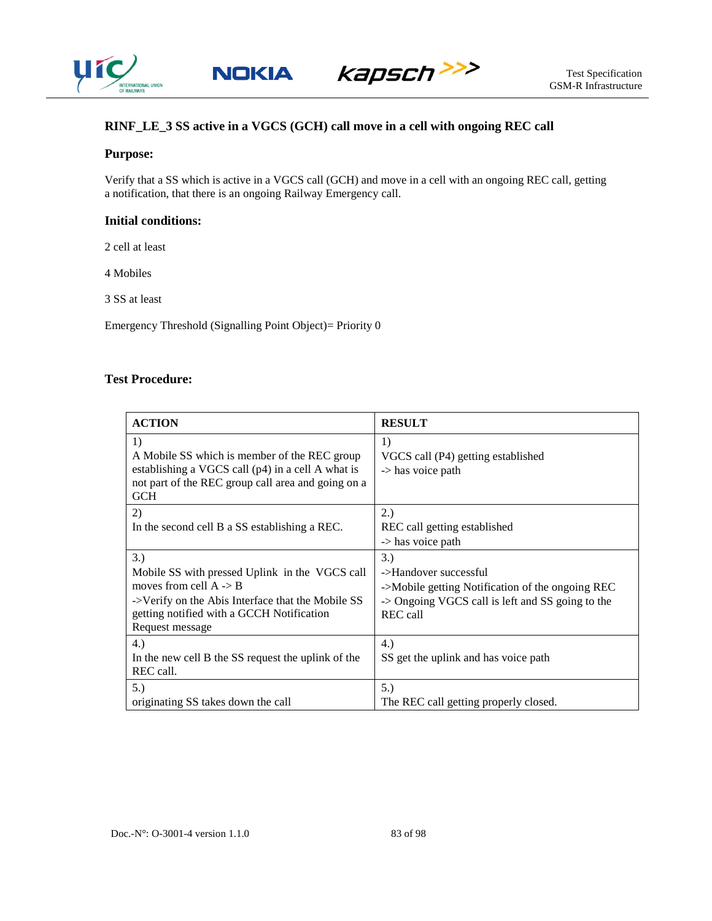



# **RINF\_LE\_3 SS active in a VGCS (GCH) call move in a cell with ongoing REC call**

#### **Purpose:**

Verify that a SS which is active in a VGCS call (GCH) and move in a cell with an ongoing REC call, getting a notification, that there is an ongoing Railway Emergency call.

#### **Initial conditions:**

2 cell at least

4 Mobiles

3 SS at least

Emergency Threshold (Signalling Point Object)= Priority 0

| <b>ACTION</b>                                                                                                                                                                                                               | <b>RESULT</b>                                                                                                                                   |
|-----------------------------------------------------------------------------------------------------------------------------------------------------------------------------------------------------------------------------|-------------------------------------------------------------------------------------------------------------------------------------------------|
| 1)<br>A Mobile SS which is member of the REC group<br>establishing a VGCS call (p4) in a cell A what is<br>not part of the REC group call area and going on a<br><b>GCH</b>                                                 | 1)<br>VGCS call (P4) getting established<br>-> has voice path                                                                                   |
| 2)<br>In the second cell B a SS establishing a REC.                                                                                                                                                                         | 2.)<br>REC call getting established<br>$\rightarrow$ has voice path                                                                             |
| 3.)<br>Mobile SS with pressed Uplink in the VGCS call<br>moves from cell $A \rightarrow B$<br>$\rightarrow$ Verify on the Abis Interface that the Mobile SS<br>getting notified with a GCCH Notification<br>Request message | 3.<br>->Handover successful<br>->Mobile getting Notification of the ongoing REC<br>-> Ongoing VGCS call is left and SS going to the<br>REC call |
| 4.)<br>In the new cell B the SS request the uplink of the<br>REC call.                                                                                                                                                      | 4.)<br>SS get the uplink and has voice path                                                                                                     |
| 5.)<br>originating SS takes down the call                                                                                                                                                                                   | 5.)<br>The REC call getting properly closed.                                                                                                    |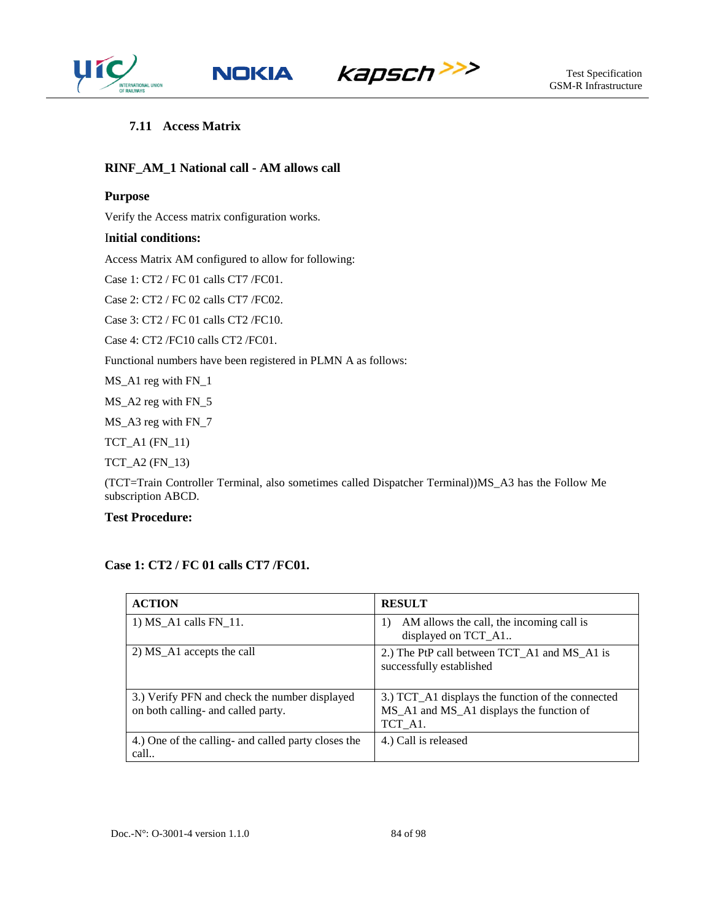



# **7.11 Access Matrix**

## **RINF\_AM\_1 National call - AM allows call**

**NOKIA** 

#### **Purpose**

Verify the Access matrix configuration works.

#### I**nitial conditions:**

Access Matrix AM configured to allow for following:

Case 1: CT2 / FC 01 calls CT7 /FC01.

Case 2: CT2 / FC 02 calls CT7 /FC02.

Case 3: CT2 / FC 01 calls CT2 /FC10.

Case 4: CT2 /FC10 calls CT2 /FC01.

Functional numbers have been registered in PLMN A as follows:

MS\_A1 reg with FN\_1

MS\_A2 reg with FN\_5

MS\_A3 reg with FN\_7

TCT\_A1 (FN\_11)

TCT\_A2 (FN\_13)

(TCT=Train Controller Terminal, also sometimes called Dispatcher Terminal))MS\_A3 has the Follow Me subscription ABCD.

## **Test Procedure:**

## **Case 1: CT2 / FC 01 calls CT7 /FC01.**

| <b>ACTION</b>                                                                       | <b>RESULT</b>                                                                                            |
|-------------------------------------------------------------------------------------|----------------------------------------------------------------------------------------------------------|
| $1) MS_A1$ calls $FN_11$ .                                                          | AM allows the call, the incoming call is<br>1)<br>displayed on TCT_A1                                    |
| 2) MS_A1 accepts the call                                                           | 2.) The PtP call between TCT_A1 and MS_A1 is<br>successfully established                                 |
| 3.) Verify PFN and check the number displayed<br>on both calling- and called party. | 3.) TCT_A1 displays the function of the connected<br>MS_A1 and MS_A1 displays the function of<br>TCT A1. |
| 4.) One of the calling- and called party closes the<br>call                         | 4.) Call is released                                                                                     |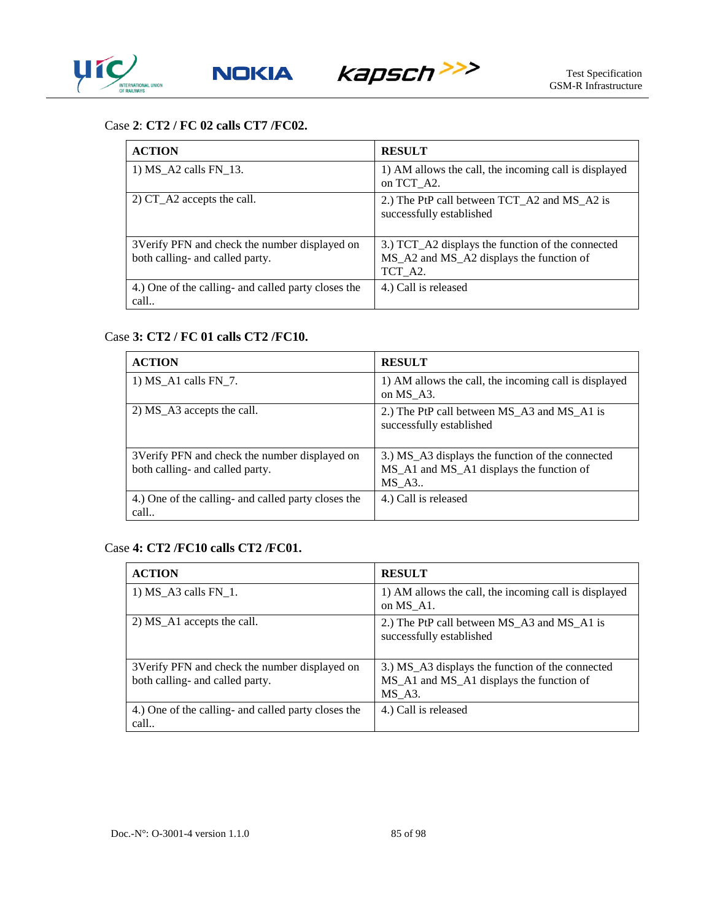



# Case **2**: **CT2 / FC 02 calls CT7 /FC02.**

| <b>ACTION</b>                                       | <b>RESULT</b>                                                            |
|-----------------------------------------------------|--------------------------------------------------------------------------|
| 1) MS_A2 calls FN_13.                               | 1) AM allows the call, the incoming call is displayed<br>on TCT A2.      |
| 2) CT_A2 accepts the call.                          | 2.) The PtP call between TCT_A2 and MS_A2 is<br>successfully established |
| 3 Verify PFN and check the number displayed on      | 3.) TCT_A2 displays the function of the connected                        |
| both calling- and called party.                     | MS_A2 and MS_A2 displays the function of                                 |
|                                                     | TCT A2.                                                                  |
| 4.) One of the calling- and called party closes the | 4.) Call is released                                                     |
| call                                                |                                                                          |

# Case **3: CT2 / FC 01 calls CT2 /FC10.**

| <b>ACTION</b>                                       | <b>RESULT</b>                                                           |
|-----------------------------------------------------|-------------------------------------------------------------------------|
| 1) $MS\_A1$ calls $FN\_7$ .                         | 1) AM allows the call, the incoming call is displayed<br>on MS_A3.      |
| 2) MS_A3 accepts the call.                          | 2.) The PtP call between MS_A3 and MS_A1 is<br>successfully established |
| 3 Verify PFN and check the number displayed on      | 3.) MS_A3 displays the function of the connected                        |
| both calling- and called party.                     | MS_A1 and MS_A1 displays the function of                                |
|                                                     | MS A3                                                                   |
| 4.) One of the calling- and called party closes the | 4.) Call is released                                                    |
| call                                                |                                                                         |

# Case **4: CT2 /FC10 calls CT2 /FC01.**

| <b>ACTION</b>                                                                    | <b>RESULT</b>                                                                                          |
|----------------------------------------------------------------------------------|--------------------------------------------------------------------------------------------------------|
| 1) $MS_A3$ calls $FN_1$ .                                                        | 1) AM allows the call, the incoming call is displayed<br>on $MS_A1$ .                                  |
| 2) MS_A1 accepts the call.                                                       | 2.) The PtP call between MS_A3 and MS_A1 is<br>successfully established                                |
| 3Verify PFN and check the number displayed on<br>both calling- and called party. | 3.) MS_A3 displays the function of the connected<br>MS_A1 and MS_A1 displays the function of<br>MS A3. |
| 4.) One of the calling- and called party closes the<br>call                      | 4.) Call is released                                                                                   |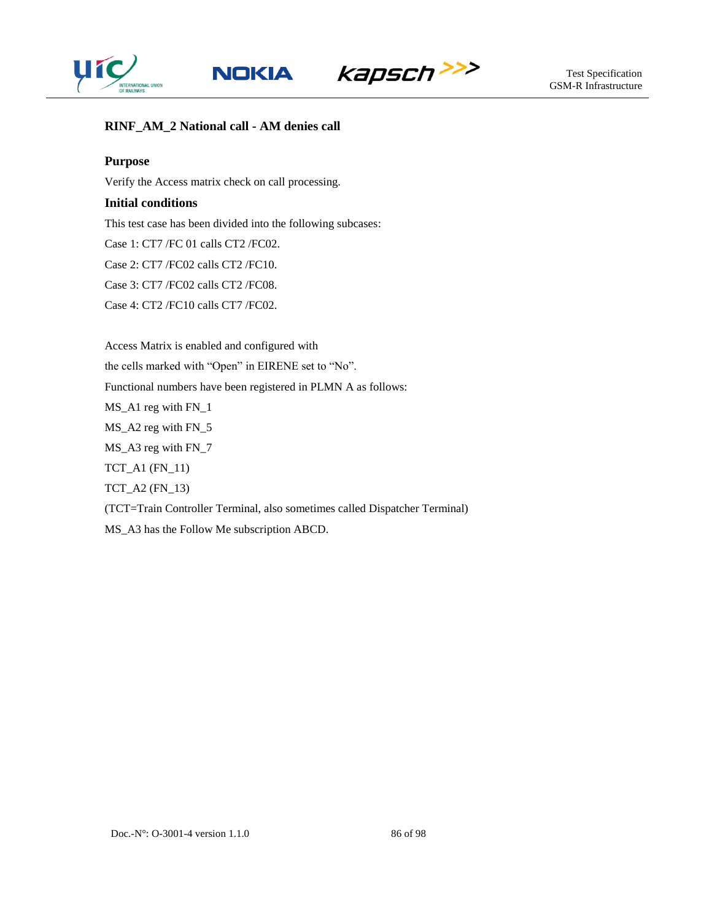



# **RINF\_AM\_2 National call - AM denies call**

**NOKIA** 

# **Purpose**

Verify the Access matrix check on call processing.

#### **Initial conditions**

This test case has been divided into the following subcases:

Case 1: CT7 /FC 01 calls CT2 /FC02.

Case 2: CT7 /FC02 calls CT2 /FC10.

Case 3: CT7 /FC02 calls CT2 /FC08.

Case 4: CT2 /FC10 calls CT7 /FC02.

Access Matrix is enabled and configured with

the cells marked with "Open" in EIRENE set to "No".

Functional numbers have been registered in PLMN A as follows:

MS\_A1 reg with FN\_1

MS\_A2 reg with FN\_5

MS\_A3 reg with FN\_7

TCT\_A1 (FN\_11)

TCT\_A2 (FN\_13)

(TCT=Train Controller Terminal, also sometimes called Dispatcher Terminal)

MS\_A3 has the Follow Me subscription ABCD.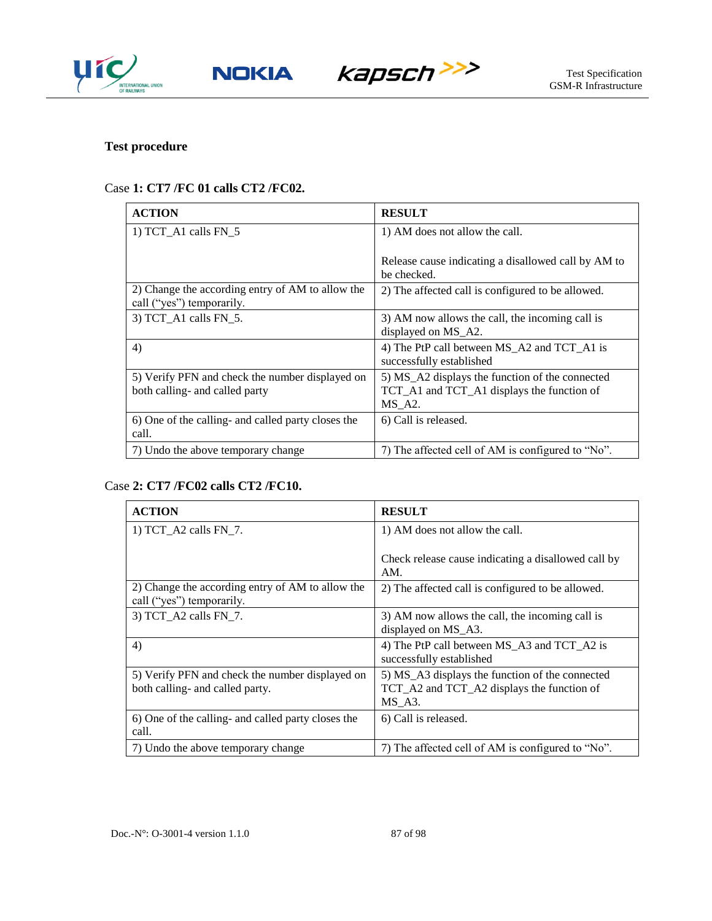





# **Test procedure**

# Case **1: CT7 /FC 01 calls CT2 /FC02.**

| <b>ACTION</b>                                                                     | <b>RESULT</b>                                                                                              |
|-----------------------------------------------------------------------------------|------------------------------------------------------------------------------------------------------------|
| 1) TCT_A1 calls FN_5                                                              | 1) AM does not allow the call.                                                                             |
|                                                                                   | Release cause indicating a disallowed call by AM to<br>be checked.                                         |
| 2) Change the according entry of AM to allow the<br>call ("yes") temporarily.     | 2) The affected call is configured to be allowed.                                                          |
| 3) TCT_A1 calls FN_5.                                                             | 3) AM now allows the call, the incoming call is<br>displayed on MS_A2.                                     |
| 4)                                                                                | 4) The PtP call between MS_A2 and TCT_A1 is<br>successfully established                                    |
| 5) Verify PFN and check the number displayed on<br>both calling- and called party | 5) MS_A2 displays the function of the connected<br>TCT_A1 and TCT_A1 displays the function of<br>$MS_A2$ . |
| 6) One of the calling- and called party closes the<br>call.                       | 6) Call is released.                                                                                       |
| 7) Undo the above temporary change                                                | 7) The affected cell of AM is configured to "No".                                                          |

# Case **2: CT7 /FC02 calls CT2 /FC10.**

| <b>ACTION</b>                                                                      | <b>RESULT</b>                                                                                           |
|------------------------------------------------------------------------------------|---------------------------------------------------------------------------------------------------------|
| 1) $TCT_A2$ calls $FN_7$ .                                                         | 1) AM does not allow the call.                                                                          |
|                                                                                    | Check release cause indicating a disallowed call by<br>AM.                                              |
| 2) Change the according entry of AM to allow the<br>call ("yes") temporarily.      | 2) The affected call is configured to be allowed.                                                       |
| 3) TCT_A2 calls FN_7.                                                              | 3) AM now allows the call, the incoming call is<br>displayed on MS_A3.                                  |
| 4)                                                                                 | 4) The PtP call between MS_A3 and TCT_A2 is<br>successfully established                                 |
| 5) Verify PFN and check the number displayed on<br>both calling- and called party. | 5) MS_A3 displays the function of the connected<br>TCT_A2 and TCT_A2 displays the function of<br>MS A3. |
| 6) One of the calling- and called party closes the<br>call.                        | 6) Call is released.                                                                                    |
| 7) Undo the above temporary change                                                 | 7) The affected cell of AM is configured to "No".                                                       |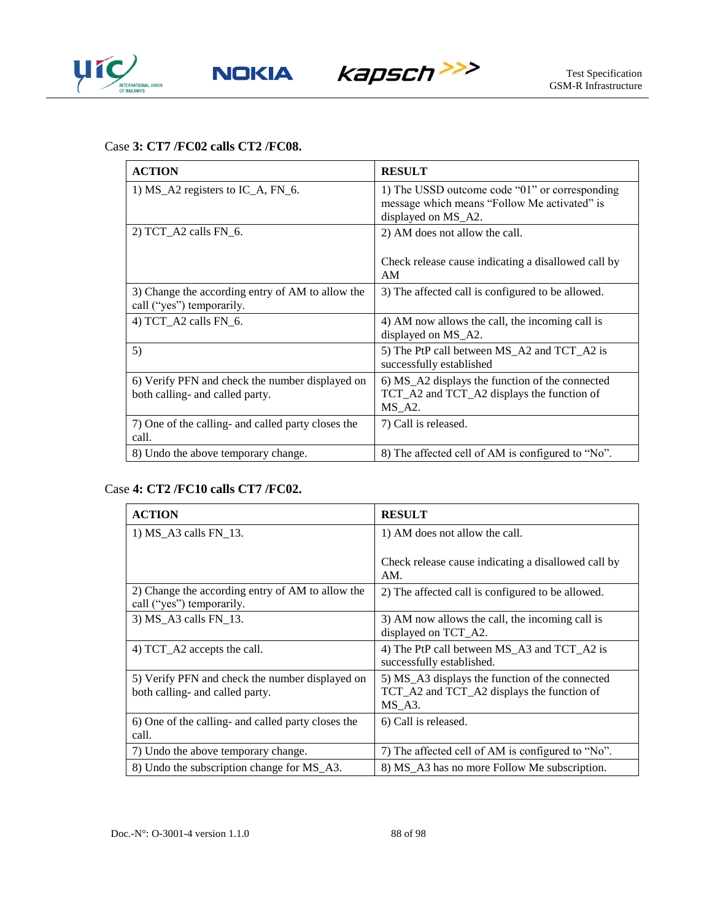



# Case **3: CT7 /FC02 calls CT2 /FC08.**

| <b>ACTION</b>                                                                      | <b>RESULT</b>                                                                                                         |
|------------------------------------------------------------------------------------|-----------------------------------------------------------------------------------------------------------------------|
| 1) MS_A2 registers to IC_A, FN_6.                                                  | 1) The USSD outcome code "01" or corresponding<br>message which means "Follow Me activated" is<br>displayed on MS_A2. |
| 2) $TCT_A2$ calls $FN_6$ .                                                         | 2) AM does not allow the call.<br>Check release cause indicating a disallowed call by                                 |
|                                                                                    | AM                                                                                                                    |
| 3) Change the according entry of AM to allow the<br>call ("yes") temporarily.      | 3) The affected call is configured to be allowed.                                                                     |
| 4) $TCT_A2$ calls $FN_6$ .                                                         | 4) AM now allows the call, the incoming call is<br>displayed on MS_A2.                                                |
| 5)                                                                                 | 5) The PtP call between MS_A2 and TCT_A2 is<br>successfully established                                               |
| 6) Verify PFN and check the number displayed on<br>both calling- and called party. | 6) MS_A2 displays the function of the connected<br>TCT_A2 and TCT_A2 displays the function of<br>$MS_A2$ .            |
| 7) One of the calling- and called party closes the<br>call.                        | 7) Call is released.                                                                                                  |
| 8) Undo the above temporary change.                                                | 8) The affected cell of AM is configured to "No".                                                                     |

# Case **4: CT2 /FC10 calls CT7 /FC02.**

| <b>ACTION</b>                                                                      | <b>RESULT</b>                                                                                              |
|------------------------------------------------------------------------------------|------------------------------------------------------------------------------------------------------------|
| 1) MS_A3 calls FN_13.                                                              | 1) AM does not allow the call.                                                                             |
|                                                                                    | Check release cause indicating a disallowed call by<br>AM.                                                 |
| 2) Change the according entry of AM to allow the<br>call ("yes") temporarily.      | 2) The affected call is configured to be allowed.                                                          |
| 3) MS A3 calls FN 13.                                                              | 3) AM now allows the call, the incoming call is<br>displayed on TCT_A2.                                    |
| 4) TCT A2 accepts the call.                                                        | 4) The PtP call between MS_A3 and TCT_A2 is<br>successfully established.                                   |
| 5) Verify PFN and check the number displayed on<br>both calling- and called party. | 5) MS_A3 displays the function of the connected<br>TCT_A2 and TCT_A2 displays the function of<br>$MS_A3$ . |
| 6) One of the calling- and called party closes the<br>call.                        | 6) Call is released.                                                                                       |
| 7) Undo the above temporary change.                                                | 7) The affected cell of AM is configured to "No".                                                          |
| 8) Undo the subscription change for MS_A3.                                         | 8) MS A3 has no more Follow Me subscription.                                                               |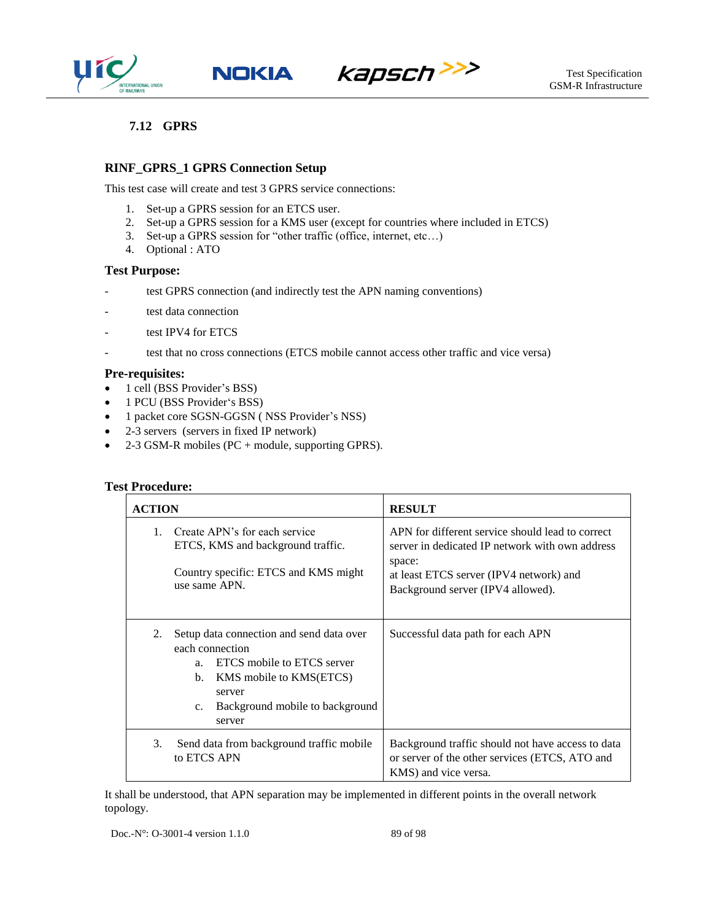



# **7.12 GPRS**

## **RINF\_GPRS\_1 GPRS Connection Setup**

This test case will create and test 3 GPRS service connections:

**NOKIA** 

- 1. Set-up a GPRS session for an ETCS user.
- 2. Set-up a GPRS session for a KMS user (except for countries where included in ETCS)
- 3. Set-up a GPRS session for "other traffic (office, internet, etc…)
- 4. Optional : ATO

#### **Test Purpose:**

- test GPRS connection (and indirectly test the APN naming conventions)
- test data connection
- test IPV4 for ETCS
- test that no cross connections (ETCS mobile cannot access other traffic and vice versa)

#### **Pre-requisites:**

- 1 cell (BSS Provider's BSS)
- 1 PCU (BSS Provider's BSS)
- 1 packet core SGSN-GGSN ( NSS Provider's NSS)
- 2-3 servers (servers in fixed IP network)
- 2-3 GSM-R mobiles (PC + module, supporting GPRS).

#### **Test Procedure:**

| <b>ACTION</b> |                                                                                                                                                                                                                    | <b>RESULT</b>                                                                                                                                                                                 |
|---------------|--------------------------------------------------------------------------------------------------------------------------------------------------------------------------------------------------------------------|-----------------------------------------------------------------------------------------------------------------------------------------------------------------------------------------------|
| 1             | Create APN's for each service<br>ETCS, KMS and background traffic.<br>Country specific: ETCS and KMS might<br>use same APN.                                                                                        | APN for different service should lead to correct<br>server in dedicated IP network with own address<br>space:<br>at least ETCS server (IPV4 network) and<br>Background server (IPV4 allowed). |
| 2.            | Setup data connection and send data over<br>each connection<br>ETCS mobile to ETCS server<br>a <sub>z</sub><br>b. KMS mobile to KMS(ETCS)<br>server<br>Background mobile to background<br>$\mathbf{c}$ .<br>server | Successful data path for each APN                                                                                                                                                             |
| 3.            | Send data from background traffic mobile<br>to ETCS APN                                                                                                                                                            | Background traffic should not have access to data<br>or server of the other services (ETCS, ATO and<br>KMS) and vice versa.                                                                   |

It shall be understood, that APN separation may be implemented in different points in the overall network topology.

Doc.-N°: O-3001-4 version 1.1.0 89 of 98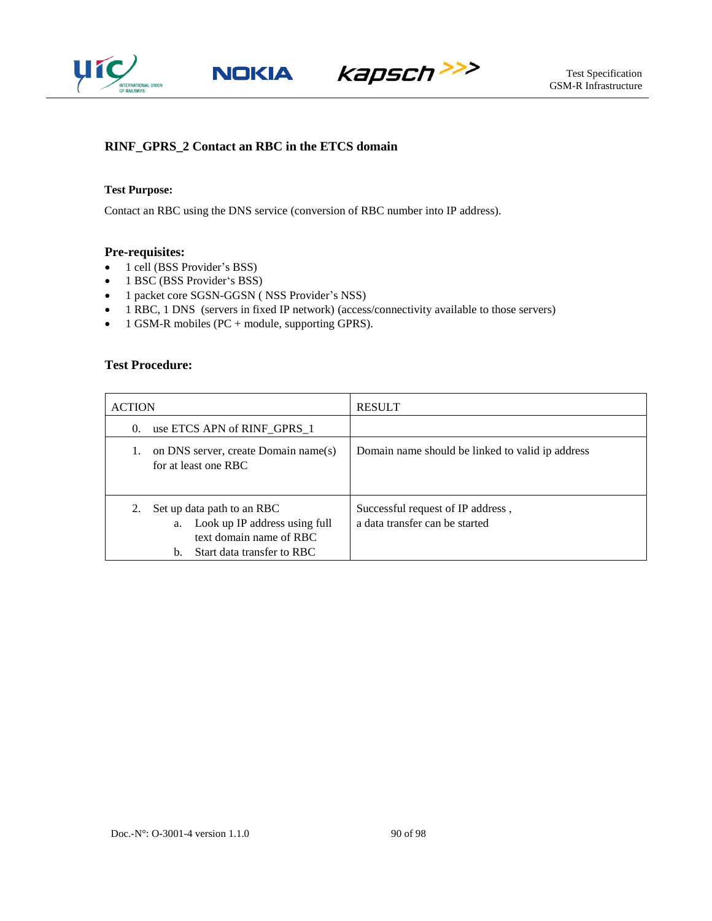



# **RINF\_GPRS\_2 Contact an RBC in the ETCS domain**

**NOKIA** 

# **Test Purpose:**

Contact an RBC using the DNS service (conversion of RBC number into IP address).

## **Pre-requisites:**

- 1 cell (BSS Provider's BSS)
- 1 BSC (BSS Provider's BSS)
- 1 packet core SGSN-GGSN ( NSS Provider's NSS)
- 1 RBC, 1 DNS (servers in fixed IP network) (access/connectivity available to those servers)
- 1 GSM-R mobiles (PC + module, supporting GPRS).

| <b>ACTION</b>                                                                                                                          | <b>RESULT</b>                                                       |
|----------------------------------------------------------------------------------------------------------------------------------------|---------------------------------------------------------------------|
| use ETCS APN of RINF_GPRS_1<br>0.                                                                                                      |                                                                     |
| on DNS server, create Domain name(s)<br>for at least one RBC                                                                           | Domain name should be linked to valid ip address                    |
| Set up data path to an RBC<br>2.<br>Look up IP address using full<br>a.<br>text domain name of RBC<br>Start data transfer to RBC<br>b. | Successful request of IP address,<br>a data transfer can be started |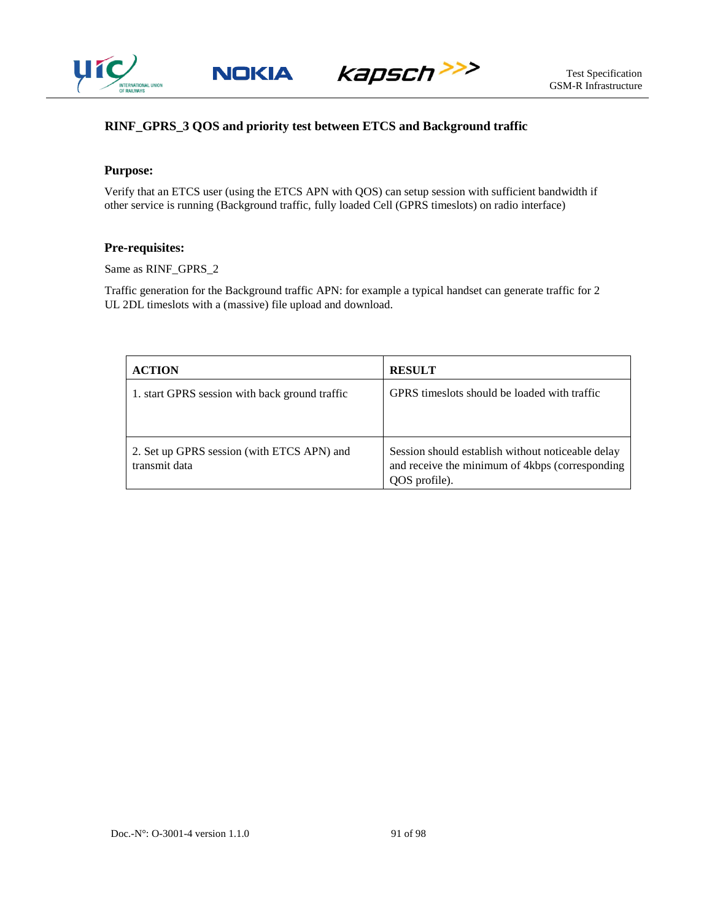



# **RINF\_GPRS\_3 QOS and priority test between ETCS and Background traffic**

**NOKIA** 

## **Purpose:**

Verify that an ETCS user (using the ETCS APN with QOS) can setup session with sufficient bandwidth if other service is running (Background traffic, fully loaded Cell (GPRS timeslots) on radio interface)

# **Pre-requisites:**

Same as RINF\_GPRS\_2

Traffic generation for the Background traffic APN: for example a typical handset can generate traffic for 2 UL 2DL timeslots with a (massive) file upload and download.

| <b>ACTION</b>                                               | <b>RESULT</b>                                                                                                         |
|-------------------------------------------------------------|-----------------------------------------------------------------------------------------------------------------------|
| 1. start GPRS session with back ground traffic              | GPRS times lots should be loaded with traffic                                                                         |
| 2. Set up GPRS session (with ETCS APN) and<br>transmit data | Session should establish without noticeable delay<br>and receive the minimum of 4kbps (corresponding<br>QOS profile). |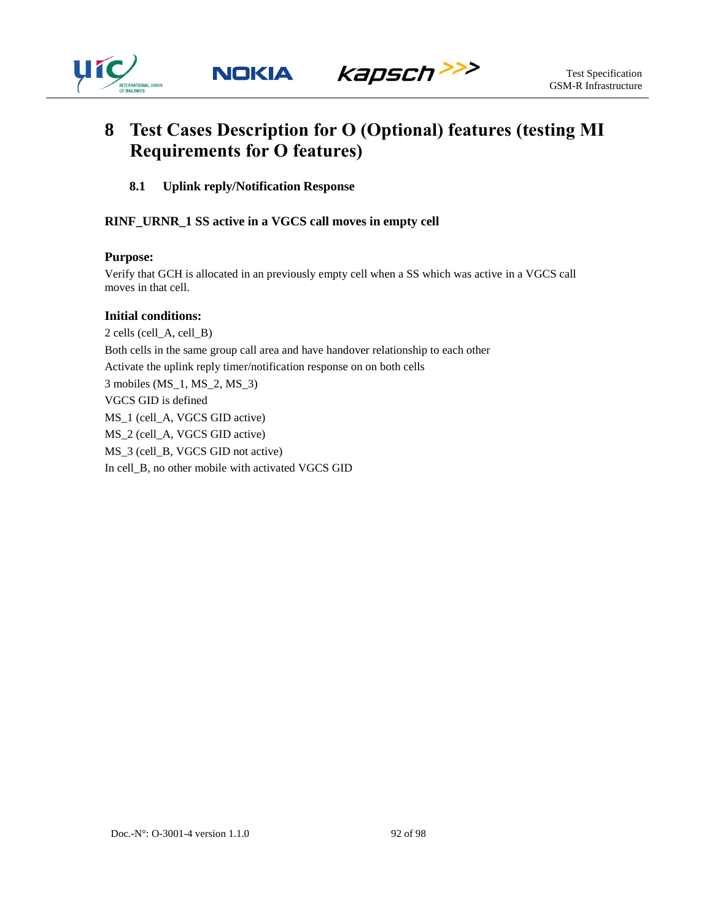

# **8 Test Cases Description for O (Optional) features (testing MI Requirements for O features)**

**8.1 Uplink reply/Notification Response**

# **RINF\_URNR\_1 SS active in a VGCS call moves in empty cell**

#### **Purpose:**

Verify that GCH is allocated in an previously empty cell when a SS which was active in a VGCS call moves in that cell.

## **Initial conditions:**

2 cells (cell\_A, cell\_B) Both cells in the same group call area and have handover relationship to each other Activate the uplink reply timer/notification response on on both cells 3 mobiles (MS\_1, MS\_2, MS\_3) VGCS GID is defined MS\_1 (cell\_A, VGCS GID active) MS\_2 (cell\_A, VGCS GID active) MS\_3 (cell\_B, VGCS GID not active) In cell\_B, no other mobile with activated VGCS GID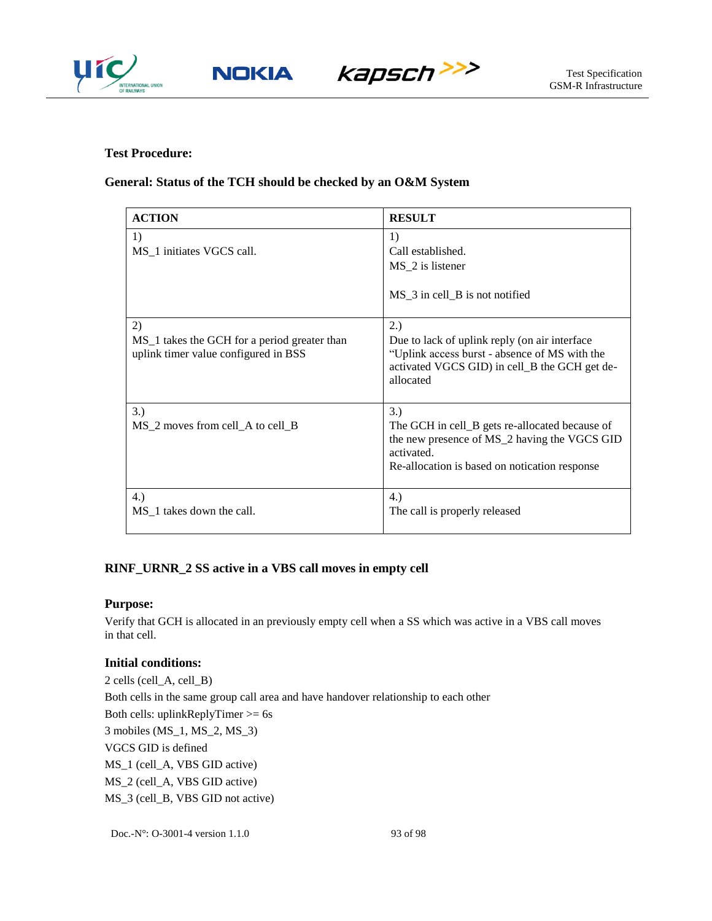

# **Test Procedure:**

# **General: Status of the TCH should be checked by an O&M System**

**NOKIA** 

| <b>ACTION</b>                                                                              | <b>RESULT</b>                                                                                                                                                        |
|--------------------------------------------------------------------------------------------|----------------------------------------------------------------------------------------------------------------------------------------------------------------------|
| 1)<br>MS <sub>1</sub> initiates VGCS call.                                                 | 1)<br>Call established.<br>MS_2 is listener<br>$MS_3$ in cell $B$ is not notified                                                                                    |
| 2)<br>MS_1 takes the GCH for a period greater than<br>uplink timer value configured in BSS | 2.)<br>Due to lack of uplink reply (on air interface)<br>"Uplink access burst - absence of MS with the<br>activated VGCS GID) in cell_B the GCH get de-<br>allocated |
| 3.)<br>MS_2 moves from cell_A to cell_B                                                    | 3.)<br>The GCH in cell_B gets re-allocated because of<br>the new presence of MS_2 having the VGCS GID<br>activated.<br>Re-allocation is based on notication response |
| 4.)<br>MS <sub>1</sub> takes down the call.                                                | 4.)<br>The call is properly released                                                                                                                                 |

## **RINF\_URNR\_2 SS active in a VBS call moves in empty cell**

#### **Purpose:**

Verify that GCH is allocated in an previously empty cell when a SS which was active in a VBS call moves in that cell.

#### **Initial conditions:**

2 cells (cell\_A, cell\_B) Both cells in the same group call area and have handover relationship to each other Both cells: uplinkReplyTimer >= 6s 3 mobiles (MS\_1, MS\_2, MS\_3) VGCS GID is defined MS\_1 (cell\_A, VBS GID active) MS\_2 (cell\_A, VBS GID active) MS\_3 (cell\_B, VBS GID not active)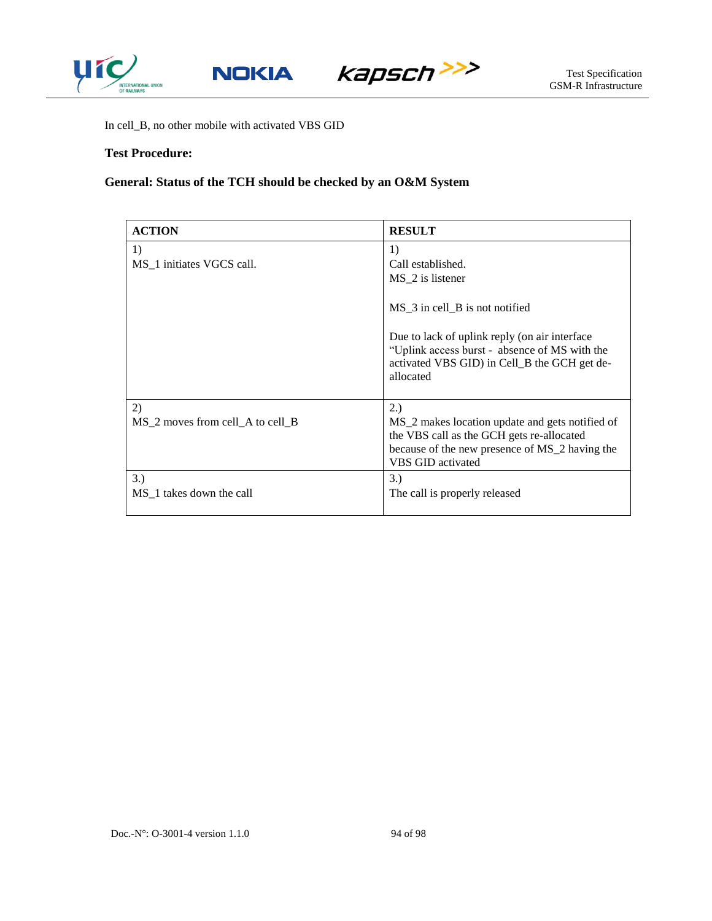



In cell\_B, no other mobile with activated VBS GID

**NOKIA** 

## **Test Procedure:**

# **General: Status of the TCH should be checked by an O&M System**

| <b>ACTION</b>                        | <b>RESULT</b>                                                                                                                                                                                  |
|--------------------------------------|------------------------------------------------------------------------------------------------------------------------------------------------------------------------------------------------|
| 1)                                   | 1)                                                                                                                                                                                             |
| MS <sub>1</sub> initiates VGCS call. | Call established.                                                                                                                                                                              |
|                                      | $MS_2$ is listener                                                                                                                                                                             |
|                                      | MS 3 in cell B is not notified<br>Due to lack of uplink reply (on air interface)<br>"Uplink access burst - absence of MS with the<br>activated VBS GID) in Cell_B the GCH get de-<br>allocated |
| 2)                                   | 2.)                                                                                                                                                                                            |
| MS_2 moves from cell_A to cell_B     | MS_2 makes location update and gets notified of<br>the VBS call as the GCH gets re-allocated<br>because of the new presence of MS_2 having the<br><b>VBS GID activated</b>                     |
| 3.)                                  | 3.)                                                                                                                                                                                            |
| MS <sub>1</sub> takes down the call  | The call is properly released                                                                                                                                                                  |
|                                      |                                                                                                                                                                                                |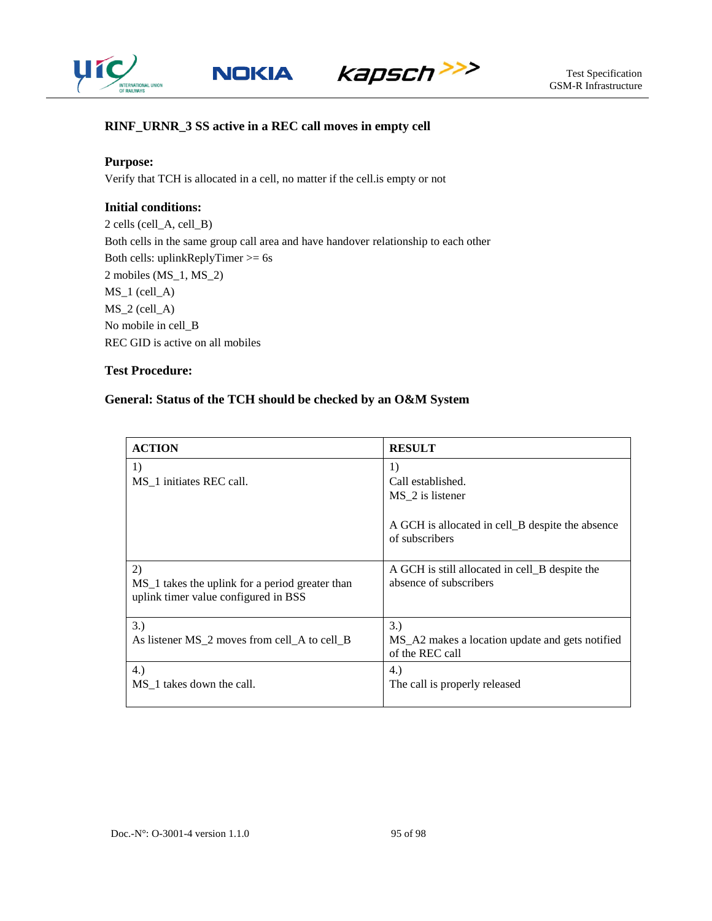



## **RINF\_URNR\_3 SS active in a REC call moves in empty cell**

**NOKIA** 

## **Purpose:**

Verify that TCH is allocated in a cell, no matter if the cell.is empty or not

#### **Initial conditions:**

2 cells (cell\_A, cell\_B) Both cells in the same group call area and have handover relationship to each other Both cells: uplinkReplyTimer >= 6s 2 mobiles (MS\_1, MS\_2)  $MS_1$  (cell $_A)$  $MS_2$  (cell $_A$ ) No mobile in cell\_B REC GID is active on all mobiles

## **Test Procedure:**

# **General: Status of the TCH should be checked by an O&M System**

| <b>ACTION</b>                                                                                            | <b>RESULT</b>                                                            |
|----------------------------------------------------------------------------------------------------------|--------------------------------------------------------------------------|
| 1)                                                                                                       | 1)                                                                       |
| MS <sub>1</sub> initiates REC call.                                                                      | Call established.                                                        |
|                                                                                                          | $MS_2$ is listener                                                       |
|                                                                                                          | A GCH is allocated in cell_B despite the absence<br>of subscribers       |
| 2)<br>MS <sub>1</sub> takes the uplink for a period greater than<br>uplink timer value configured in BSS | A GCH is still allocated in cell B despite the<br>absence of subscribers |
| 3.)                                                                                                      | 3.)                                                                      |
| As listener MS_2 moves from cell_A to cell_B                                                             | MS A2 makes a location update and gets notified<br>of the REC call       |
| 4.)                                                                                                      | 4.)                                                                      |
| MS <sub>1</sub> takes down the call.                                                                     | The call is properly released                                            |
|                                                                                                          |                                                                          |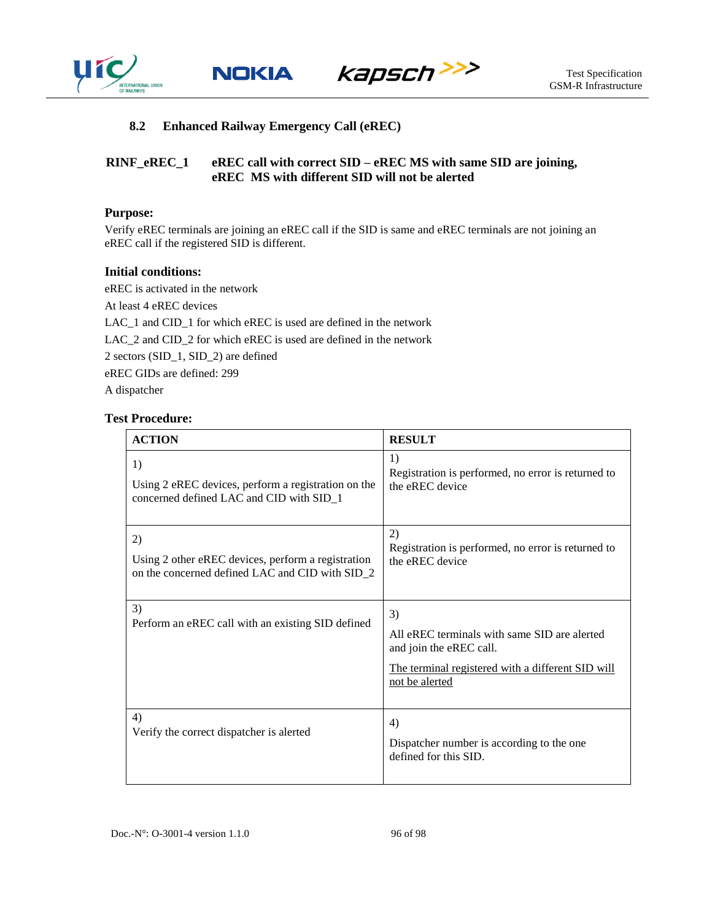



# **8.2 Enhanced Railway Emergency Call (eREC)**

**NOKIA** 

# **RINF\_eREC\_1 eREC call with correct SID – eREC MS with same SID are joining, eREC MS with different SID will not be alerted**

## **Purpose:**

Verify eREC terminals are joining an eREC call if the SID is same and eREC terminals are not joining an eREC call if the registered SID is different.

## **Initial conditions:**

eREC is activated in the network At least 4 eREC devices LAC\_1 and CID\_1 for which eREC is used are defined in the network LAC\_2 and CID\_2 for which eREC is used are defined in the network 2 sectors (SID\_1, SID\_2) are defined eREC GIDs are defined: 299 A dispatcher

| <b>ACTION</b>                                                                                               | <b>RESULT</b>                                                                                                                                        |
|-------------------------------------------------------------------------------------------------------------|------------------------------------------------------------------------------------------------------------------------------------------------------|
| 1)<br>Using 2 eREC devices, perform a registration on the<br>concerned defined LAC and CID with SID_1       | 1)<br>Registration is performed, no error is returned to<br>the eREC device                                                                          |
| 2)<br>Using 2 other eREC devices, perform a registration<br>on the concerned defined LAC and CID with SID_2 | 2)<br>Registration is performed, no error is returned to<br>the eREC device                                                                          |
| 3)<br>Perform an eREC call with an existing SID defined                                                     | 3)<br>All eREC terminals with same SID are alerted<br>and join the eREC call.<br>The terminal registered with a different SID will<br>not be alerted |
| 4)<br>Verify the correct dispatcher is alerted                                                              | 4)<br>Dispatcher number is according to the one<br>defined for this SID.                                                                             |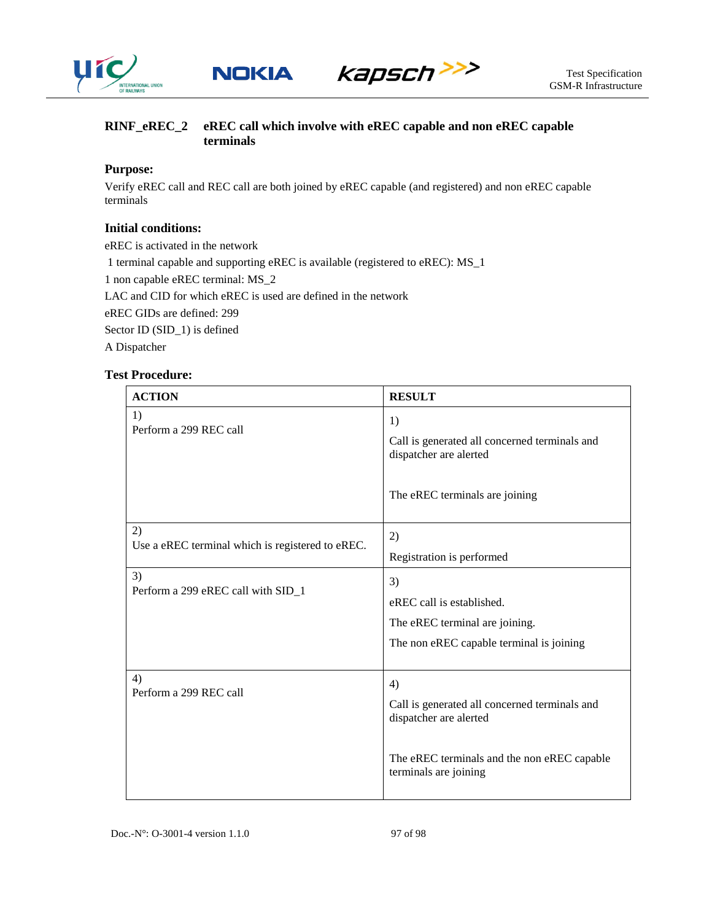



# **RINF\_eREC\_2 eREC call which involve with eREC capable and non eREC capable terminals**

## **Purpose:**

Verify eREC call and REC call are both joined by eREC capable (and registered) and non eREC capable terminals

# **Initial conditions:**

eREC is activated in the network

1 terminal capable and supporting eREC is available (registered to eREC): MS\_1

1 non capable eREC terminal: MS\_2

LAC and CID for which eREC is used are defined in the network

**NOKIA** 

eREC GIDs are defined: 299

Sector ID (SID\_1) is defined

A Dispatcher

| <b>ACTION</b>                                          | <b>RESULT</b>                                                                 |
|--------------------------------------------------------|-------------------------------------------------------------------------------|
| 1)<br>Perform a 299 REC call                           | 1)<br>Call is generated all concerned terminals and<br>dispatcher are alerted |
|                                                        | The eREC terminals are joining                                                |
| 2)<br>Use a eREC terminal which is registered to eREC. | 2)                                                                            |
|                                                        | Registration is performed                                                     |
| 3)<br>Perform a 299 eREC call with SID_1               | 3)                                                                            |
|                                                        | eREC call is established.                                                     |
|                                                        | The eREC terminal are joining.                                                |
|                                                        | The non eREC capable terminal is joining                                      |
| 4)<br>Perform a 299 REC call                           | 4)                                                                            |
|                                                        | Call is generated all concerned terminals and<br>dispatcher are alerted       |
|                                                        | The eREC terminals and the non eREC capable<br>terminals are joining          |